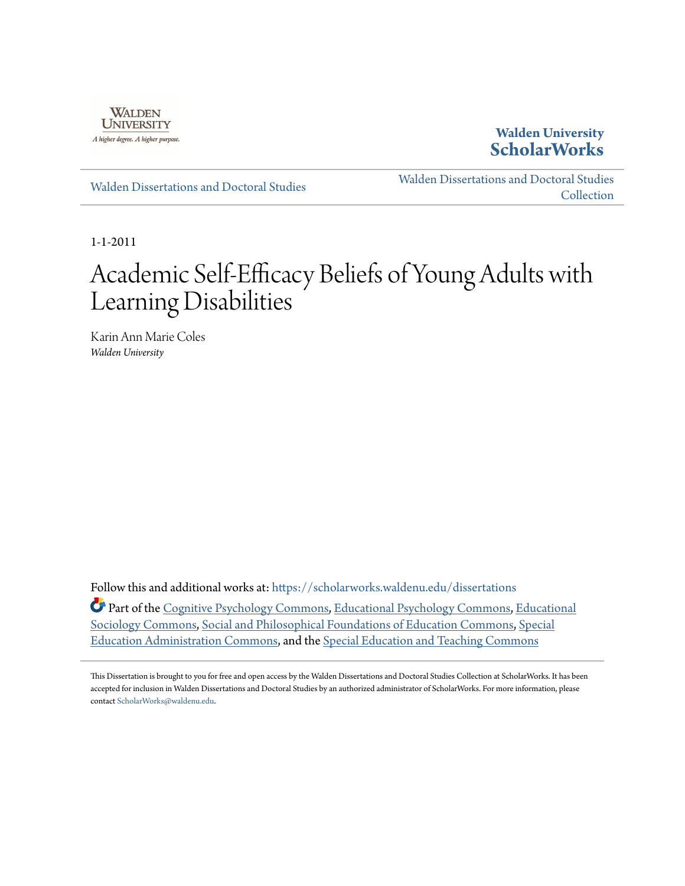

**Walden University [ScholarWorks](https://scholarworks.waldenu.edu?utm_source=scholarworks.waldenu.edu%2Fdissertations%2F1153&utm_medium=PDF&utm_campaign=PDFCoverPages)**

[Walden Dissertations and Doctoral Studies](https://scholarworks.waldenu.edu/dissertations?utm_source=scholarworks.waldenu.edu%2Fdissertations%2F1153&utm_medium=PDF&utm_campaign=PDFCoverPages)

[Walden Dissertations and Doctoral Studies](https://scholarworks.waldenu.edu/dissanddoc?utm_source=scholarworks.waldenu.edu%2Fdissertations%2F1153&utm_medium=PDF&utm_campaign=PDFCoverPages) **[Collection](https://scholarworks.waldenu.edu/dissanddoc?utm_source=scholarworks.waldenu.edu%2Fdissertations%2F1153&utm_medium=PDF&utm_campaign=PDFCoverPages)** 

1-1-2011

# Academic Self-Efficacy Beliefs of Young Adults with Learning Disabilities

Karin Ann Marie Coles *Walden University*

Follow this and additional works at: [https://scholarworks.waldenu.edu/dissertations](https://scholarworks.waldenu.edu/dissertations?utm_source=scholarworks.waldenu.edu%2Fdissertations%2F1153&utm_medium=PDF&utm_campaign=PDFCoverPages)

Part of the [Cognitive Psychology Commons,](http://network.bepress.com/hgg/discipline/408?utm_source=scholarworks.waldenu.edu%2Fdissertations%2F1153&utm_medium=PDF&utm_campaign=PDFCoverPages) [Educational Psychology Commons](http://network.bepress.com/hgg/discipline/798?utm_source=scholarworks.waldenu.edu%2Fdissertations%2F1153&utm_medium=PDF&utm_campaign=PDFCoverPages), [Educational](http://network.bepress.com/hgg/discipline/1071?utm_source=scholarworks.waldenu.edu%2Fdissertations%2F1153&utm_medium=PDF&utm_campaign=PDFCoverPages) [Sociology Commons,](http://network.bepress.com/hgg/discipline/1071?utm_source=scholarworks.waldenu.edu%2Fdissertations%2F1153&utm_medium=PDF&utm_campaign=PDFCoverPages) [Social and Philosophical Foundations of Education Commons](http://network.bepress.com/hgg/discipline/799?utm_source=scholarworks.waldenu.edu%2Fdissertations%2F1153&utm_medium=PDF&utm_campaign=PDFCoverPages), [Special](http://network.bepress.com/hgg/discipline/788?utm_source=scholarworks.waldenu.edu%2Fdissertations%2F1153&utm_medium=PDF&utm_campaign=PDFCoverPages) [Education Administration Commons](http://network.bepress.com/hgg/discipline/788?utm_source=scholarworks.waldenu.edu%2Fdissertations%2F1153&utm_medium=PDF&utm_campaign=PDFCoverPages), and the [Special Education and Teaching Commons](http://network.bepress.com/hgg/discipline/801?utm_source=scholarworks.waldenu.edu%2Fdissertations%2F1153&utm_medium=PDF&utm_campaign=PDFCoverPages)

This Dissertation is brought to you for free and open access by the Walden Dissertations and Doctoral Studies Collection at ScholarWorks. It has been accepted for inclusion in Walden Dissertations and Doctoral Studies by an authorized administrator of ScholarWorks. For more information, please contact [ScholarWorks@waldenu.edu](mailto:ScholarWorks@waldenu.edu).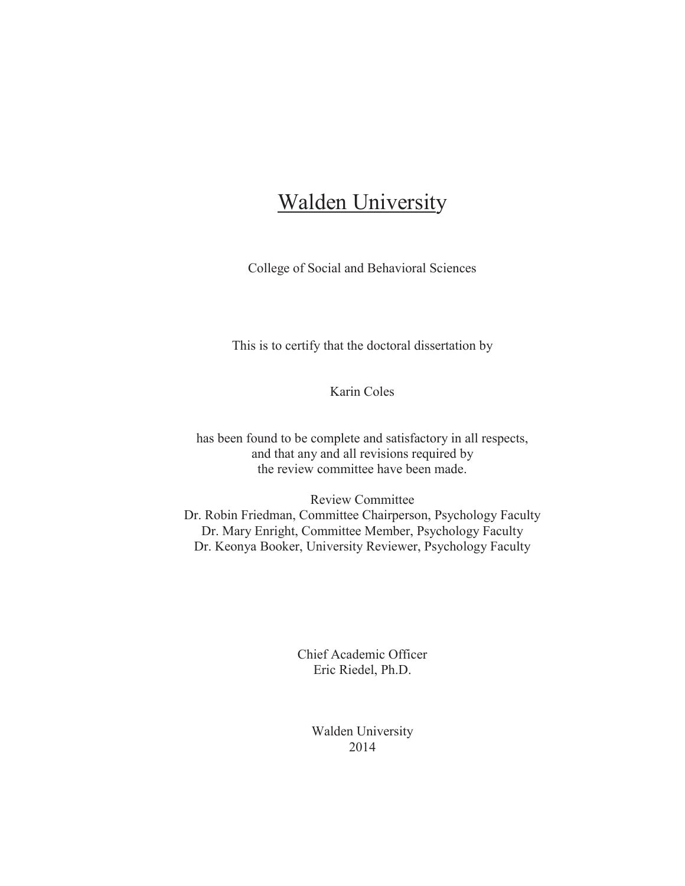# **Walden University**

College of Social and Behavioral Sciences

This is to certify that the doctoral dissertation by

Karin Coles

has been found to be complete and satisfactory in all respects, and that any and all revisions required by the review committee have been made.

Review Committee Dr. Robin Friedman, Committee Chairperson, Psychology Faculty Dr. Mary Enright, Committee Member, Psychology Faculty Dr. Keonya Booker, University Reviewer, Psychology Faculty

> Chief Academic Officer Eric Riedel, Ph.D.

> > Walden University 2014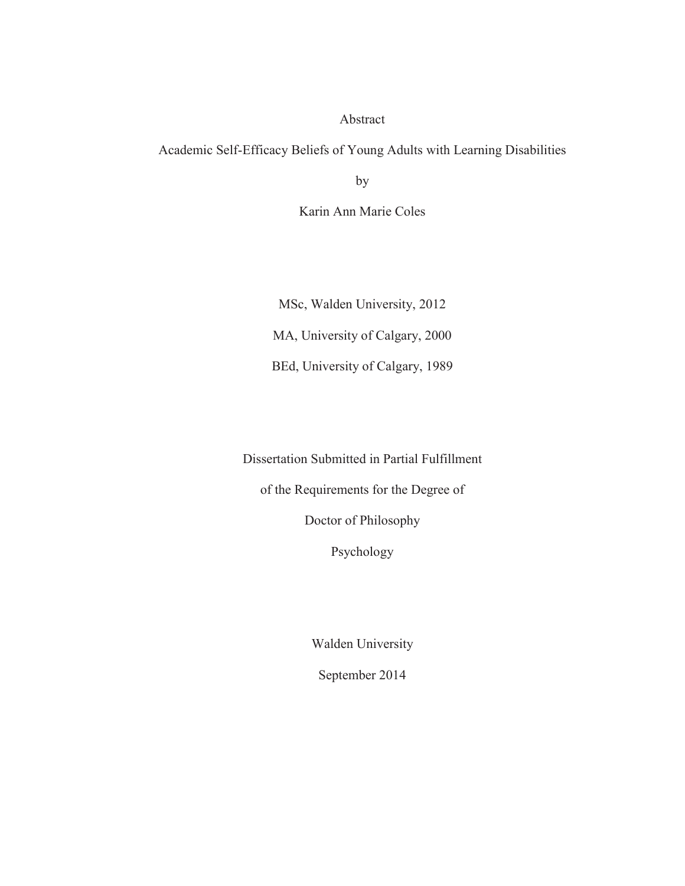#### Abstract

Academic Self-Efficacy Beliefs of Young Adults with Learning Disabilities

by

Karin Ann Marie Coles

MSc, Walden University, 2012 MA, University of Calgary, 2000 BEd, University of Calgary, 1989

Dissertation Submitted in Partial Fulfillment

of the Requirements for the Degree of

Doctor of Philosophy

Psychology

Walden University

September 2014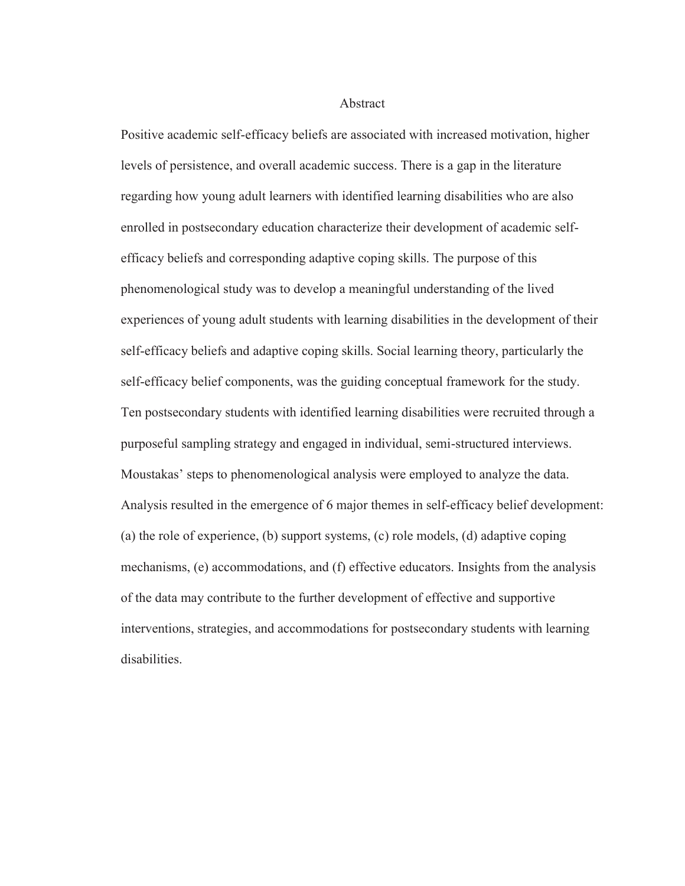#### Abstract

Positive academic self-efficacy beliefs are associated with increased motivation, higher levels of persistence, and overall academic success. There is a gap in the literature regarding how young adult learners with identified learning disabilities who are also enrolled in postsecondary education characterize their development of academic selfefficacy beliefs and corresponding adaptive coping skills. The purpose of this phenomenological study was to develop a meaningful understanding of the lived experiences of young adult students with learning disabilities in the development of their self-efficacy beliefs and adaptive coping skills. Social learning theory, particularly the self-efficacy belief components, was the guiding conceptual framework for the study. Ten postsecondary students with identified learning disabilities were recruited through a purposeful sampling strategy and engaged in individual, semi-structured interviews. Moustakas' steps to phenomenological analysis were employed to analyze the data. Analysis resulted in the emergence of 6 major themes in self-efficacy belief development: (a) the role of experience, (b) support systems, (c) role models, (d) adaptive coping mechanisms, (e) accommodations, and (f) effective educators. Insights from the analysis of the data may contribute to the further development of effective and supportive interventions, strategies, and accommodations for postsecondary students with learning disabilities.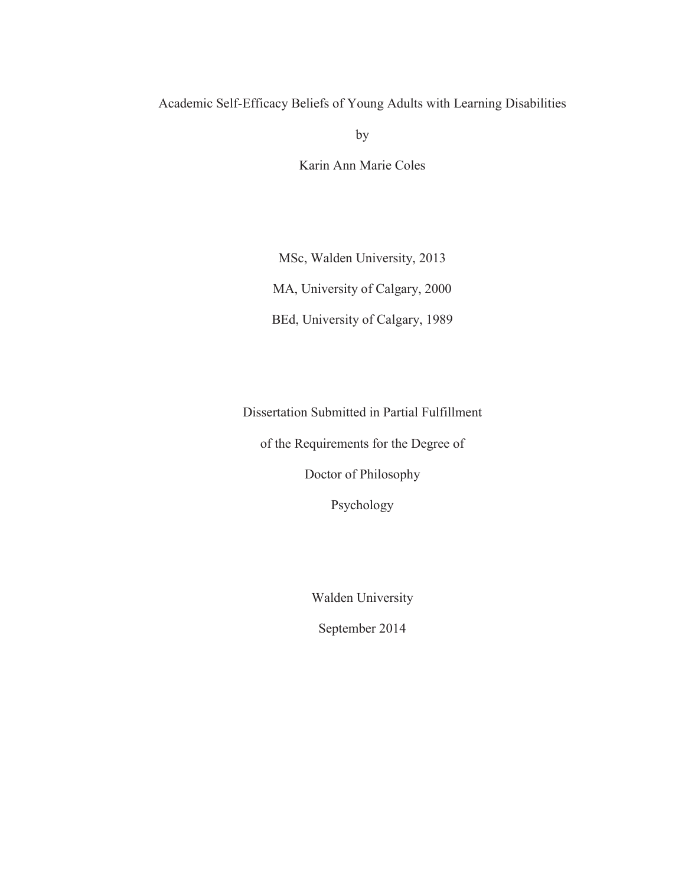### Academic Self-Efficacy Beliefs of Young Adults with Learning Disabilities

by

Karin Ann Marie Coles

MSc, Walden University, 2013 MA, University of Calgary, 2000 BEd, University of Calgary, 1989

Dissertation Submitted in Partial Fulfillment

of the Requirements for the Degree of

Doctor of Philosophy

Psychology

Walden University

September 2014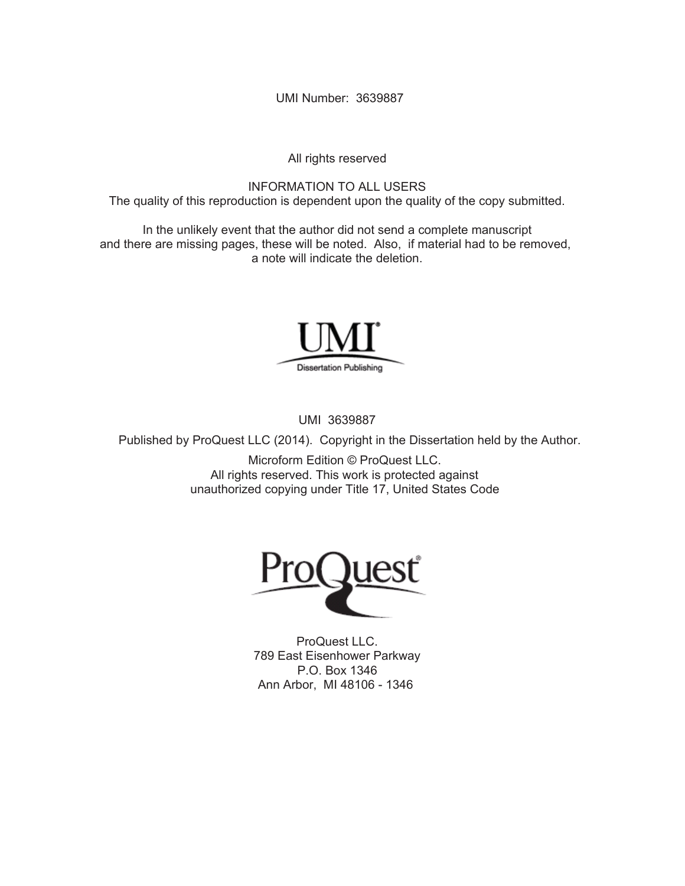UMI Number: 3639887

All rights reserved

INFORMATION TO ALL USERS The quality of this reproduction is dependent upon the quality of the copy submitted.

In the unlikely event that the author did not send a complete manuscript and there are missing pages, these will be noted. Also, if material had to be removed, a note will indicate the deletion.



UMI 3639887

Published by ProQuest LLC (2014). Copyright in the Dissertation held by the Author.

Microform Edition © ProQuest LLC. All rights reserved. This work is protected against unauthorized copying under Title 17, United States Code



ProQuest LLC. 789 East Eisenhower Parkway P.O. Box 1346 Ann Arbor, MI 48106 - 1346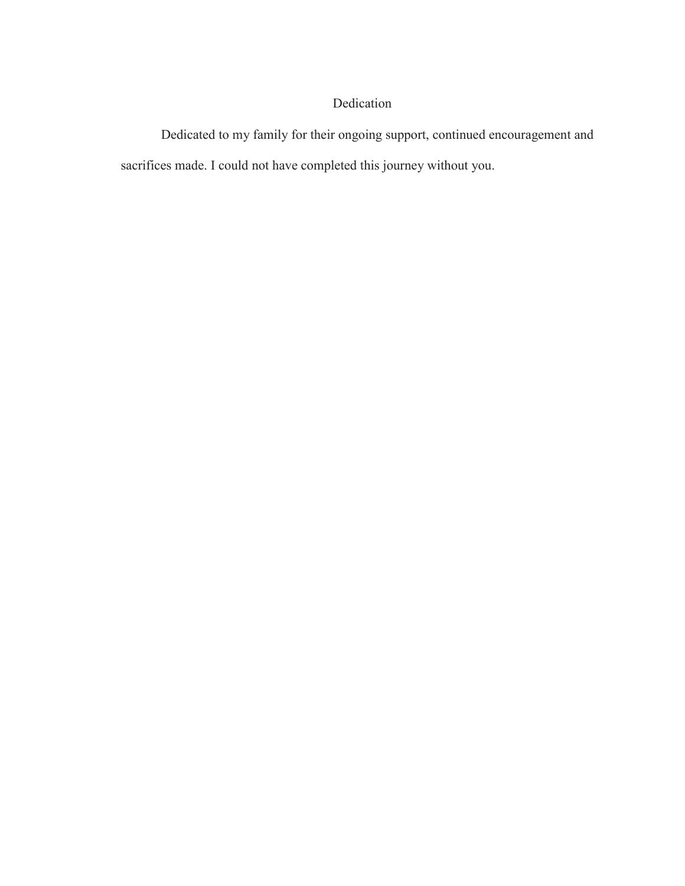## Dedication

Dedicated to my family for their ongoing support, continued encouragement and sacrifices made. I could not have completed this journey without you.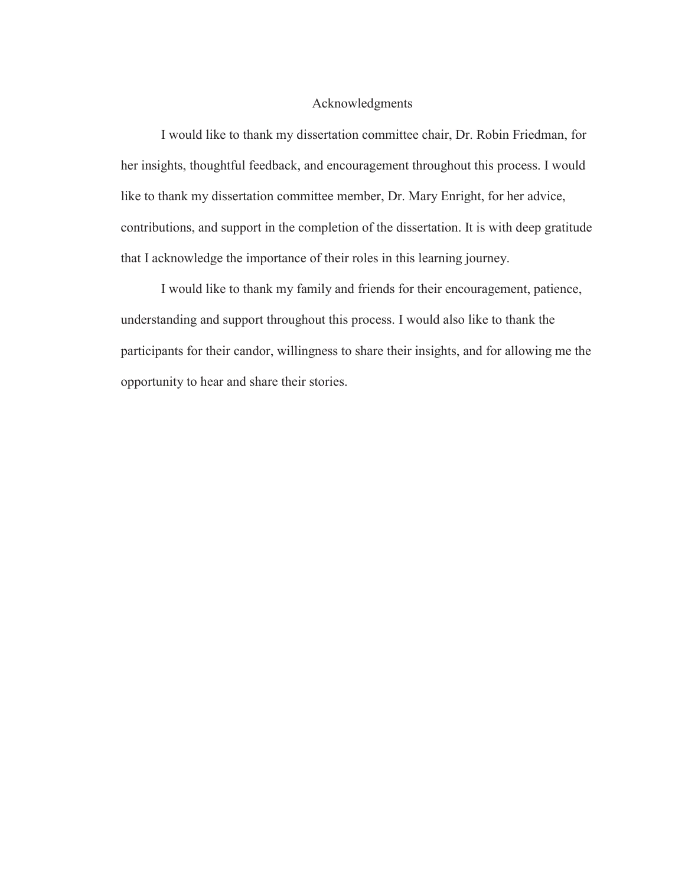#### Acknowledgments

I would like to thank my dissertation committee chair, Dr. Robin Friedman, for her insights, thoughtful feedback, and encouragement throughout this process. I would like to thank my dissertation committee member, Dr. Mary Enright, for her advice, contributions, and support in the completion of the dissertation. It is with deep gratitude that I acknowledge the importance of their roles in this learning journey.

I would like to thank my family and friends for their encouragement, patience, understanding and support throughout this process. I would also like to thank the participants for their candor, willingness to share their insights, and for allowing me the opportunity to hear and share their stories.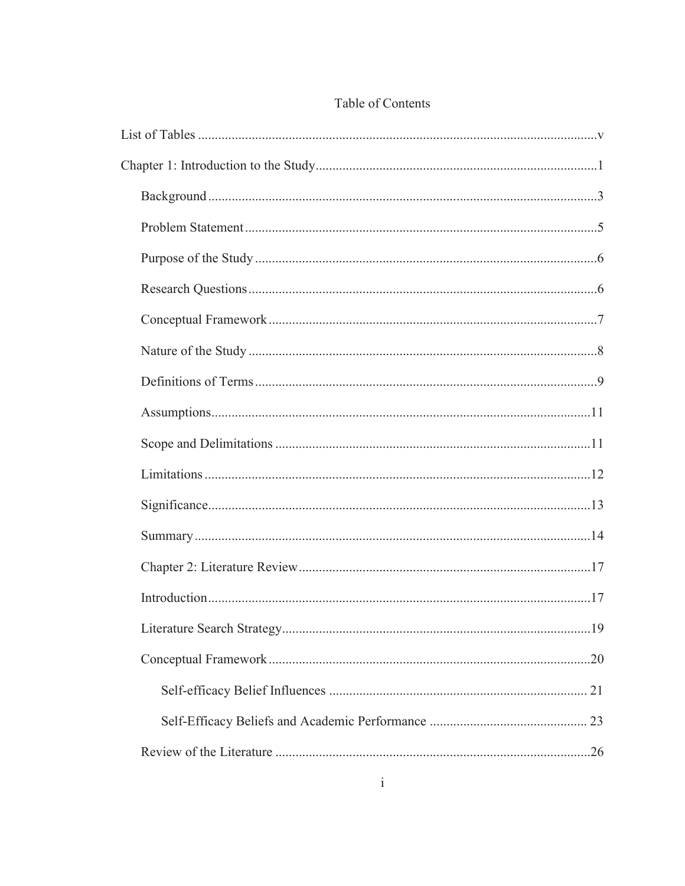# Table of Contents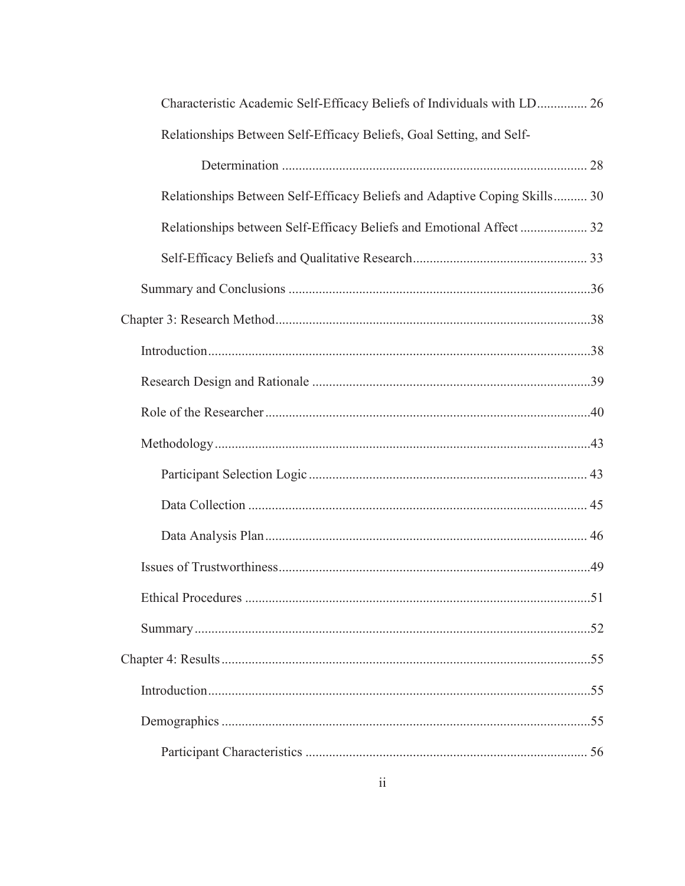| Characteristic Academic Self-Efficacy Beliefs of Individuals with LD 26   |  |
|---------------------------------------------------------------------------|--|
| Relationships Between Self-Efficacy Beliefs, Goal Setting, and Self-      |  |
|                                                                           |  |
| Relationships Between Self-Efficacy Beliefs and Adaptive Coping Skills 30 |  |
| Relationships between Self-Efficacy Beliefs and Emotional Affect  32      |  |
|                                                                           |  |
|                                                                           |  |
|                                                                           |  |
|                                                                           |  |
|                                                                           |  |
|                                                                           |  |
|                                                                           |  |
|                                                                           |  |
|                                                                           |  |
|                                                                           |  |
|                                                                           |  |
|                                                                           |  |
|                                                                           |  |
|                                                                           |  |
|                                                                           |  |
|                                                                           |  |
|                                                                           |  |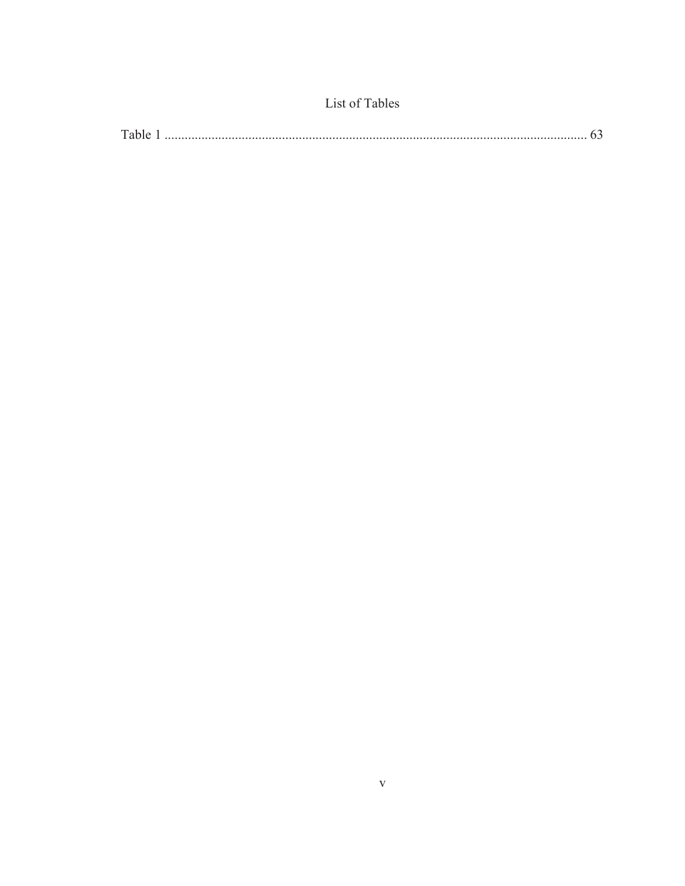| Table |  |
|-------|--|

List of Tables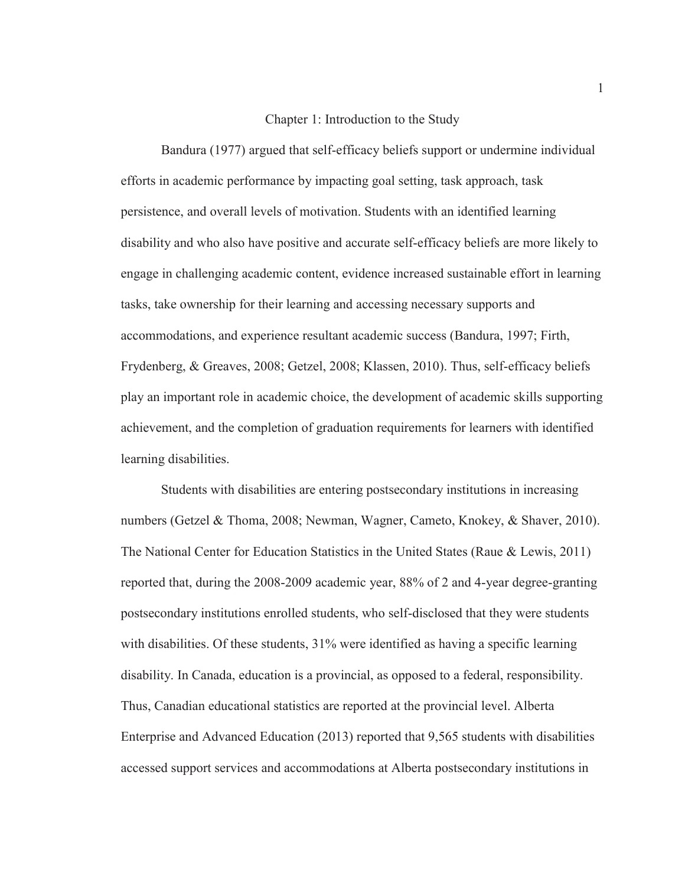#### Chapter 1: Introduction to the Study

Bandura (1977) argued that self-efficacy beliefs support or undermine individual efforts in academic performance by impacting goal setting, task approach, task persistence, and overall levels of motivation. Students with an identified learning disability and who also have positive and accurate self-efficacy beliefs are more likely to engage in challenging academic content, evidence increased sustainable effort in learning tasks, take ownership for their learning and accessing necessary supports and accommodations, and experience resultant academic success (Bandura, 1997; Firth, Frydenberg, & Greaves, 2008; Getzel, 2008; Klassen, 2010). Thus, self-efficacy beliefs play an important role in academic choice, the development of academic skills supporting achievement, and the completion of graduation requirements for learners with identified learning disabilities.

Students with disabilities are entering postsecondary institutions in increasing numbers (Getzel & Thoma, 2008; Newman, Wagner, Cameto, Knokey, & Shaver, 2010). The National Center for Education Statistics in the United States (Raue & Lewis, 2011) reported that, during the 2008-2009 academic year, 88% of 2 and 4-year degree-granting postsecondary institutions enrolled students, who self-disclosed that they were students with disabilities. Of these students, 31% were identified as having a specific learning disability. In Canada, education is a provincial, as opposed to a federal, responsibility. Thus, Canadian educational statistics are reported at the provincial level. Alberta Enterprise and Advanced Education (2013) reported that 9,565 students with disabilities accessed support services and accommodations at Alberta postsecondary institutions in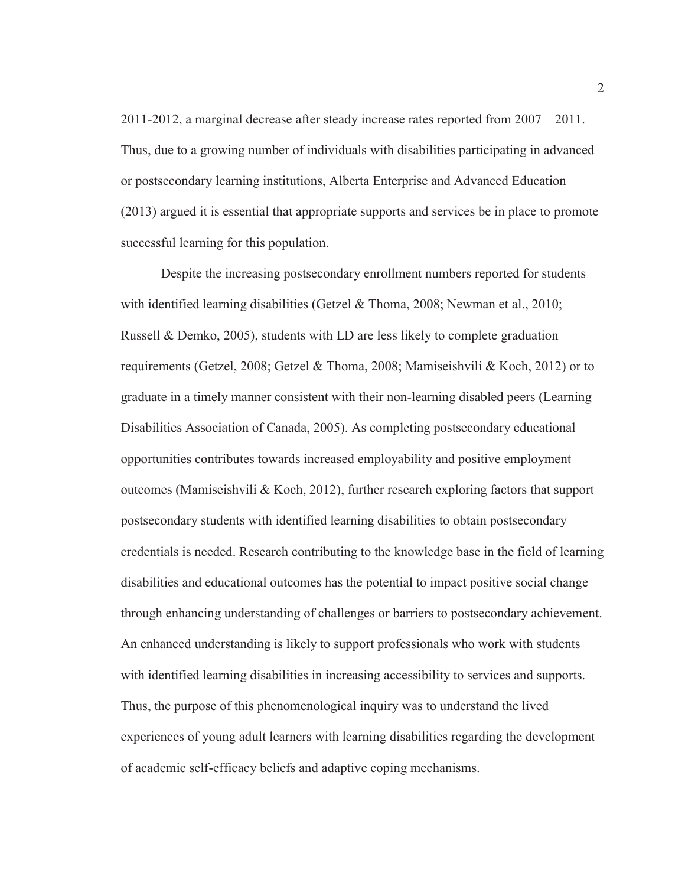2011-2012, a marginal decrease after steady increase rates reported from 2007 – 2011. Thus, due to a growing number of individuals with disabilities participating in advanced or postsecondary learning institutions, Alberta Enterprise and Advanced Education (2013) argued it is essential that appropriate supports and services be in place to promote successful learning for this population.

 Despite the increasing postsecondary enrollment numbers reported for students with identified learning disabilities (Getzel & Thoma, 2008; Newman et al., 2010; Russell & Demko, 2005), students with LD are less likely to complete graduation requirements (Getzel, 2008; Getzel & Thoma, 2008; Mamiseishvili & Koch, 2012) or to graduate in a timely manner consistent with their non-learning disabled peers (Learning Disabilities Association of Canada, 2005). As completing postsecondary educational opportunities contributes towards increased employability and positive employment outcomes (Mamiseishvili & Koch, 2012), further research exploring factors that support postsecondary students with identified learning disabilities to obtain postsecondary credentials is needed. Research contributing to the knowledge base in the field of learning disabilities and educational outcomes has the potential to impact positive social change through enhancing understanding of challenges or barriers to postsecondary achievement. An enhanced understanding is likely to support professionals who work with students with identified learning disabilities in increasing accessibility to services and supports. Thus, the purpose of this phenomenological inquiry was to understand the lived experiences of young adult learners with learning disabilities regarding the development of academic self-efficacy beliefs and adaptive coping mechanisms.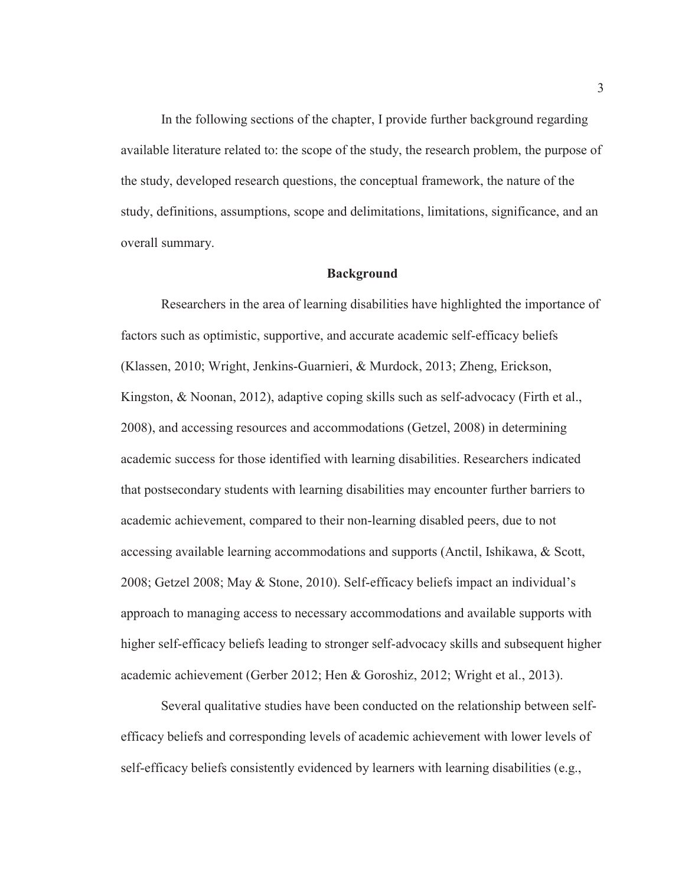In the following sections of the chapter, I provide further background regarding available literature related to: the scope of the study, the research problem, the purpose of the study, developed research questions, the conceptual framework, the nature of the study, definitions, assumptions, scope and delimitations, limitations, significance, and an overall summary.

#### **Background**

Researchers in the area of learning disabilities have highlighted the importance of factors such as optimistic, supportive, and accurate academic self-efficacy beliefs (Klassen, 2010; Wright, Jenkins-Guarnieri, & Murdock, 2013; Zheng, Erickson, Kingston, & Noonan, 2012), adaptive coping skills such as self-advocacy (Firth et al., 2008), and accessing resources and accommodations (Getzel, 2008) in determining academic success for those identified with learning disabilities. Researchers indicated that postsecondary students with learning disabilities may encounter further barriers to academic achievement, compared to their non-learning disabled peers, due to not accessing available learning accommodations and supports (Anctil, Ishikawa, & Scott, 2008; Getzel 2008; May & Stone, 2010). Self-efficacy beliefs impact an individual's approach to managing access to necessary accommodations and available supports with higher self-efficacy beliefs leading to stronger self-advocacy skills and subsequent higher academic achievement (Gerber 2012; Hen & Goroshiz, 2012; Wright et al., 2013).

Several qualitative studies have been conducted on the relationship between selfefficacy beliefs and corresponding levels of academic achievement with lower levels of self-efficacy beliefs consistently evidenced by learners with learning disabilities (e.g.,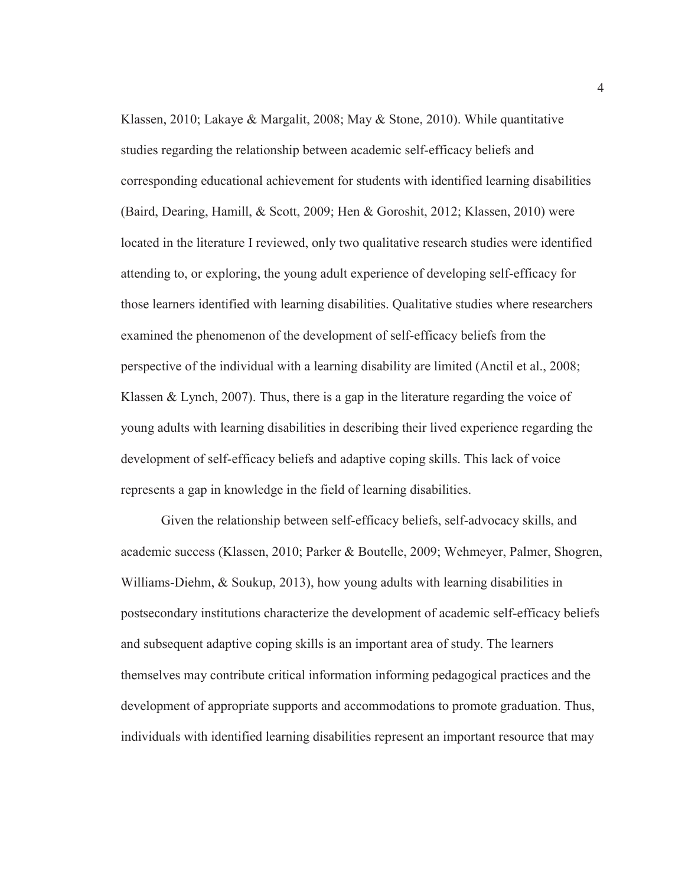Klassen, 2010; Lakaye & Margalit, 2008; May & Stone, 2010). While quantitative studies regarding the relationship between academic self-efficacy beliefs and corresponding educational achievement for students with identified learning disabilities (Baird, Dearing, Hamill, & Scott, 2009; Hen & Goroshit, 2012; Klassen, 2010) were located in the literature I reviewed, only two qualitative research studies were identified attending to, or exploring, the young adult experience of developing self-efficacy for those learners identified with learning disabilities. Qualitative studies where researchers examined the phenomenon of the development of self-efficacy beliefs from the perspective of the individual with a learning disability are limited (Anctil et al., 2008; Klassen & Lynch, 2007). Thus, there is a gap in the literature regarding the voice of young adults with learning disabilities in describing their lived experience regarding the development of self-efficacy beliefs and adaptive coping skills. This lack of voice represents a gap in knowledge in the field of learning disabilities.

Given the relationship between self-efficacy beliefs, self-advocacy skills, and academic success (Klassen, 2010; Parker & Boutelle, 2009; Wehmeyer, Palmer, Shogren, Williams-Diehm, & Soukup, 2013), how young adults with learning disabilities in postsecondary institutions characterize the development of academic self-efficacy beliefs and subsequent adaptive coping skills is an important area of study. The learners themselves may contribute critical information informing pedagogical practices and the development of appropriate supports and accommodations to promote graduation. Thus, individuals with identified learning disabilities represent an important resource that may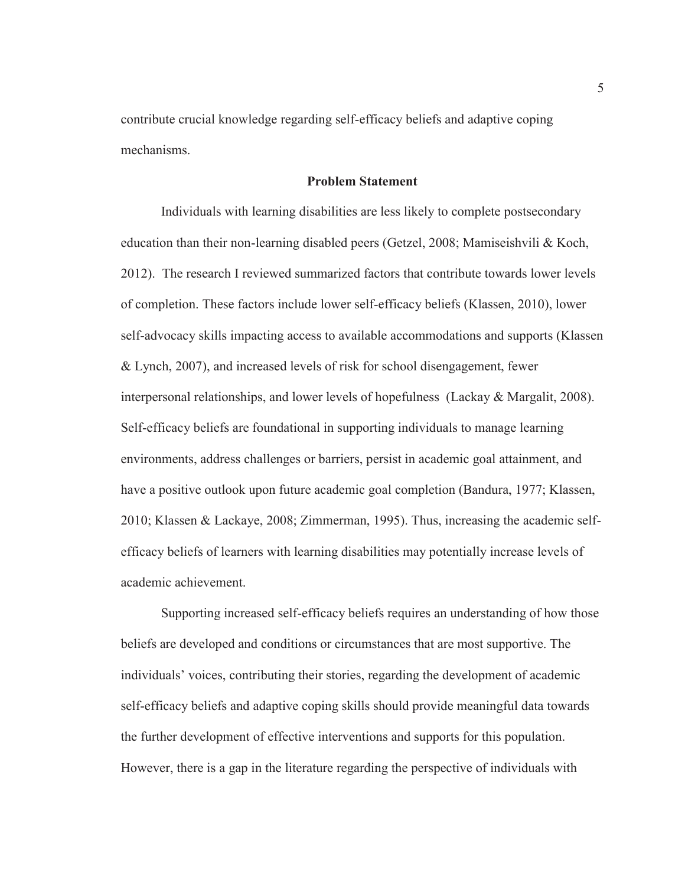contribute crucial knowledge regarding self-efficacy beliefs and adaptive coping mechanisms.

#### **Problem Statement**

Individuals with learning disabilities are less likely to complete postsecondary education than their non-learning disabled peers (Getzel, 2008; Mamiseishvili & Koch, 2012). The research I reviewed summarized factors that contribute towards lower levels of completion. These factors include lower self-efficacy beliefs (Klassen, 2010), lower self-advocacy skills impacting access to available accommodations and supports (Klassen & Lynch, 2007), and increased levels of risk for school disengagement, fewer interpersonal relationships, and lower levels of hopefulness (Lackay & Margalit, 2008). Self-efficacy beliefs are foundational in supporting individuals to manage learning environments, address challenges or barriers, persist in academic goal attainment, and have a positive outlook upon future academic goal completion (Bandura, 1977; Klassen, 2010; Klassen & Lackaye, 2008; Zimmerman, 1995). Thus, increasing the academic selfefficacy beliefs of learners with learning disabilities may potentially increase levels of academic achievement.

Supporting increased self-efficacy beliefs requires an understanding of how those beliefs are developed and conditions or circumstances that are most supportive. The individuals' voices, contributing their stories, regarding the development of academic self-efficacy beliefs and adaptive coping skills should provide meaningful data towards the further development of effective interventions and supports for this population. However, there is a gap in the literature regarding the perspective of individuals with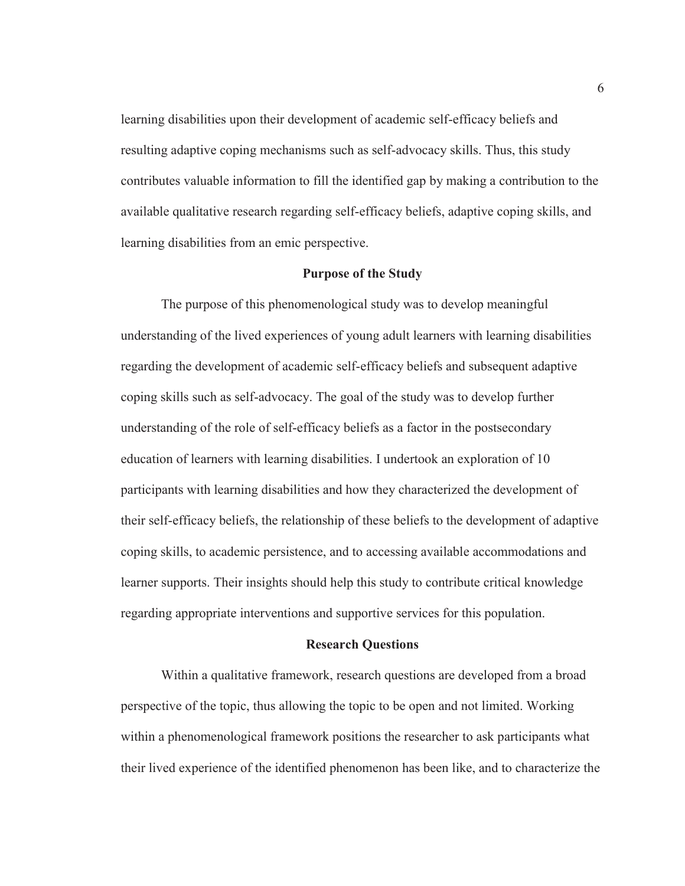learning disabilities upon their development of academic self-efficacy beliefs and resulting adaptive coping mechanisms such as self-advocacy skills. Thus, this study contributes valuable information to fill the identified gap by making a contribution to the available qualitative research regarding self-efficacy beliefs, adaptive coping skills, and learning disabilities from an emic perspective.

#### **Purpose of the Study**

The purpose of this phenomenological study was to develop meaningful understanding of the lived experiences of young adult learners with learning disabilities regarding the development of academic self-efficacy beliefs and subsequent adaptive coping skills such as self-advocacy. The goal of the study was to develop further understanding of the role of self-efficacy beliefs as a factor in the postsecondary education of learners with learning disabilities. I undertook an exploration of 10 participants with learning disabilities and how they characterized the development of their self-efficacy beliefs, the relationship of these beliefs to the development of adaptive coping skills, to academic persistence, and to accessing available accommodations and learner supports. Their insights should help this study to contribute critical knowledge regarding appropriate interventions and supportive services for this population.

#### **Research Questions**

Within a qualitative framework, research questions are developed from a broad perspective of the topic, thus allowing the topic to be open and not limited. Working within a phenomenological framework positions the researcher to ask participants what their lived experience of the identified phenomenon has been like, and to characterize the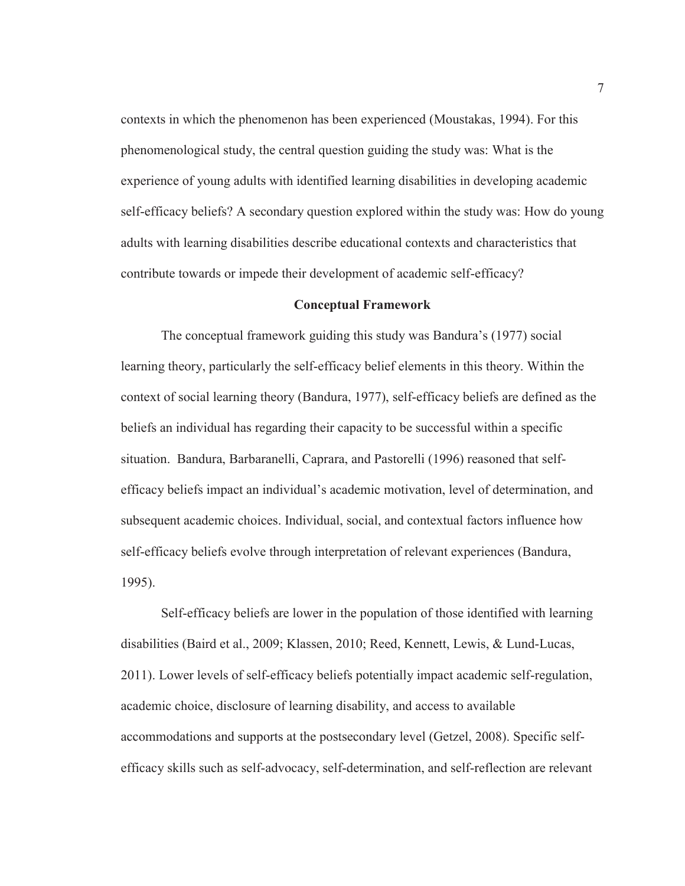contexts in which the phenomenon has been experienced (Moustakas, 1994). For this phenomenological study, the central question guiding the study was: What is the experience of young adults with identified learning disabilities in developing academic self-efficacy beliefs? A secondary question explored within the study was: How do young adults with learning disabilities describe educational contexts and characteristics that contribute towards or impede their development of academic self-efficacy?

#### **Conceptual Framework**

The conceptual framework guiding this study was Bandura's (1977) social learning theory, particularly the self-efficacy belief elements in this theory. Within the context of social learning theory (Bandura, 1977), self-efficacy beliefs are defined as the beliefs an individual has regarding their capacity to be successful within a specific situation. Bandura, Barbaranelli, Caprara, and Pastorelli (1996) reasoned that selfefficacy beliefs impact an individual's academic motivation, level of determination, and subsequent academic choices. Individual, social, and contextual factors influence how self-efficacy beliefs evolve through interpretation of relevant experiences (Bandura, 1995).

Self-efficacy beliefs are lower in the population of those identified with learning disabilities (Baird et al., 2009; Klassen, 2010; Reed, Kennett, Lewis, & Lund-Lucas, 2011). Lower levels of self-efficacy beliefs potentially impact academic self-regulation, academic choice, disclosure of learning disability, and access to available accommodations and supports at the postsecondary level (Getzel, 2008). Specific selfefficacy skills such as self-advocacy, self-determination, and self-reflection are relevant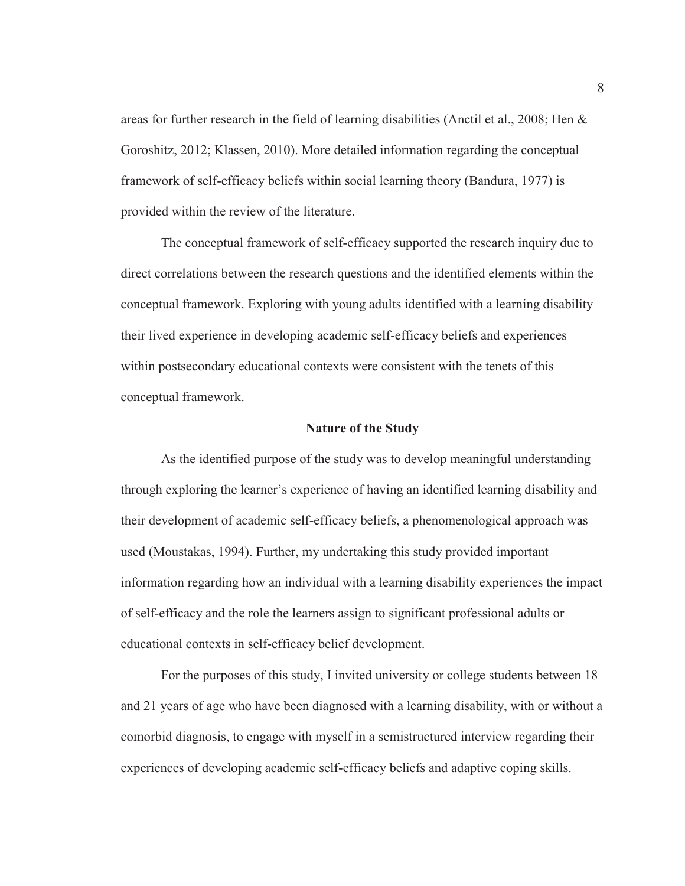areas for further research in the field of learning disabilities (Anctil et al., 2008; Hen & Goroshitz, 2012; Klassen, 2010). More detailed information regarding the conceptual framework of self-efficacy beliefs within social learning theory (Bandura, 1977) is provided within the review of the literature.

The conceptual framework of self-efficacy supported the research inquiry due to direct correlations between the research questions and the identified elements within the conceptual framework. Exploring with young adults identified with a learning disability their lived experience in developing academic self-efficacy beliefs and experiences within postsecondary educational contexts were consistent with the tenets of this conceptual framework.

#### **Nature of the Study**

As the identified purpose of the study was to develop meaningful understanding through exploring the learner's experience of having an identified learning disability and their development of academic self-efficacy beliefs, a phenomenological approach was used (Moustakas, 1994). Further, my undertaking this study provided important information regarding how an individual with a learning disability experiences the impact of self-efficacy and the role the learners assign to significant professional adults or educational contexts in self-efficacy belief development.

For the purposes of this study, I invited university or college students between 18 and 21 years of age who have been diagnosed with a learning disability, with or without a comorbid diagnosis, to engage with myself in a semistructured interview regarding their experiences of developing academic self-efficacy beliefs and adaptive coping skills.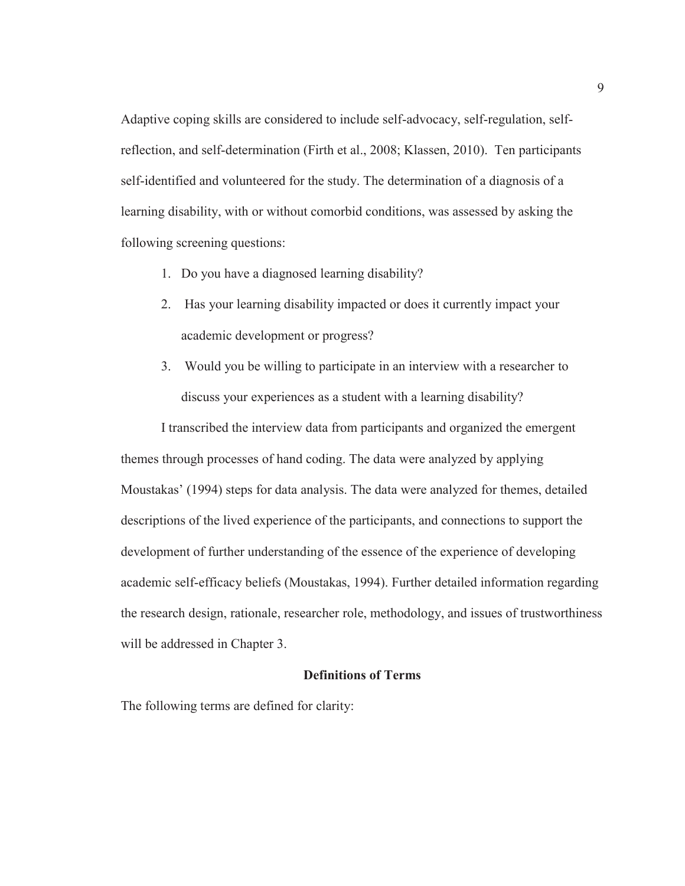Adaptive coping skills are considered to include self-advocacy, self-regulation, selfreflection, and self-determination (Firth et al., 2008; Klassen, 2010). Ten participants self-identified and volunteered for the study. The determination of a diagnosis of a learning disability, with or without comorbid conditions, was assessed by asking the following screening questions:

- 1. Do you have a diagnosed learning disability?
- 2. Has your learning disability impacted or does it currently impact your academic development or progress?
- 3. Would you be willing to participate in an interview with a researcher to discuss your experiences as a student with a learning disability?

I transcribed the interview data from participants and organized the emergent themes through processes of hand coding. The data were analyzed by applying Moustakas' (1994) steps for data analysis. The data were analyzed for themes, detailed descriptions of the lived experience of the participants, and connections to support the development of further understanding of the essence of the experience of developing academic self-efficacy beliefs (Moustakas, 1994). Further detailed information regarding the research design, rationale, researcher role, methodology, and issues of trustworthiness will be addressed in Chapter 3.

#### **Definitions of Terms**

The following terms are defined for clarity: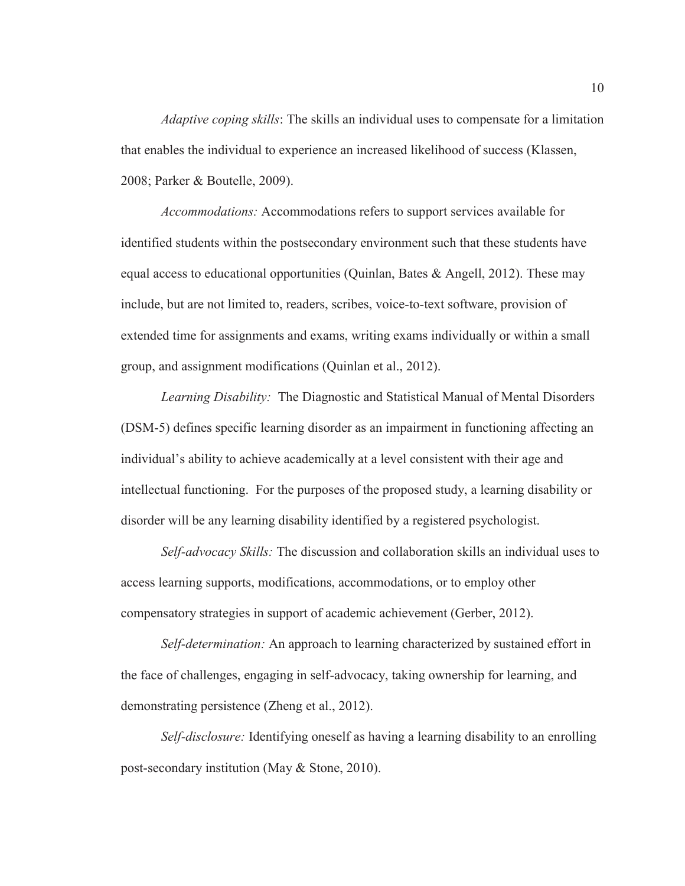*Adaptive coping skills*: The skills an individual uses to compensate for a limitation that enables the individual to experience an increased likelihood of success (Klassen, 2008; Parker & Boutelle, 2009).

*Accommodations:* Accommodations refers to support services available for identified students within the postsecondary environment such that these students have equal access to educational opportunities (Quinlan, Bates & Angell, 2012). These may include, but are not limited to, readers, scribes, voice-to-text software, provision of extended time for assignments and exams, writing exams individually or within a small group, and assignment modifications (Quinlan et al., 2012).

*Learning Disability:* The Diagnostic and Statistical Manual of Mental Disorders (DSM-5) defines specific learning disorder as an impairment in functioning affecting an individual's ability to achieve academically at a level consistent with their age and intellectual functioning. For the purposes of the proposed study, a learning disability or disorder will be any learning disability identified by a registered psychologist.

*Self-advocacy Skills:* The discussion and collaboration skills an individual uses to access learning supports, modifications, accommodations, or to employ other compensatory strategies in support of academic achievement (Gerber, 2012).

*Self-determination:* An approach to learning characterized by sustained effort in the face of challenges, engaging in self-advocacy, taking ownership for learning, and demonstrating persistence (Zheng et al., 2012).

*Self-disclosure:* Identifying oneself as having a learning disability to an enrolling post-secondary institution (May & Stone, 2010).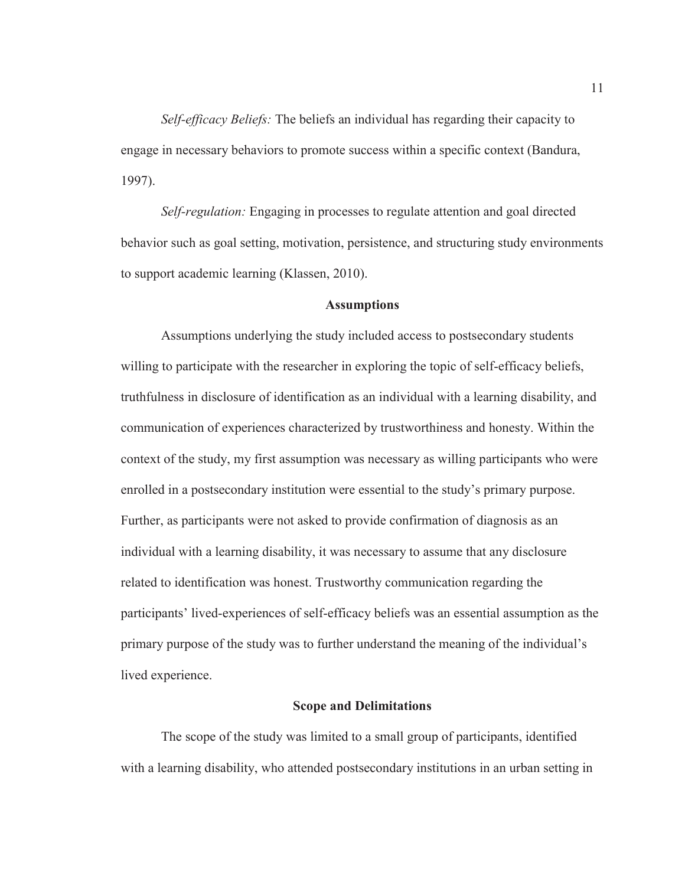*Self-efficacy Beliefs:* The beliefs an individual has regarding their capacity to engage in necessary behaviors to promote success within a specific context (Bandura, 1997).

*Self-regulation:* Engaging in processes to regulate attention and goal directed behavior such as goal setting, motivation, persistence, and structuring study environments to support academic learning (Klassen, 2010).

#### **Assumptions**

Assumptions underlying the study included access to postsecondary students willing to participate with the researcher in exploring the topic of self-efficacy beliefs, truthfulness in disclosure of identification as an individual with a learning disability, and communication of experiences characterized by trustworthiness and honesty. Within the context of the study, my first assumption was necessary as willing participants who were enrolled in a postsecondary institution were essential to the study's primary purpose. Further, as participants were not asked to provide confirmation of diagnosis as an individual with a learning disability, it was necessary to assume that any disclosure related to identification was honest. Trustworthy communication regarding the participants' lived-experiences of self-efficacy beliefs was an essential assumption as the primary purpose of the study was to further understand the meaning of the individual's lived experience.

#### **Scope and Delimitations**

The scope of the study was limited to a small group of participants, identified with a learning disability, who attended postsecondary institutions in an urban setting in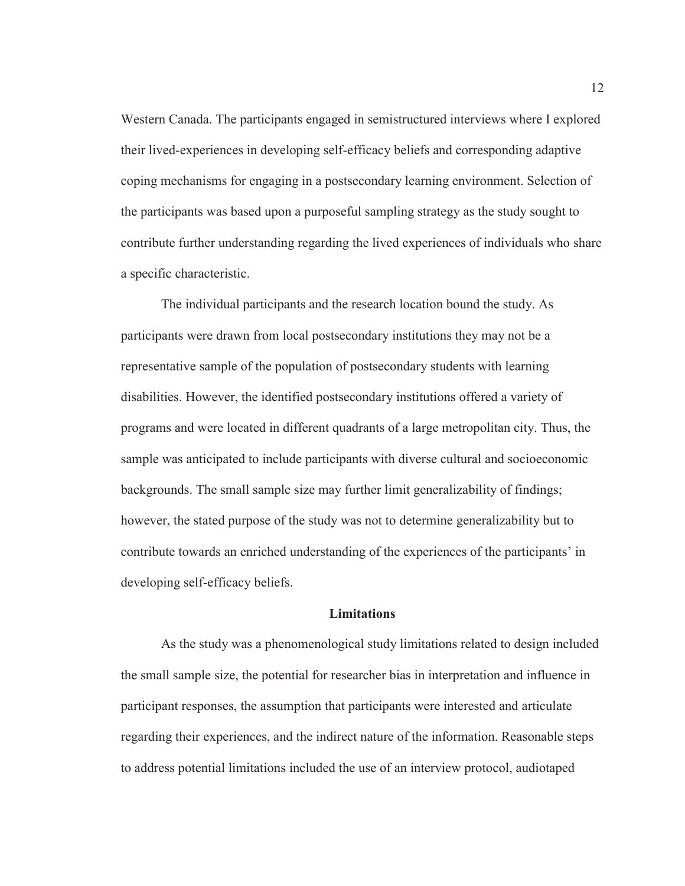Western Canada. The participants engaged in semistructured interviews where I explored their lived-experiences in developing self-efficacy beliefs and corresponding adaptive coping mechanisms for engaging in a postsecondary learning environment. Selection of the participants was based upon a purposeful sampling strategy as the study sought to contribute further understanding regarding the lived experiences of individuals who share a specific characteristic.

The individual participants and the research location bound the study. As participants were drawn from local postsecondary institutions they may not be a representative sample of the population of postsecondary students with learning disabilities. However, the identified postsecondary institutions offered a variety of programs and were located in different quadrants of a large metropolitan city. Thus, the sample was anticipated to include participants with diverse cultural and socioeconomic backgrounds. The small sample size may further limit generalizability of findings; however, the stated purpose of the study was not to determine generalizability but to contribute towards an enriched understanding of the experiences of the participants' in developing self-efficacy beliefs.

#### **Limitations**

As the study was a phenomenological study limitations related to design included the small sample size, the potential for researcher bias in interpretation and influence in participant responses, the assumption that participants were interested and articulate regarding their experiences, and the indirect nature of the information. Reasonable steps to address potential limitations included the use of an interview protocol, audiotaped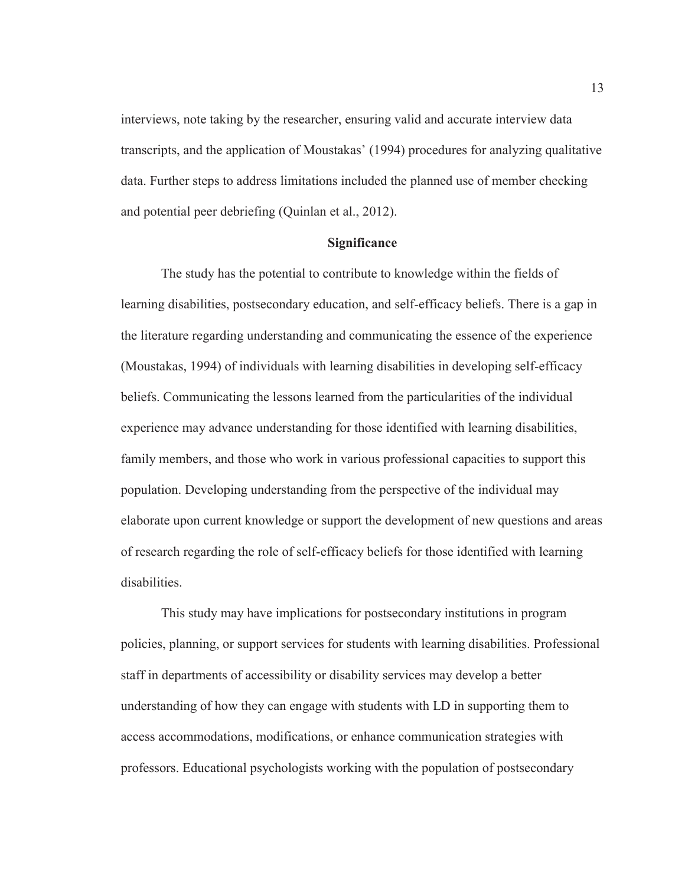interviews, note taking by the researcher, ensuring valid and accurate interview data transcripts, and the application of Moustakas' (1994) procedures for analyzing qualitative data. Further steps to address limitations included the planned use of member checking and potential peer debriefing (Quinlan et al., 2012).

#### **Significance**

The study has the potential to contribute to knowledge within the fields of learning disabilities, postsecondary education, and self-efficacy beliefs. There is a gap in the literature regarding understanding and communicating the essence of the experience (Moustakas, 1994) of individuals with learning disabilities in developing self-efficacy beliefs. Communicating the lessons learned from the particularities of the individual experience may advance understanding for those identified with learning disabilities, family members, and those who work in various professional capacities to support this population. Developing understanding from the perspective of the individual may elaborate upon current knowledge or support the development of new questions and areas of research regarding the role of self-efficacy beliefs for those identified with learning disabilities.

This study may have implications for postsecondary institutions in program policies, planning, or support services for students with learning disabilities. Professional staff in departments of accessibility or disability services may develop a better understanding of how they can engage with students with LD in supporting them to access accommodations, modifications, or enhance communication strategies with professors. Educational psychologists working with the population of postsecondary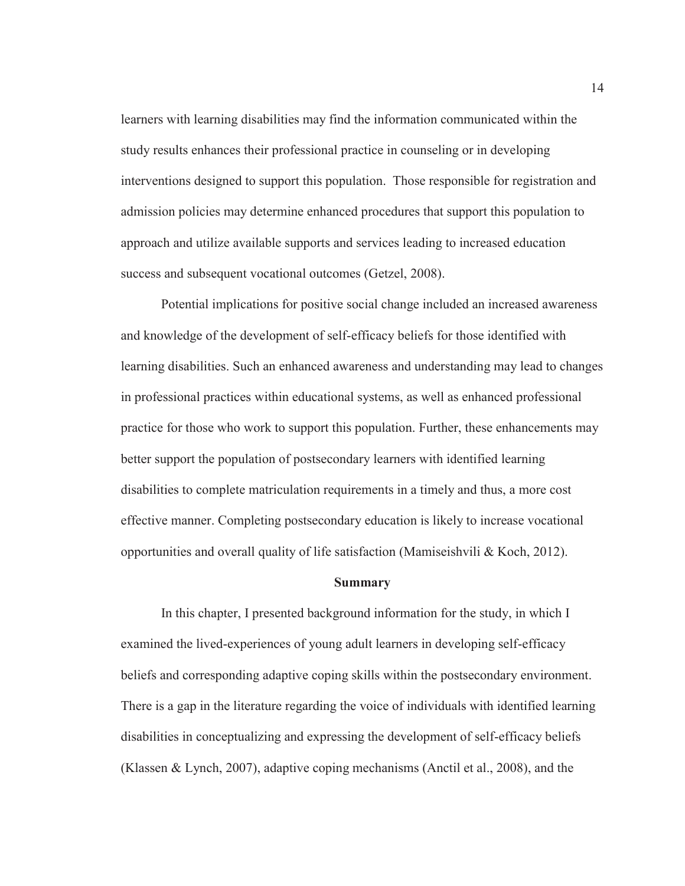learners with learning disabilities may find the information communicated within the study results enhances their professional practice in counseling or in developing interventions designed to support this population. Those responsible for registration and admission policies may determine enhanced procedures that support this population to approach and utilize available supports and services leading to increased education success and subsequent vocational outcomes (Getzel, 2008).

Potential implications for positive social change included an increased awareness and knowledge of the development of self-efficacy beliefs for those identified with learning disabilities. Such an enhanced awareness and understanding may lead to changes in professional practices within educational systems, as well as enhanced professional practice for those who work to support this population. Further, these enhancements may better support the population of postsecondary learners with identified learning disabilities to complete matriculation requirements in a timely and thus, a more cost effective manner. Completing postsecondary education is likely to increase vocational opportunities and overall quality of life satisfaction (Mamiseishvili  $&$  Koch, 2012).

#### **Summary**

In this chapter, I presented background information for the study, in which I examined the lived-experiences of young adult learners in developing self-efficacy beliefs and corresponding adaptive coping skills within the postsecondary environment. There is a gap in the literature regarding the voice of individuals with identified learning disabilities in conceptualizing and expressing the development of self-efficacy beliefs (Klassen & Lynch, 2007), adaptive coping mechanisms (Anctil et al., 2008), and the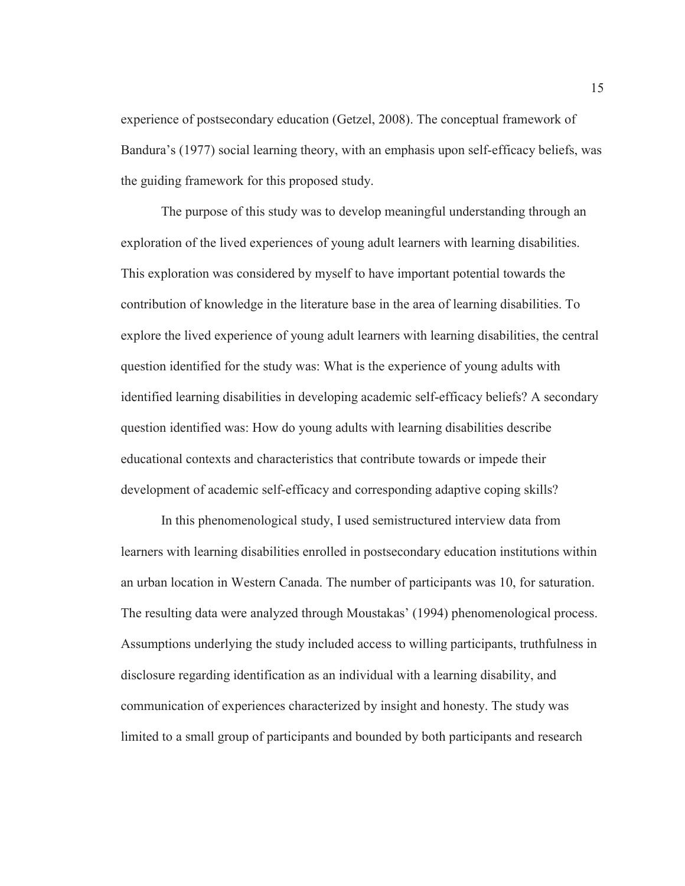experience of postsecondary education (Getzel, 2008). The conceptual framework of Bandura's (1977) social learning theory, with an emphasis upon self-efficacy beliefs, was the guiding framework for this proposed study.

The purpose of this study was to develop meaningful understanding through an exploration of the lived experiences of young adult learners with learning disabilities. This exploration was considered by myself to have important potential towards the contribution of knowledge in the literature base in the area of learning disabilities. To explore the lived experience of young adult learners with learning disabilities, the central question identified for the study was: What is the experience of young adults with identified learning disabilities in developing academic self-efficacy beliefs? A secondary question identified was: How do young adults with learning disabilities describe educational contexts and characteristics that contribute towards or impede their development of academic self-efficacy and corresponding adaptive coping skills?

In this phenomenological study, I used semistructured interview data from learners with learning disabilities enrolled in postsecondary education institutions within an urban location in Western Canada. The number of participants was 10, for saturation. The resulting data were analyzed through Moustakas' (1994) phenomenological process. Assumptions underlying the study included access to willing participants, truthfulness in disclosure regarding identification as an individual with a learning disability, and communication of experiences characterized by insight and honesty. The study was limited to a small group of participants and bounded by both participants and research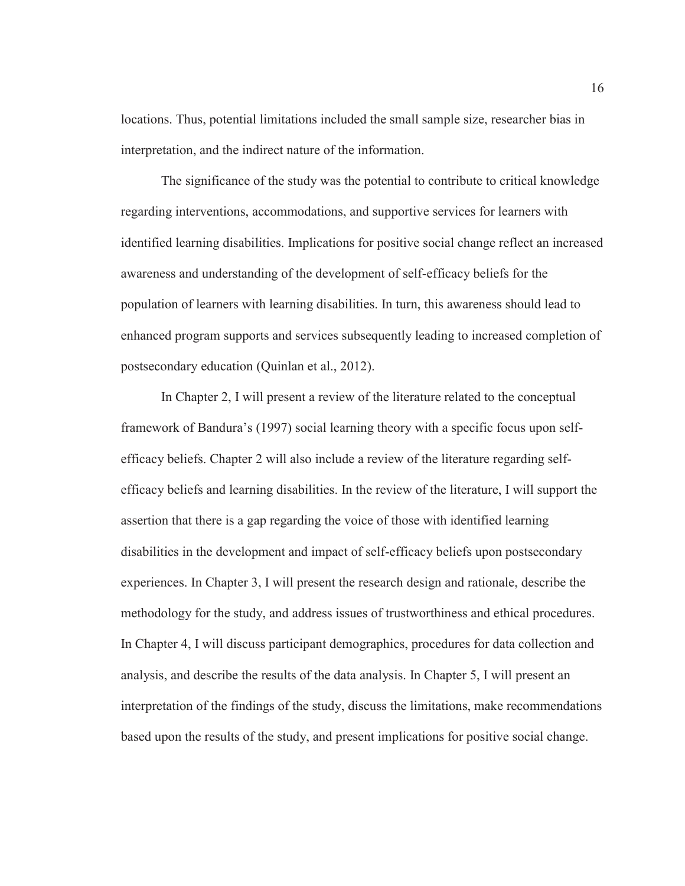locations. Thus, potential limitations included the small sample size, researcher bias in interpretation, and the indirect nature of the information.

The significance of the study was the potential to contribute to critical knowledge regarding interventions, accommodations, and supportive services for learners with identified learning disabilities. Implications for positive social change reflect an increased awareness and understanding of the development of self-efficacy beliefs for the population of learners with learning disabilities. In turn, this awareness should lead to enhanced program supports and services subsequently leading to increased completion of postsecondary education (Quinlan et al., 2012).

In Chapter 2, I will present a review of the literature related to the conceptual framework of Bandura's (1997) social learning theory with a specific focus upon selfefficacy beliefs. Chapter 2 will also include a review of the literature regarding selfefficacy beliefs and learning disabilities. In the review of the literature, I will support the assertion that there is a gap regarding the voice of those with identified learning disabilities in the development and impact of self-efficacy beliefs upon postsecondary experiences. In Chapter 3, I will present the research design and rationale, describe the methodology for the study, and address issues of trustworthiness and ethical procedures. In Chapter 4, I will discuss participant demographics, procedures for data collection and analysis, and describe the results of the data analysis. In Chapter 5, I will present an interpretation of the findings of the study, discuss the limitations, make recommendations based upon the results of the study, and present implications for positive social change.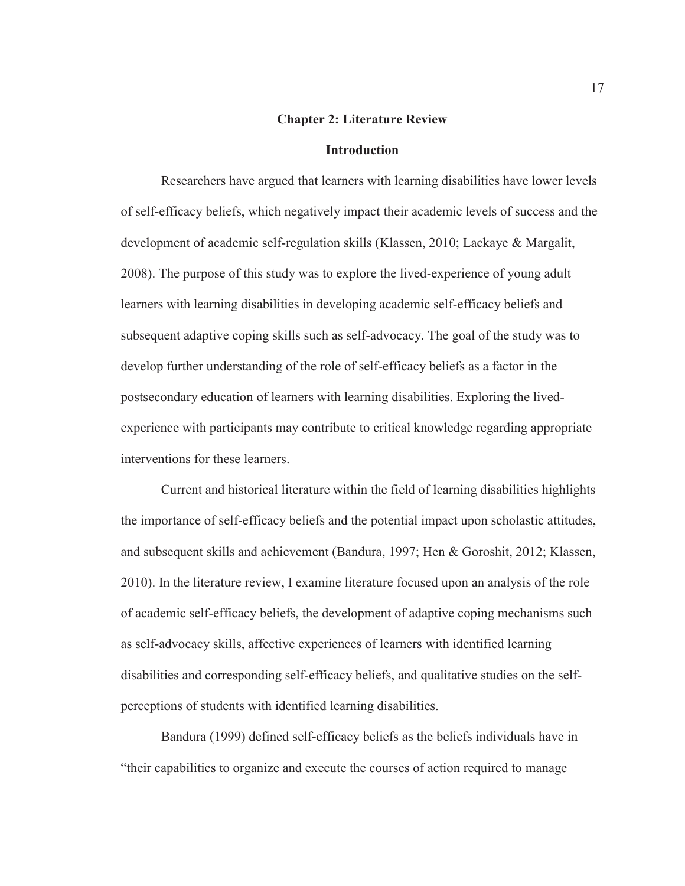#### **Chapter 2: Literature Review**

#### **Introduction**

Researchers have argued that learners with learning disabilities have lower levels of self-efficacy beliefs, which negatively impact their academic levels of success and the development of academic self-regulation skills (Klassen, 2010; Lackaye & Margalit, 2008). The purpose of this study was to explore the lived-experience of young adult learners with learning disabilities in developing academic self-efficacy beliefs and subsequent adaptive coping skills such as self-advocacy. The goal of the study was to develop further understanding of the role of self-efficacy beliefs as a factor in the postsecondary education of learners with learning disabilities. Exploring the livedexperience with participants may contribute to critical knowledge regarding appropriate interventions for these learners.

Current and historical literature within the field of learning disabilities highlights the importance of self-efficacy beliefs and the potential impact upon scholastic attitudes, and subsequent skills and achievement (Bandura, 1997; Hen & Goroshit, 2012; Klassen, 2010). In the literature review, I examine literature focused upon an analysis of the role of academic self-efficacy beliefs, the development of adaptive coping mechanisms such as self-advocacy skills, affective experiences of learners with identified learning disabilities and corresponding self-efficacy beliefs, and qualitative studies on the selfperceptions of students with identified learning disabilities.

Bandura (1999) defined self-efficacy beliefs as the beliefs individuals have in "their capabilities to organize and execute the courses of action required to manage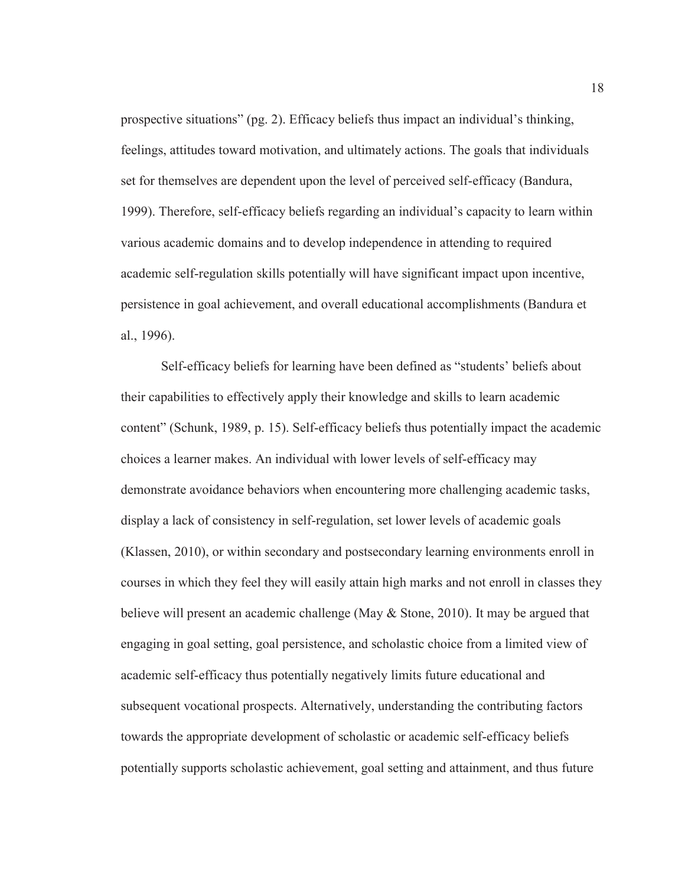prospective situations" (pg. 2). Efficacy beliefs thus impact an individual's thinking, feelings, attitudes toward motivation, and ultimately actions. The goals that individuals set for themselves are dependent upon the level of perceived self-efficacy (Bandura, 1999). Therefore, self-efficacy beliefs regarding an individual's capacity to learn within various academic domains and to develop independence in attending to required academic self-regulation skills potentially will have significant impact upon incentive, persistence in goal achievement, and overall educational accomplishments (Bandura et al., 1996).

Self-efficacy beliefs for learning have been defined as "students' beliefs about their capabilities to effectively apply their knowledge and skills to learn academic content" (Schunk, 1989, p. 15). Self-efficacy beliefs thus potentially impact the academic choices a learner makes. An individual with lower levels of self-efficacy may demonstrate avoidance behaviors when encountering more challenging academic tasks, display a lack of consistency in self-regulation, set lower levels of academic goals (Klassen, 2010), or within secondary and postsecondary learning environments enroll in courses in which they feel they will easily attain high marks and not enroll in classes they believe will present an academic challenge (May & Stone, 2010). It may be argued that engaging in goal setting, goal persistence, and scholastic choice from a limited view of academic self-efficacy thus potentially negatively limits future educational and subsequent vocational prospects. Alternatively, understanding the contributing factors towards the appropriate development of scholastic or academic self-efficacy beliefs potentially supports scholastic achievement, goal setting and attainment, and thus future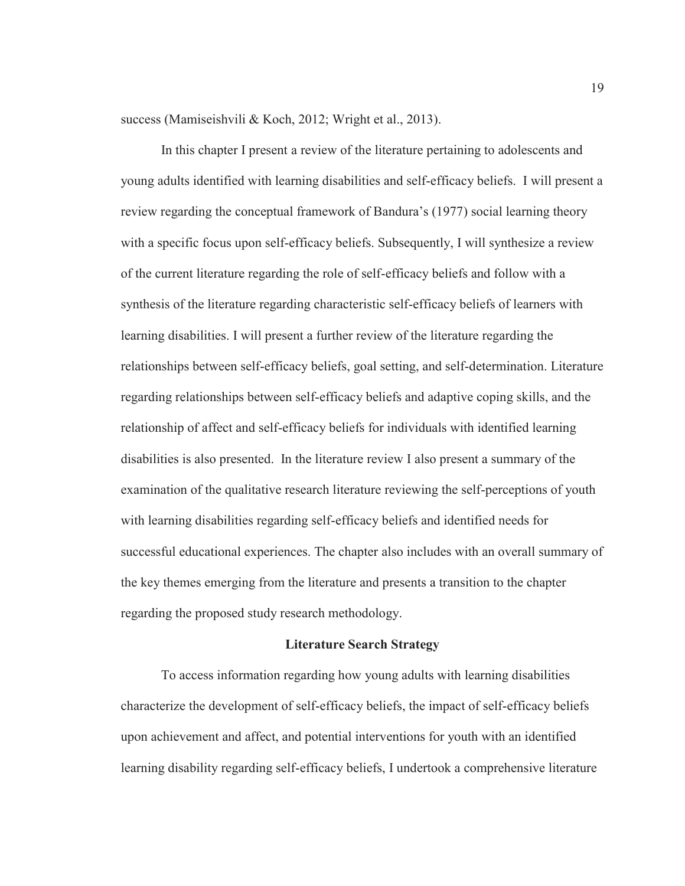success (Mamiseishvili & Koch, 2012; Wright et al., 2013).

In this chapter I present a review of the literature pertaining to adolescents and young adults identified with learning disabilities and self-efficacy beliefs. I will present a review regarding the conceptual framework of Bandura's (1977) social learning theory with a specific focus upon self-efficacy beliefs. Subsequently, I will synthesize a review of the current literature regarding the role of self-efficacy beliefs and follow with a synthesis of the literature regarding characteristic self-efficacy beliefs of learners with learning disabilities. I will present a further review of the literature regarding the relationships between self-efficacy beliefs, goal setting, and self-determination. Literature regarding relationships between self-efficacy beliefs and adaptive coping skills, and the relationship of affect and self-efficacy beliefs for individuals with identified learning disabilities is also presented. In the literature review I also present a summary of the examination of the qualitative research literature reviewing the self-perceptions of youth with learning disabilities regarding self-efficacy beliefs and identified needs for successful educational experiences. The chapter also includes with an overall summary of the key themes emerging from the literature and presents a transition to the chapter regarding the proposed study research methodology.

#### **Literature Search Strategy**

To access information regarding how young adults with learning disabilities characterize the development of self-efficacy beliefs, the impact of self-efficacy beliefs upon achievement and affect, and potential interventions for youth with an identified learning disability regarding self-efficacy beliefs, I undertook a comprehensive literature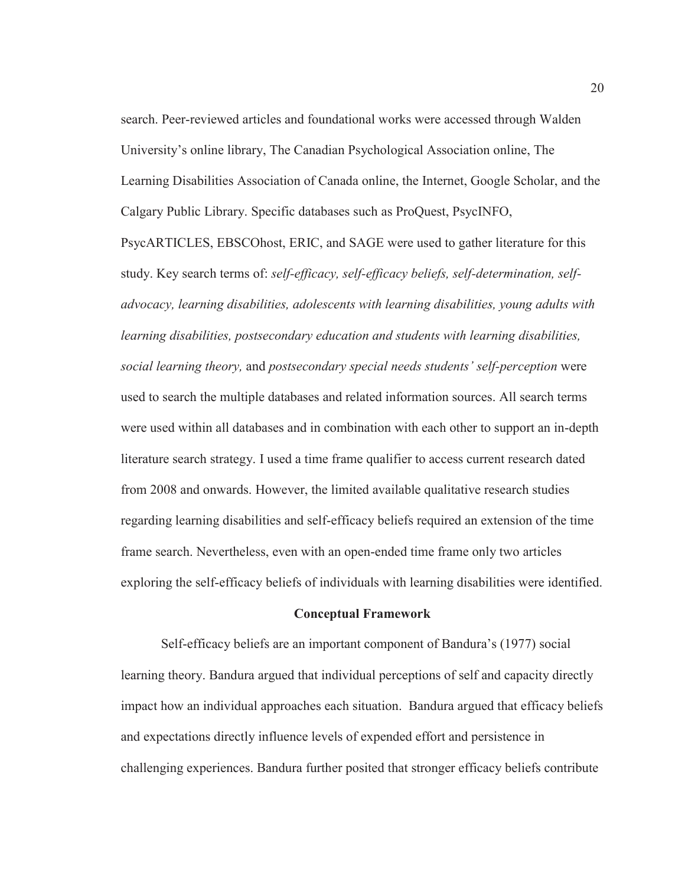search. Peer-reviewed articles and foundational works were accessed through Walden University's online library, The Canadian Psychological Association online, The Learning Disabilities Association of Canada online, the Internet, Google Scholar, and the Calgary Public Library. Specific databases such as ProQuest, PsycINFO,

PsycARTICLES, EBSCOhost, ERIC, and SAGE were used to gather literature for this study. Key search terms of: *self-efficacy, self-efficacy beliefs, self-determination, selfadvocacy, learning disabilities, adolescents with learning disabilities, young adults with learning disabilities, postsecondary education and students with learning disabilities, social learning theory,* and *postsecondary special needs students' self-perception* were used to search the multiple databases and related information sources. All search terms were used within all databases and in combination with each other to support an in-depth literature search strategy. I used a time frame qualifier to access current research dated from 2008 and onwards. However, the limited available qualitative research studies regarding learning disabilities and self-efficacy beliefs required an extension of the time frame search. Nevertheless, even with an open-ended time frame only two articles exploring the self-efficacy beliefs of individuals with learning disabilities were identified.

#### **Conceptual Framework**

Self-efficacy beliefs are an important component of Bandura's (1977) social learning theory. Bandura argued that individual perceptions of self and capacity directly impact how an individual approaches each situation. Bandura argued that efficacy beliefs and expectations directly influence levels of expended effort and persistence in challenging experiences. Bandura further posited that stronger efficacy beliefs contribute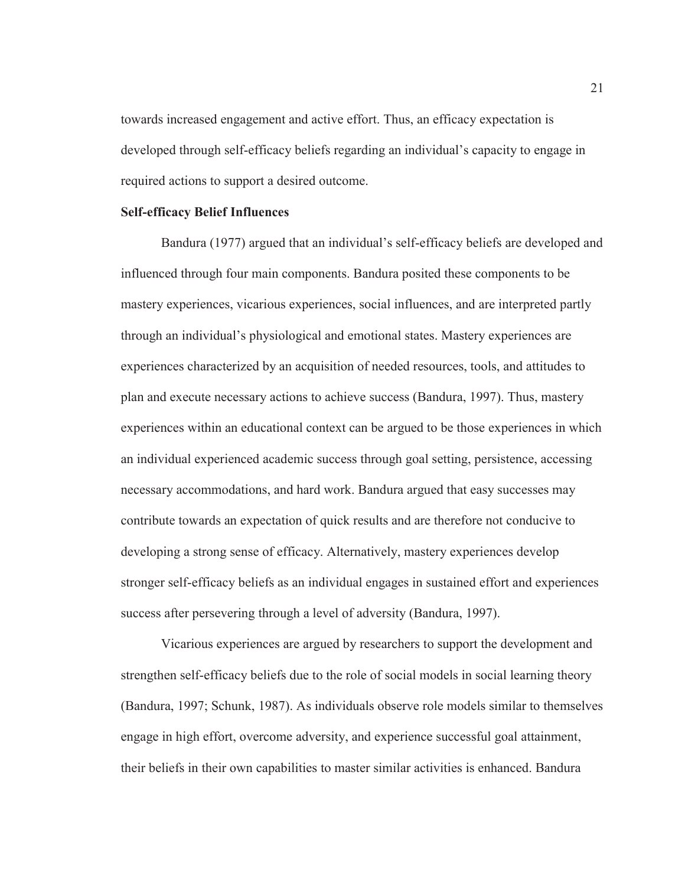towards increased engagement and active effort. Thus, an efficacy expectation is developed through self-efficacy beliefs regarding an individual's capacity to engage in required actions to support a desired outcome.

#### **Self-efficacy Belief Influences**

Bandura (1977) argued that an individual's self-efficacy beliefs are developed and influenced through four main components. Bandura posited these components to be mastery experiences, vicarious experiences, social influences, and are interpreted partly through an individual's physiological and emotional states. Mastery experiences are experiences characterized by an acquisition of needed resources, tools, and attitudes to plan and execute necessary actions to achieve success (Bandura, 1997). Thus, mastery experiences within an educational context can be argued to be those experiences in which an individual experienced academic success through goal setting, persistence, accessing necessary accommodations, and hard work. Bandura argued that easy successes may contribute towards an expectation of quick results and are therefore not conducive to developing a strong sense of efficacy. Alternatively, mastery experiences develop stronger self-efficacy beliefs as an individual engages in sustained effort and experiences success after persevering through a level of adversity (Bandura, 1997).

Vicarious experiences are argued by researchers to support the development and strengthen self-efficacy beliefs due to the role of social models in social learning theory (Bandura, 1997; Schunk, 1987). As individuals observe role models similar to themselves engage in high effort, overcome adversity, and experience successful goal attainment, their beliefs in their own capabilities to master similar activities is enhanced. Bandura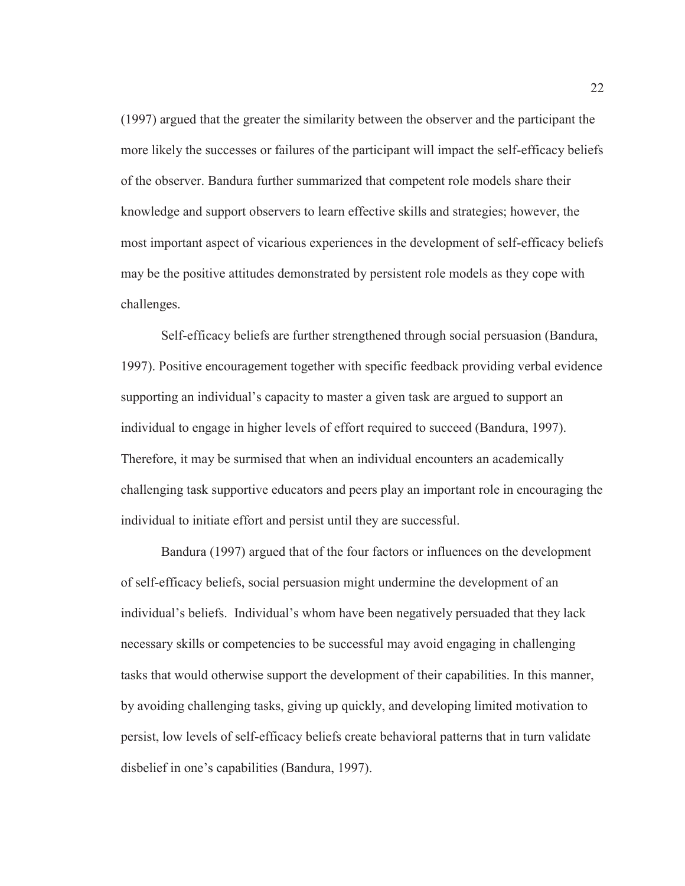(1997) argued that the greater the similarity between the observer and the participant the more likely the successes or failures of the participant will impact the self-efficacy beliefs of the observer. Bandura further summarized that competent role models share their knowledge and support observers to learn effective skills and strategies; however, the most important aspect of vicarious experiences in the development of self-efficacy beliefs may be the positive attitudes demonstrated by persistent role models as they cope with challenges.

Self-efficacy beliefs are further strengthened through social persuasion (Bandura, 1997). Positive encouragement together with specific feedback providing verbal evidence supporting an individual's capacity to master a given task are argued to support an individual to engage in higher levels of effort required to succeed (Bandura, 1997). Therefore, it may be surmised that when an individual encounters an academically challenging task supportive educators and peers play an important role in encouraging the individual to initiate effort and persist until they are successful.

Bandura (1997) argued that of the four factors or influences on the development of self-efficacy beliefs, social persuasion might undermine the development of an individual's beliefs. Individual's whom have been negatively persuaded that they lack necessary skills or competencies to be successful may avoid engaging in challenging tasks that would otherwise support the development of their capabilities. In this manner, by avoiding challenging tasks, giving up quickly, and developing limited motivation to persist, low levels of self-efficacy beliefs create behavioral patterns that in turn validate disbelief in one's capabilities (Bandura, 1997).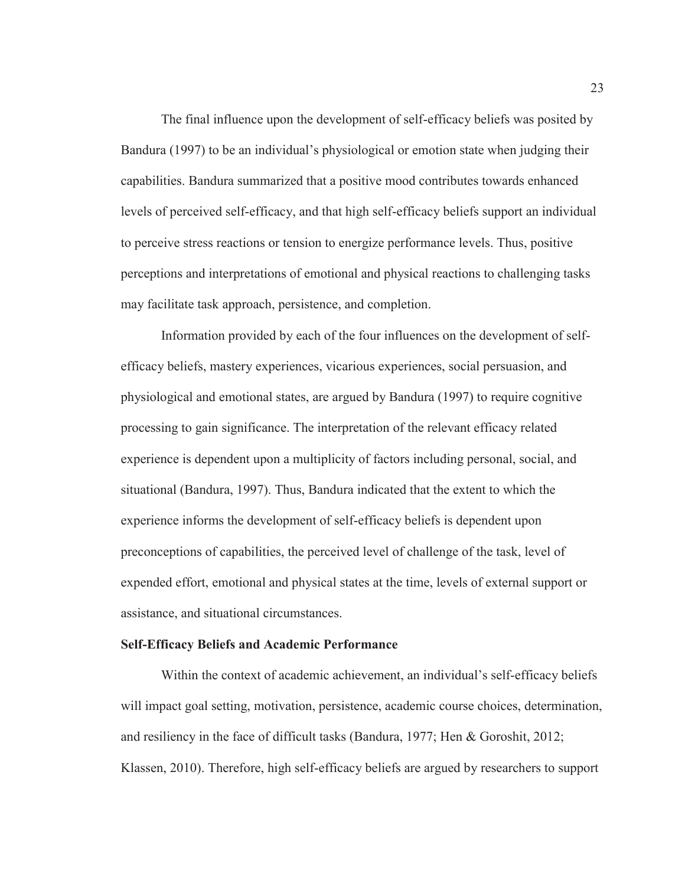The final influence upon the development of self-efficacy beliefs was posited by Bandura (1997) to be an individual's physiological or emotion state when judging their capabilities. Bandura summarized that a positive mood contributes towards enhanced levels of perceived self-efficacy, and that high self-efficacy beliefs support an individual to perceive stress reactions or tension to energize performance levels. Thus, positive perceptions and interpretations of emotional and physical reactions to challenging tasks may facilitate task approach, persistence, and completion.

Information provided by each of the four influences on the development of selfefficacy beliefs, mastery experiences, vicarious experiences, social persuasion, and physiological and emotional states, are argued by Bandura (1997) to require cognitive processing to gain significance. The interpretation of the relevant efficacy related experience is dependent upon a multiplicity of factors including personal, social, and situational (Bandura, 1997). Thus, Bandura indicated that the extent to which the experience informs the development of self-efficacy beliefs is dependent upon preconceptions of capabilities, the perceived level of challenge of the task, level of expended effort, emotional and physical states at the time, levels of external support or assistance, and situational circumstances.

#### **Self-Efficacy Beliefs and Academic Performance**

Within the context of academic achievement, an individual's self-efficacy beliefs will impact goal setting, motivation, persistence, academic course choices, determination, and resiliency in the face of difficult tasks (Bandura, 1977; Hen & Goroshit, 2012; Klassen, 2010). Therefore, high self-efficacy beliefs are argued by researchers to support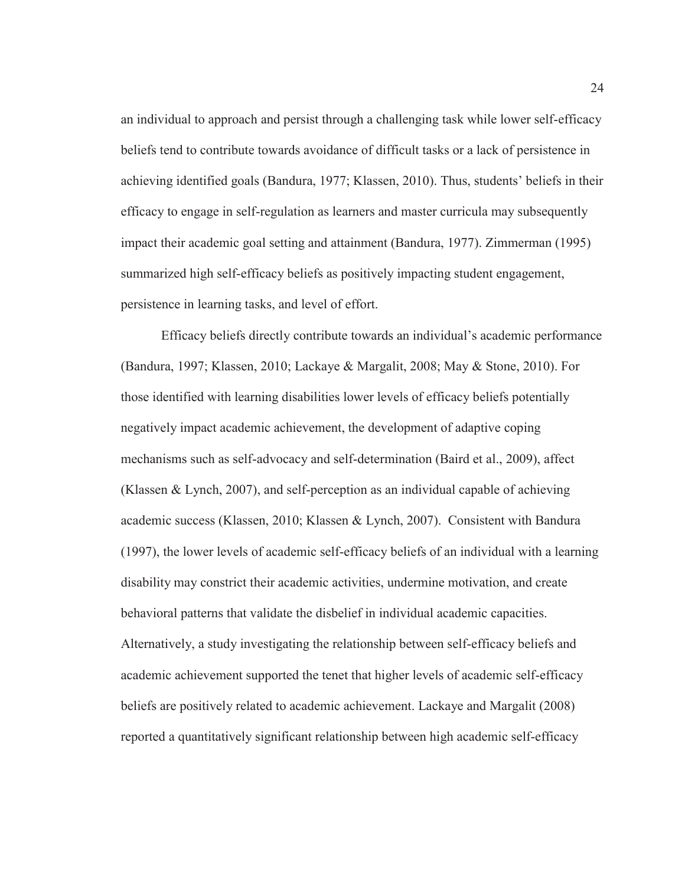an individual to approach and persist through a challenging task while lower self-efficacy beliefs tend to contribute towards avoidance of difficult tasks or a lack of persistence in achieving identified goals (Bandura, 1977; Klassen, 2010). Thus, students' beliefs in their efficacy to engage in self-regulation as learners and master curricula may subsequently impact their academic goal setting and attainment (Bandura, 1977). Zimmerman (1995) summarized high self-efficacy beliefs as positively impacting student engagement, persistence in learning tasks, and level of effort.

Efficacy beliefs directly contribute towards an individual's academic performance (Bandura, 1997; Klassen, 2010; Lackaye & Margalit, 2008; May & Stone, 2010). For those identified with learning disabilities lower levels of efficacy beliefs potentially negatively impact academic achievement, the development of adaptive coping mechanisms such as self-advocacy and self-determination (Baird et al., 2009), affect (Klassen & Lynch, 2007), and self-perception as an individual capable of achieving academic success (Klassen, 2010; Klassen & Lynch, 2007). Consistent with Bandura (1997), the lower levels of academic self-efficacy beliefs of an individual with a learning disability may constrict their academic activities, undermine motivation, and create behavioral patterns that validate the disbelief in individual academic capacities. Alternatively, a study investigating the relationship between self-efficacy beliefs and academic achievement supported the tenet that higher levels of academic self-efficacy beliefs are positively related to academic achievement. Lackaye and Margalit (2008) reported a quantitatively significant relationship between high academic self-efficacy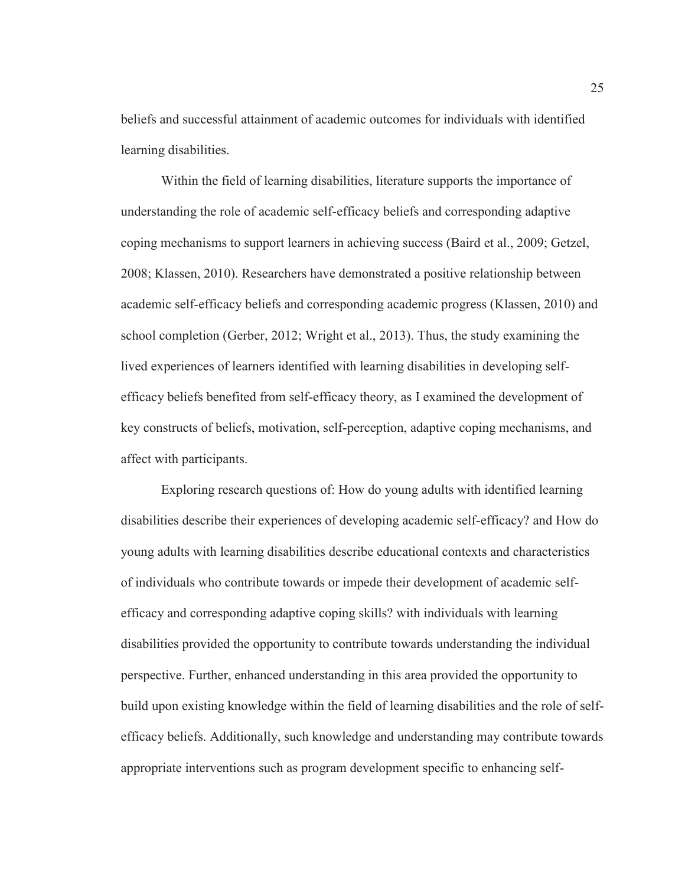beliefs and successful attainment of academic outcomes for individuals with identified learning disabilities.

Within the field of learning disabilities, literature supports the importance of understanding the role of academic self-efficacy beliefs and corresponding adaptive coping mechanisms to support learners in achieving success (Baird et al., 2009; Getzel, 2008; Klassen, 2010). Researchers have demonstrated a positive relationship between academic self-efficacy beliefs and corresponding academic progress (Klassen, 2010) and school completion (Gerber, 2012; Wright et al., 2013). Thus, the study examining the lived experiences of learners identified with learning disabilities in developing selfefficacy beliefs benefited from self-efficacy theory, as I examined the development of key constructs of beliefs, motivation, self-perception, adaptive coping mechanisms, and affect with participants.

Exploring research questions of: How do young adults with identified learning disabilities describe their experiences of developing academic self-efficacy? and How do young adults with learning disabilities describe educational contexts and characteristics of individuals who contribute towards or impede their development of academic selfefficacy and corresponding adaptive coping skills? with individuals with learning disabilities provided the opportunity to contribute towards understanding the individual perspective. Further, enhanced understanding in this area provided the opportunity to build upon existing knowledge within the field of learning disabilities and the role of selfefficacy beliefs. Additionally, such knowledge and understanding may contribute towards appropriate interventions such as program development specific to enhancing self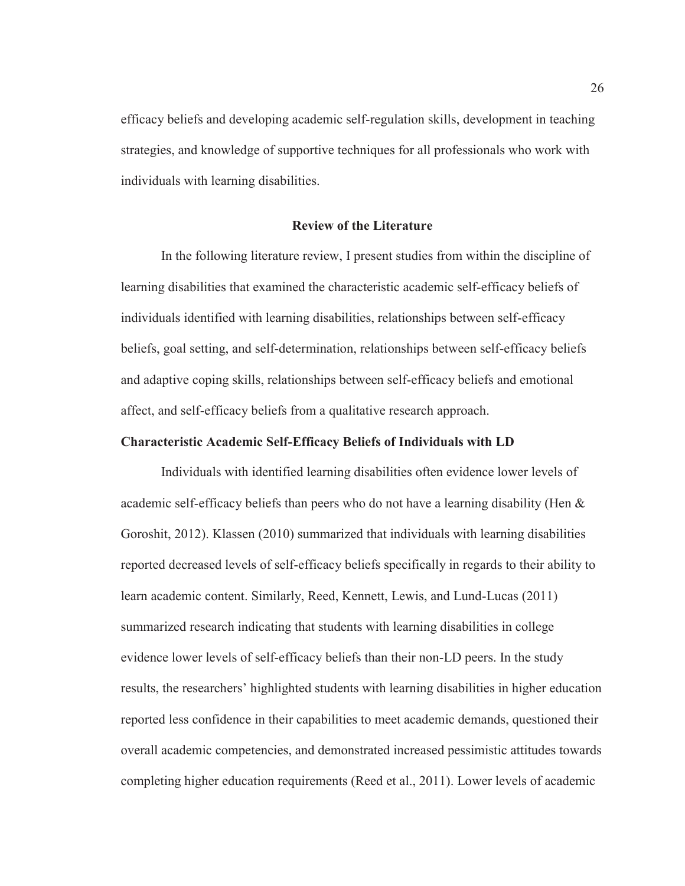efficacy beliefs and developing academic self-regulation skills, development in teaching strategies, and knowledge of supportive techniques for all professionals who work with individuals with learning disabilities.

## **Review of the Literature**

In the following literature review, I present studies from within the discipline of learning disabilities that examined the characteristic academic self-efficacy beliefs of individuals identified with learning disabilities, relationships between self-efficacy beliefs, goal setting, and self-determination, relationships between self-efficacy beliefs and adaptive coping skills, relationships between self-efficacy beliefs and emotional affect, and self-efficacy beliefs from a qualitative research approach.

# **Characteristic Academic Self-Efficacy Beliefs of Individuals with LD**

Individuals with identified learning disabilities often evidence lower levels of academic self-efficacy beliefs than peers who do not have a learning disability (Hen & Goroshit, 2012). Klassen (2010) summarized that individuals with learning disabilities reported decreased levels of self-efficacy beliefs specifically in regards to their ability to learn academic content. Similarly, Reed, Kennett, Lewis, and Lund-Lucas (2011) summarized research indicating that students with learning disabilities in college evidence lower levels of self-efficacy beliefs than their non-LD peers. In the study results, the researchers' highlighted students with learning disabilities in higher education reported less confidence in their capabilities to meet academic demands, questioned their overall academic competencies, and demonstrated increased pessimistic attitudes towards completing higher education requirements (Reed et al., 2011). Lower levels of academic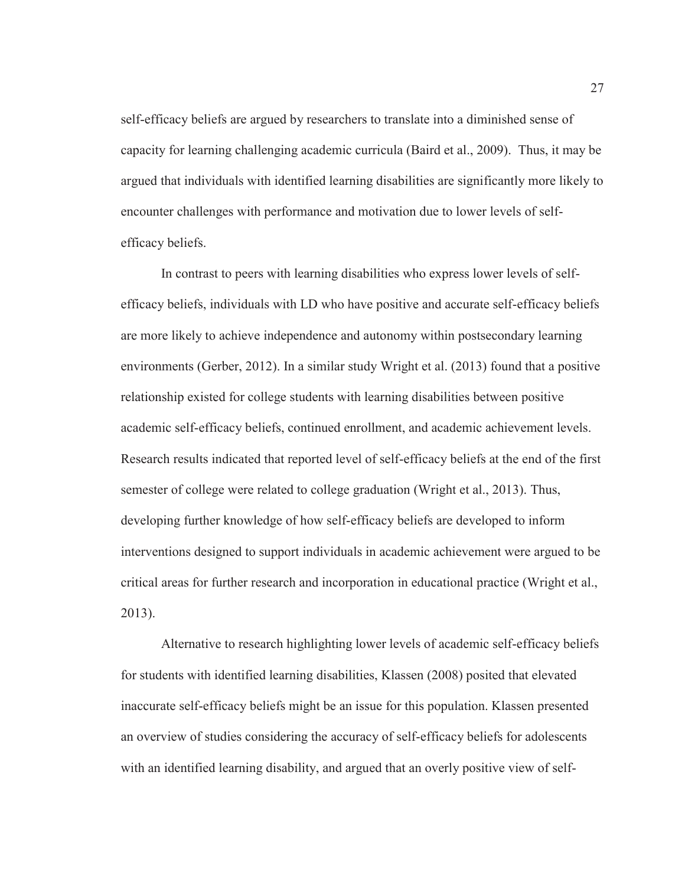self-efficacy beliefs are argued by researchers to translate into a diminished sense of capacity for learning challenging academic curricula (Baird et al., 2009). Thus, it may be argued that individuals with identified learning disabilities are significantly more likely to encounter challenges with performance and motivation due to lower levels of selfefficacy beliefs.

In contrast to peers with learning disabilities who express lower levels of selfefficacy beliefs, individuals with LD who have positive and accurate self-efficacy beliefs are more likely to achieve independence and autonomy within postsecondary learning environments (Gerber, 2012). In a similar study Wright et al. (2013) found that a positive relationship existed for college students with learning disabilities between positive academic self-efficacy beliefs, continued enrollment, and academic achievement levels. Research results indicated that reported level of self-efficacy beliefs at the end of the first semester of college were related to college graduation (Wright et al., 2013). Thus, developing further knowledge of how self-efficacy beliefs are developed to inform interventions designed to support individuals in academic achievement were argued to be critical areas for further research and incorporation in educational practice (Wright et al., 2013).

Alternative to research highlighting lower levels of academic self-efficacy beliefs for students with identified learning disabilities, Klassen (2008) posited that elevated inaccurate self-efficacy beliefs might be an issue for this population. Klassen presented an overview of studies considering the accuracy of self-efficacy beliefs for adolescents with an identified learning disability, and argued that an overly positive view of self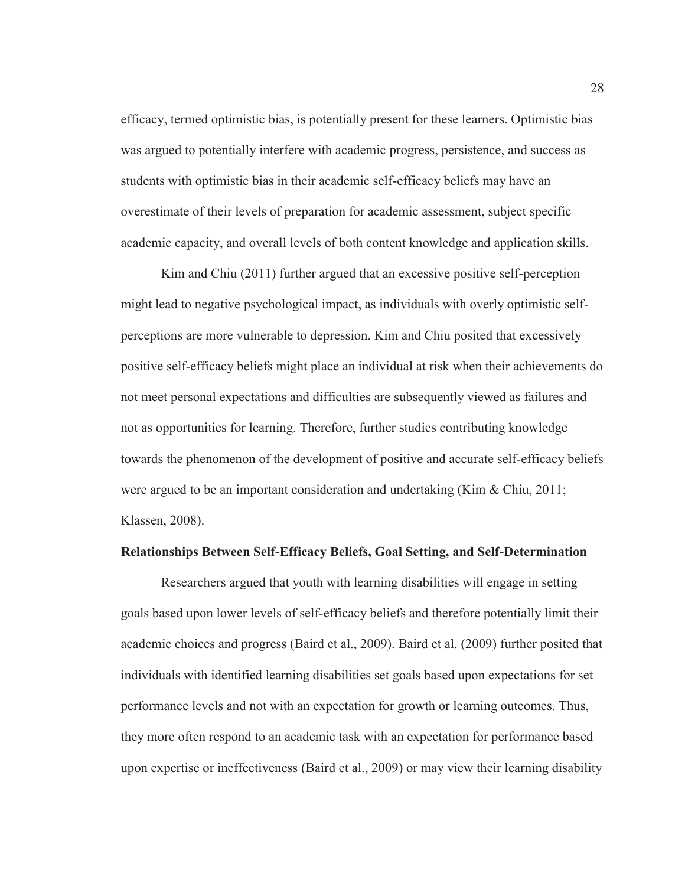efficacy, termed optimistic bias, is potentially present for these learners. Optimistic bias was argued to potentially interfere with academic progress, persistence, and success as students with optimistic bias in their academic self-efficacy beliefs may have an overestimate of their levels of preparation for academic assessment, subject specific academic capacity, and overall levels of both content knowledge and application skills.

Kim and Chiu (2011) further argued that an excessive positive self-perception might lead to negative psychological impact, as individuals with overly optimistic selfperceptions are more vulnerable to depression. Kim and Chiu posited that excessively positive self-efficacy beliefs might place an individual at risk when their achievements do not meet personal expectations and difficulties are subsequently viewed as failures and not as opportunities for learning. Therefore, further studies contributing knowledge towards the phenomenon of the development of positive and accurate self-efficacy beliefs were argued to be an important consideration and undertaking (Kim & Chiu, 2011; Klassen, 2008).

## **Relationships Between Self-Efficacy Beliefs, Goal Setting, and Self-Determination**

Researchers argued that youth with learning disabilities will engage in setting goals based upon lower levels of self-efficacy beliefs and therefore potentially limit their academic choices and progress (Baird et al., 2009). Baird et al. (2009) further posited that individuals with identified learning disabilities set goals based upon expectations for set performance levels and not with an expectation for growth or learning outcomes. Thus, they more often respond to an academic task with an expectation for performance based upon expertise or ineffectiveness (Baird et al., 2009) or may view their learning disability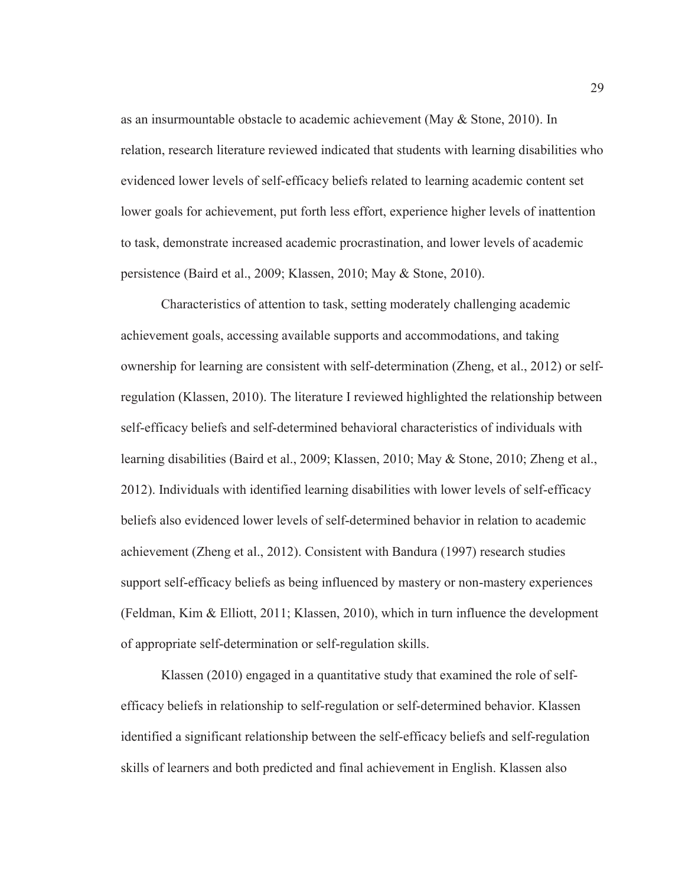as an insurmountable obstacle to academic achievement (May & Stone, 2010). In relation, research literature reviewed indicated that students with learning disabilities who evidenced lower levels of self-efficacy beliefs related to learning academic content set lower goals for achievement, put forth less effort, experience higher levels of inattention to task, demonstrate increased academic procrastination, and lower levels of academic persistence (Baird et al., 2009; Klassen, 2010; May & Stone, 2010).

Characteristics of attention to task, setting moderately challenging academic achievement goals, accessing available supports and accommodations, and taking ownership for learning are consistent with self-determination (Zheng, et al., 2012) or selfregulation (Klassen, 2010). The literature I reviewed highlighted the relationship between self-efficacy beliefs and self-determined behavioral characteristics of individuals with learning disabilities (Baird et al., 2009; Klassen, 2010; May & Stone, 2010; Zheng et al., 2012). Individuals with identified learning disabilities with lower levels of self-efficacy beliefs also evidenced lower levels of self-determined behavior in relation to academic achievement (Zheng et al., 2012). Consistent with Bandura (1997) research studies support self-efficacy beliefs as being influenced by mastery or non-mastery experiences (Feldman, Kim & Elliott, 2011; Klassen, 2010), which in turn influence the development of appropriate self-determination or self-regulation skills.

Klassen (2010) engaged in a quantitative study that examined the role of selfefficacy beliefs in relationship to self-regulation or self-determined behavior. Klassen identified a significant relationship between the self-efficacy beliefs and self-regulation skills of learners and both predicted and final achievement in English. Klassen also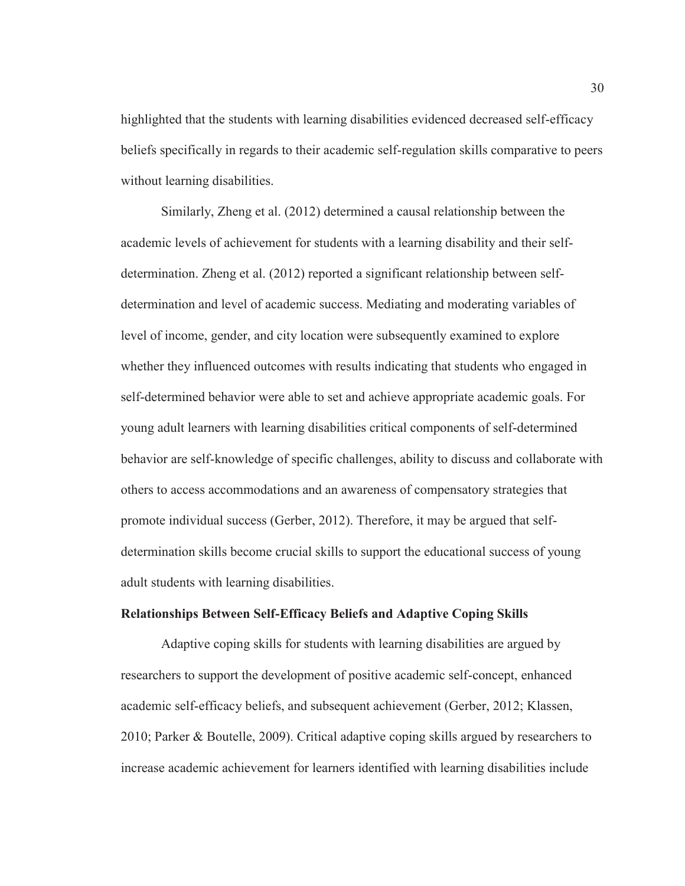highlighted that the students with learning disabilities evidenced decreased self-efficacy beliefs specifically in regards to their academic self-regulation skills comparative to peers without learning disabilities.

Similarly, Zheng et al. (2012) determined a causal relationship between the academic levels of achievement for students with a learning disability and their selfdetermination. Zheng et al. (2012) reported a significant relationship between selfdetermination and level of academic success. Mediating and moderating variables of level of income, gender, and city location were subsequently examined to explore whether they influenced outcomes with results indicating that students who engaged in self-determined behavior were able to set and achieve appropriate academic goals. For young adult learners with learning disabilities critical components of self-determined behavior are self-knowledge of specific challenges, ability to discuss and collaborate with others to access accommodations and an awareness of compensatory strategies that promote individual success (Gerber, 2012). Therefore, it may be argued that selfdetermination skills become crucial skills to support the educational success of young adult students with learning disabilities.

#### **Relationships Between Self-Efficacy Beliefs and Adaptive Coping Skills**

Adaptive coping skills for students with learning disabilities are argued by researchers to support the development of positive academic self-concept, enhanced academic self-efficacy beliefs, and subsequent achievement (Gerber, 2012; Klassen, 2010; Parker & Boutelle, 2009). Critical adaptive coping skills argued by researchers to increase academic achievement for learners identified with learning disabilities include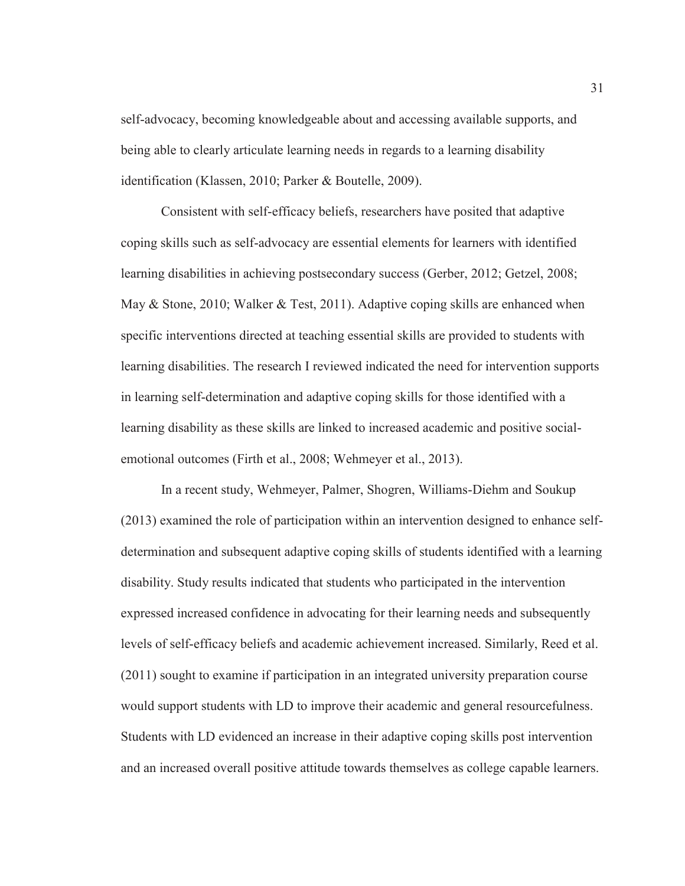self-advocacy, becoming knowledgeable about and accessing available supports, and being able to clearly articulate learning needs in regards to a learning disability identification (Klassen, 2010; Parker & Boutelle, 2009).

Consistent with self-efficacy beliefs, researchers have posited that adaptive coping skills such as self-advocacy are essential elements for learners with identified learning disabilities in achieving postsecondary success (Gerber, 2012; Getzel, 2008; May & Stone, 2010; Walker & Test, 2011). Adaptive coping skills are enhanced when specific interventions directed at teaching essential skills are provided to students with learning disabilities. The research I reviewed indicated the need for intervention supports in learning self-determination and adaptive coping skills for those identified with a learning disability as these skills are linked to increased academic and positive socialemotional outcomes (Firth et al., 2008; Wehmeyer et al., 2013).

In a recent study, Wehmeyer, Palmer, Shogren, Williams-Diehm and Soukup (2013) examined the role of participation within an intervention designed to enhance selfdetermination and subsequent adaptive coping skills of students identified with a learning disability. Study results indicated that students who participated in the intervention expressed increased confidence in advocating for their learning needs and subsequently levels of self-efficacy beliefs and academic achievement increased. Similarly, Reed et al. (2011) sought to examine if participation in an integrated university preparation course would support students with LD to improve their academic and general resourcefulness. Students with LD evidenced an increase in their adaptive coping skills post intervention and an increased overall positive attitude towards themselves as college capable learners.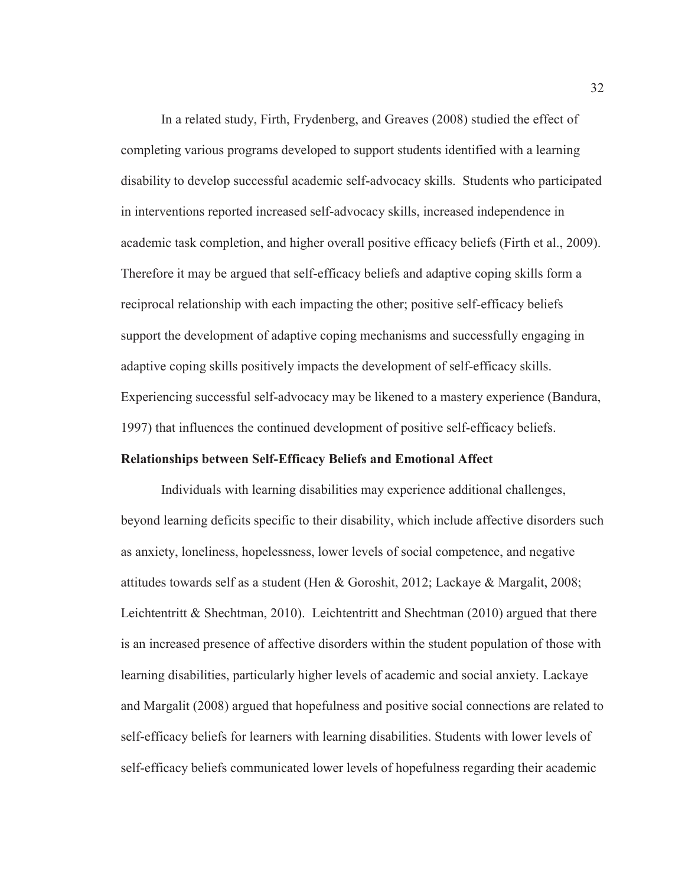In a related study, Firth, Frydenberg, and Greaves (2008) studied the effect of completing various programs developed to support students identified with a learning disability to develop successful academic self-advocacy skills. Students who participated in interventions reported increased self-advocacy skills, increased independence in academic task completion, and higher overall positive efficacy beliefs (Firth et al., 2009). Therefore it may be argued that self-efficacy beliefs and adaptive coping skills form a reciprocal relationship with each impacting the other; positive self-efficacy beliefs support the development of adaptive coping mechanisms and successfully engaging in adaptive coping skills positively impacts the development of self-efficacy skills. Experiencing successful self-advocacy may be likened to a mastery experience (Bandura, 1997) that influences the continued development of positive self-efficacy beliefs.

#### **Relationships between Self-Efficacy Beliefs and Emotional Affect**

Individuals with learning disabilities may experience additional challenges, beyond learning deficits specific to their disability, which include affective disorders such as anxiety, loneliness, hopelessness, lower levels of social competence, and negative attitudes towards self as a student (Hen & Goroshit, 2012; Lackaye & Margalit, 2008; Leichtentritt & Shechtman, 2010). Leichtentritt and Shechtman (2010) argued that there is an increased presence of affective disorders within the student population of those with learning disabilities, particularly higher levels of academic and social anxiety. Lackaye and Margalit (2008) argued that hopefulness and positive social connections are related to self-efficacy beliefs for learners with learning disabilities. Students with lower levels of self-efficacy beliefs communicated lower levels of hopefulness regarding their academic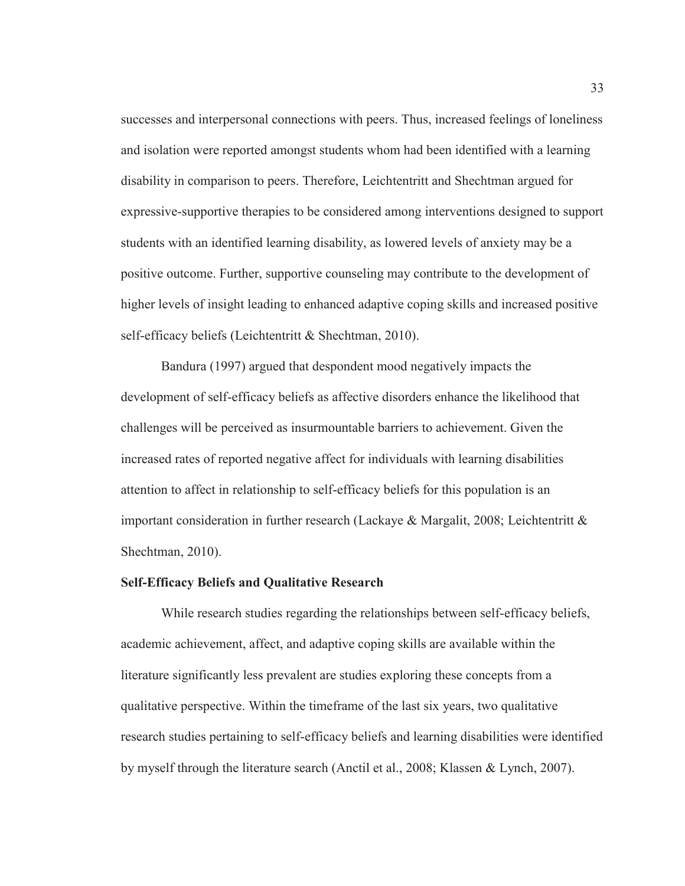successes and interpersonal connections with peers. Thus, increased feelings of loneliness and isolation were reported amongst students whom had been identified with a learning disability in comparison to peers. Therefore, Leichtentritt and Shechtman argued for expressive-supportive therapies to be considered among interventions designed to support students with an identified learning disability, as lowered levels of anxiety may be a positive outcome. Further, supportive counseling may contribute to the development of higher levels of insight leading to enhanced adaptive coping skills and increased positive self-efficacy beliefs (Leichtentritt & Shechtman, 2010).

Bandura (1997) argued that despondent mood negatively impacts the development of self-efficacy beliefs as affective disorders enhance the likelihood that challenges will be perceived as insurmountable barriers to achievement. Given the increased rates of reported negative affect for individuals with learning disabilities attention to affect in relationship to self-efficacy beliefs for this population is an important consideration in further research (Lackaye & Margalit, 2008; Leichtentritt  $\&$ Shechtman, 2010).

## **Self-Efficacy Beliefs and Qualitative Research**

While research studies regarding the relationships between self-efficacy beliefs, academic achievement, affect, and adaptive coping skills are available within the literature significantly less prevalent are studies exploring these concepts from a qualitative perspective. Within the timeframe of the last six years, two qualitative research studies pertaining to self-efficacy beliefs and learning disabilities were identified by myself through the literature search (Anctil et al., 2008; Klassen & Lynch, 2007).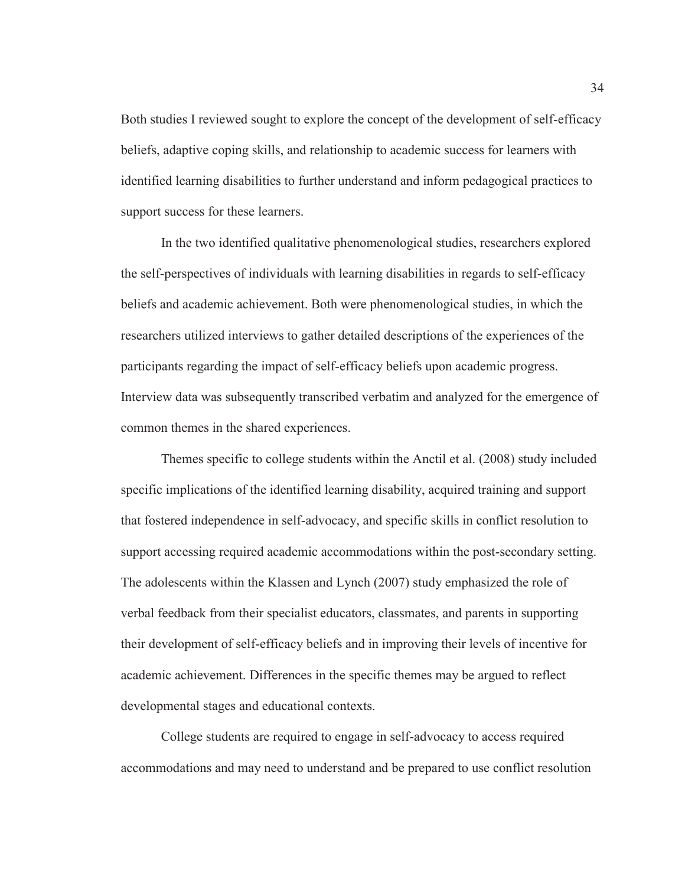Both studies I reviewed sought to explore the concept of the development of self-efficacy beliefs, adaptive coping skills, and relationship to academic success for learners with identified learning disabilities to further understand and inform pedagogical practices to support success for these learners.

In the two identified qualitative phenomenological studies, researchers explored the self-perspectives of individuals with learning disabilities in regards to self-efficacy beliefs and academic achievement. Both were phenomenological studies, in which the researchers utilized interviews to gather detailed descriptions of the experiences of the participants regarding the impact of self-efficacy beliefs upon academic progress. Interview data was subsequently transcribed verbatim and analyzed for the emergence of common themes in the shared experiences.

Themes specific to college students within the Anctil et al. (2008) study included specific implications of the identified learning disability, acquired training and support that fostered independence in self-advocacy, and specific skills in conflict resolution to support accessing required academic accommodations within the post-secondary setting. The adolescents within the Klassen and Lynch (2007) study emphasized the role of verbal feedback from their specialist educators, classmates, and parents in supporting their development of self-efficacy beliefs and in improving their levels of incentive for academic achievement. Differences in the specific themes may be argued to reflect developmental stages and educational contexts.

College students are required to engage in self-advocacy to access required accommodations and may need to understand and be prepared to use conflict resolution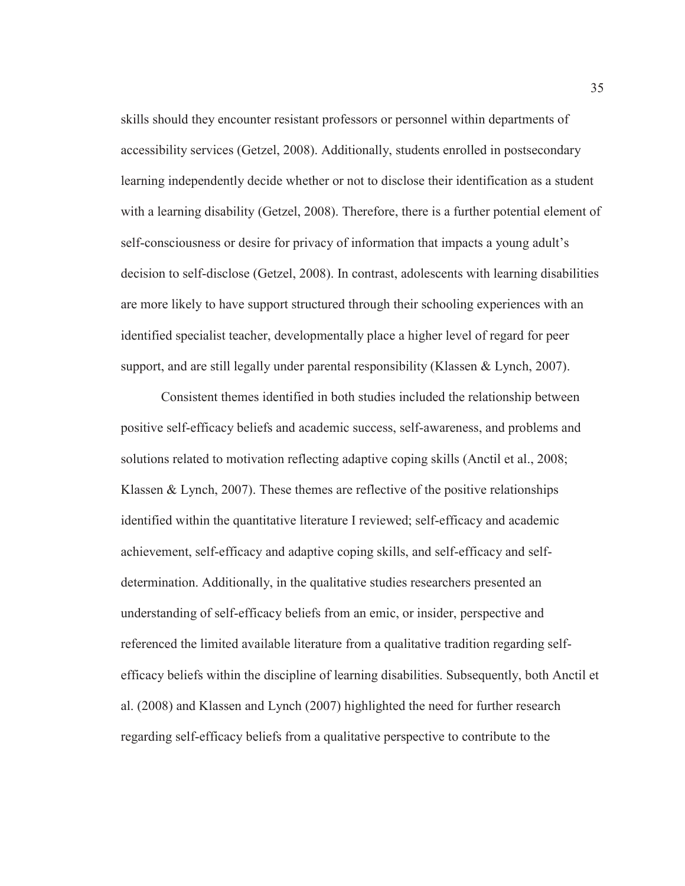skills should they encounter resistant professors or personnel within departments of accessibility services (Getzel, 2008). Additionally, students enrolled in postsecondary learning independently decide whether or not to disclose their identification as a student with a learning disability (Getzel, 2008). Therefore, there is a further potential element of self-consciousness or desire for privacy of information that impacts a young adult's decision to self-disclose (Getzel, 2008). In contrast, adolescents with learning disabilities are more likely to have support structured through their schooling experiences with an identified specialist teacher, developmentally place a higher level of regard for peer support, and are still legally under parental responsibility (Klassen & Lynch, 2007).

Consistent themes identified in both studies included the relationship between positive self-efficacy beliefs and academic success, self-awareness, and problems and solutions related to motivation reflecting adaptive coping skills (Anctil et al., 2008; Klassen & Lynch, 2007). These themes are reflective of the positive relationships identified within the quantitative literature I reviewed; self-efficacy and academic achievement, self-efficacy and adaptive coping skills, and self-efficacy and selfdetermination. Additionally, in the qualitative studies researchers presented an understanding of self-efficacy beliefs from an emic, or insider, perspective and referenced the limited available literature from a qualitative tradition regarding selfefficacy beliefs within the discipline of learning disabilities. Subsequently, both Anctil et al. (2008) and Klassen and Lynch (2007) highlighted the need for further research regarding self-efficacy beliefs from a qualitative perspective to contribute to the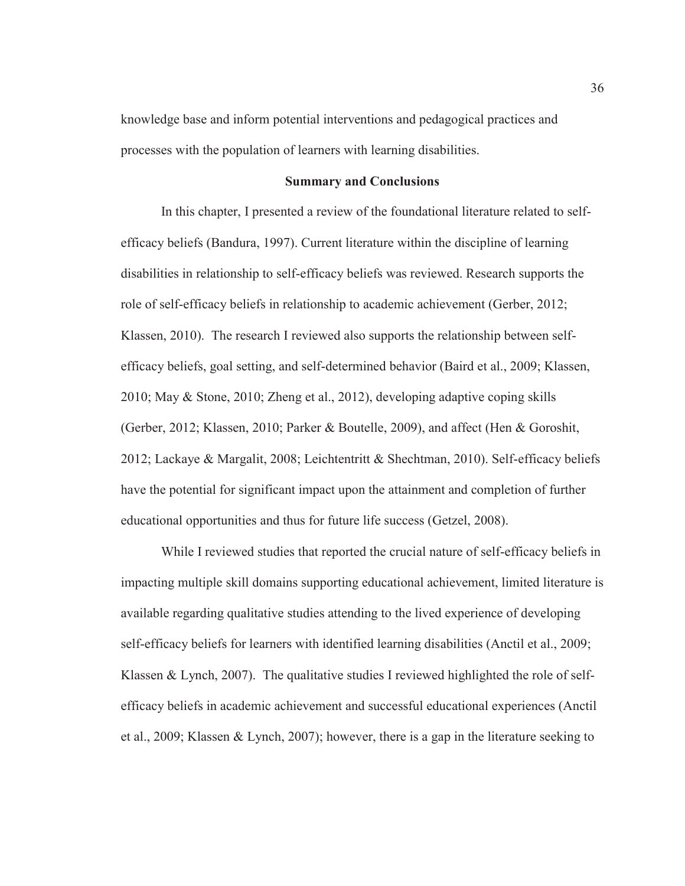knowledge base and inform potential interventions and pedagogical practices and processes with the population of learners with learning disabilities.

## **Summary and Conclusions**

In this chapter, I presented a review of the foundational literature related to selfefficacy beliefs (Bandura, 1997). Current literature within the discipline of learning disabilities in relationship to self-efficacy beliefs was reviewed. Research supports the role of self-efficacy beliefs in relationship to academic achievement (Gerber, 2012; Klassen, 2010). The research I reviewed also supports the relationship between selfefficacy beliefs, goal setting, and self-determined behavior (Baird et al., 2009; Klassen, 2010; May & Stone, 2010; Zheng et al., 2012), developing adaptive coping skills (Gerber, 2012; Klassen, 2010; Parker & Boutelle, 2009), and affect (Hen & Goroshit, 2012; Lackaye & Margalit, 2008; Leichtentritt & Shechtman, 2010). Self-efficacy beliefs have the potential for significant impact upon the attainment and completion of further educational opportunities and thus for future life success (Getzel, 2008).

While I reviewed studies that reported the crucial nature of self-efficacy beliefs in impacting multiple skill domains supporting educational achievement, limited literature is available regarding qualitative studies attending to the lived experience of developing self-efficacy beliefs for learners with identified learning disabilities (Anctil et al., 2009; Klassen & Lynch, 2007). The qualitative studies I reviewed highlighted the role of selfefficacy beliefs in academic achievement and successful educational experiences (Anctil et al., 2009; Klassen & Lynch, 2007); however, there is a gap in the literature seeking to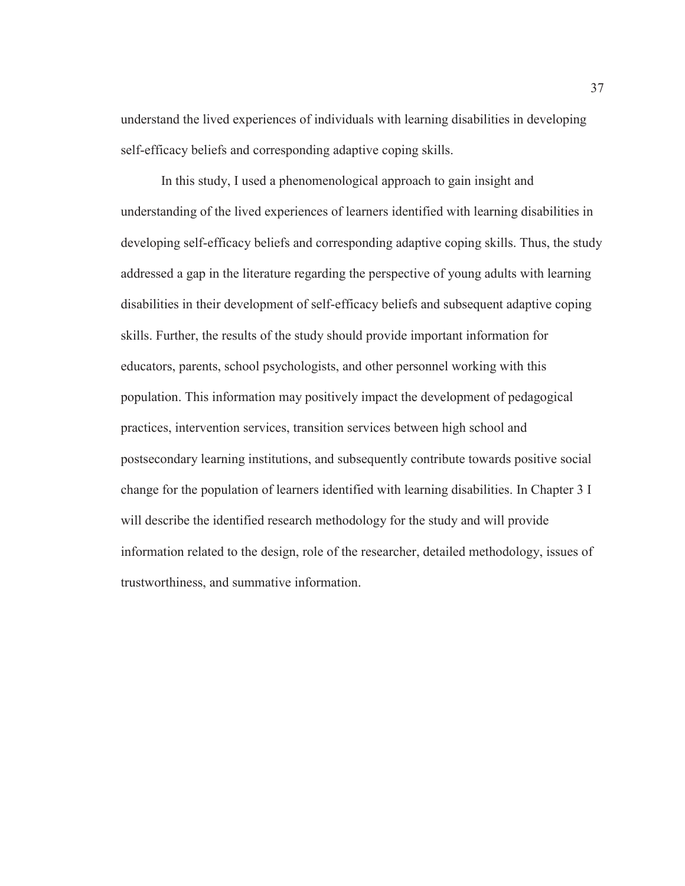understand the lived experiences of individuals with learning disabilities in developing self-efficacy beliefs and corresponding adaptive coping skills.

In this study, I used a phenomenological approach to gain insight and understanding of the lived experiences of learners identified with learning disabilities in developing self-efficacy beliefs and corresponding adaptive coping skills. Thus, the study addressed a gap in the literature regarding the perspective of young adults with learning disabilities in their development of self-efficacy beliefs and subsequent adaptive coping skills. Further, the results of the study should provide important information for educators, parents, school psychologists, and other personnel working with this population. This information may positively impact the development of pedagogical practices, intervention services, transition services between high school and postsecondary learning institutions, and subsequently contribute towards positive social change for the population of learners identified with learning disabilities. In Chapter 3 I will describe the identified research methodology for the study and will provide information related to the design, role of the researcher, detailed methodology, issues of trustworthiness, and summative information.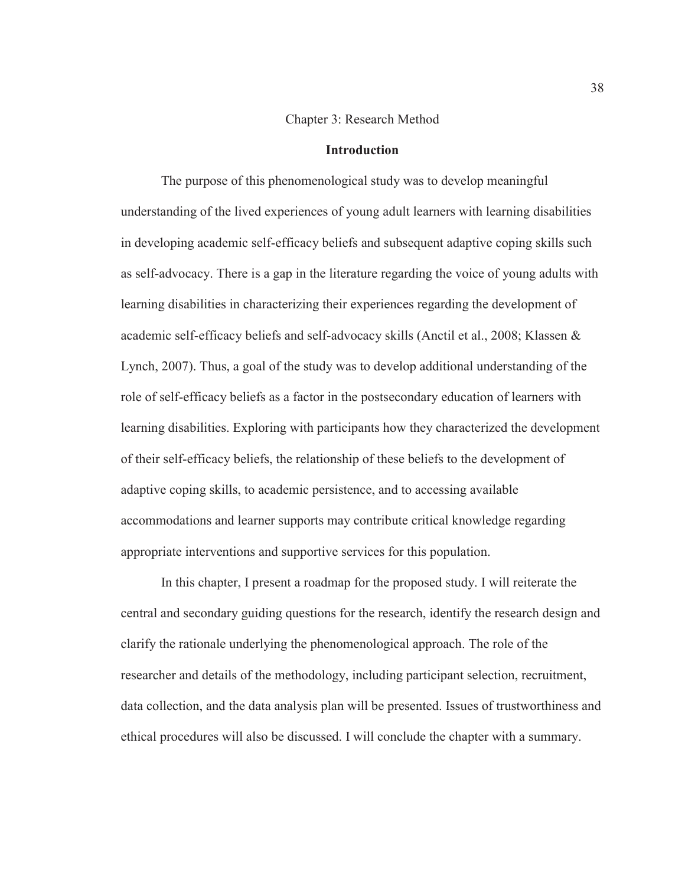## Chapter 3: Research Method

# **Introduction**

The purpose of this phenomenological study was to develop meaningful understanding of the lived experiences of young adult learners with learning disabilities in developing academic self-efficacy beliefs and subsequent adaptive coping skills such as self-advocacy. There is a gap in the literature regarding the voice of young adults with learning disabilities in characterizing their experiences regarding the development of academic self-efficacy beliefs and self-advocacy skills (Anctil et al., 2008; Klassen & Lynch, 2007). Thus, a goal of the study was to develop additional understanding of the role of self-efficacy beliefs as a factor in the postsecondary education of learners with learning disabilities. Exploring with participants how they characterized the development of their self-efficacy beliefs, the relationship of these beliefs to the development of adaptive coping skills, to academic persistence, and to accessing available accommodations and learner supports may contribute critical knowledge regarding appropriate interventions and supportive services for this population.

In this chapter, I present a roadmap for the proposed study. I will reiterate the central and secondary guiding questions for the research, identify the research design and clarify the rationale underlying the phenomenological approach. The role of the researcher and details of the methodology, including participant selection, recruitment, data collection, and the data analysis plan will be presented. Issues of trustworthiness and ethical procedures will also be discussed. I will conclude the chapter with a summary.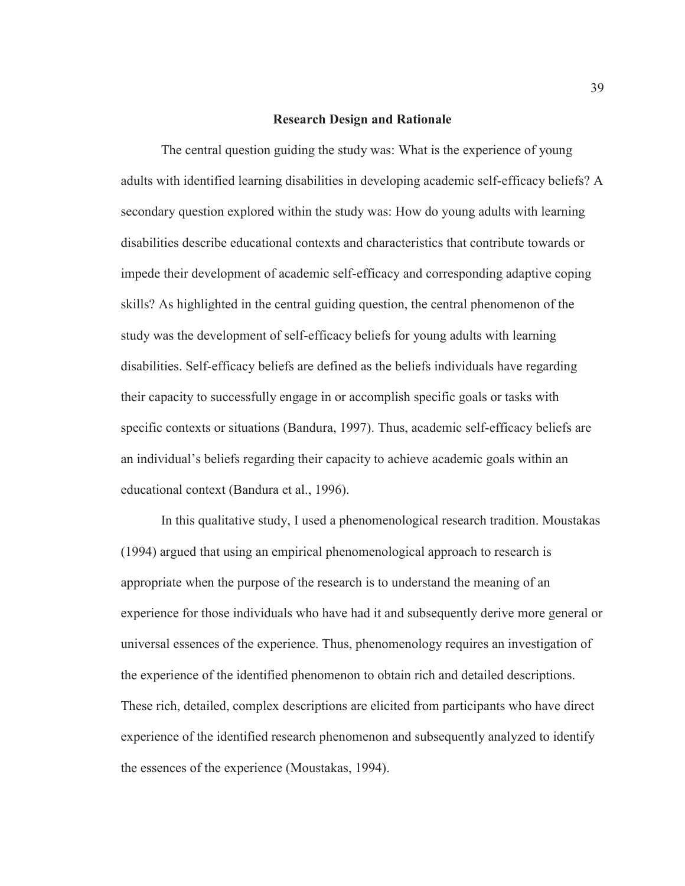#### **Research Design and Rationale**

The central question guiding the study was: What is the experience of young adults with identified learning disabilities in developing academic self-efficacy beliefs? A secondary question explored within the study was: How do young adults with learning disabilities describe educational contexts and characteristics that contribute towards or impede their development of academic self-efficacy and corresponding adaptive coping skills? As highlighted in the central guiding question, the central phenomenon of the study was the development of self-efficacy beliefs for young adults with learning disabilities. Self-efficacy beliefs are defined as the beliefs individuals have regarding their capacity to successfully engage in or accomplish specific goals or tasks with specific contexts or situations (Bandura, 1997). Thus, academic self-efficacy beliefs are an individual's beliefs regarding their capacity to achieve academic goals within an educational context (Bandura et al., 1996).

In this qualitative study, I used a phenomenological research tradition. Moustakas (1994) argued that using an empirical phenomenological approach to research is appropriate when the purpose of the research is to understand the meaning of an experience for those individuals who have had it and subsequently derive more general or universal essences of the experience. Thus, phenomenology requires an investigation of the experience of the identified phenomenon to obtain rich and detailed descriptions. These rich, detailed, complex descriptions are elicited from participants who have direct experience of the identified research phenomenon and subsequently analyzed to identify the essences of the experience (Moustakas, 1994).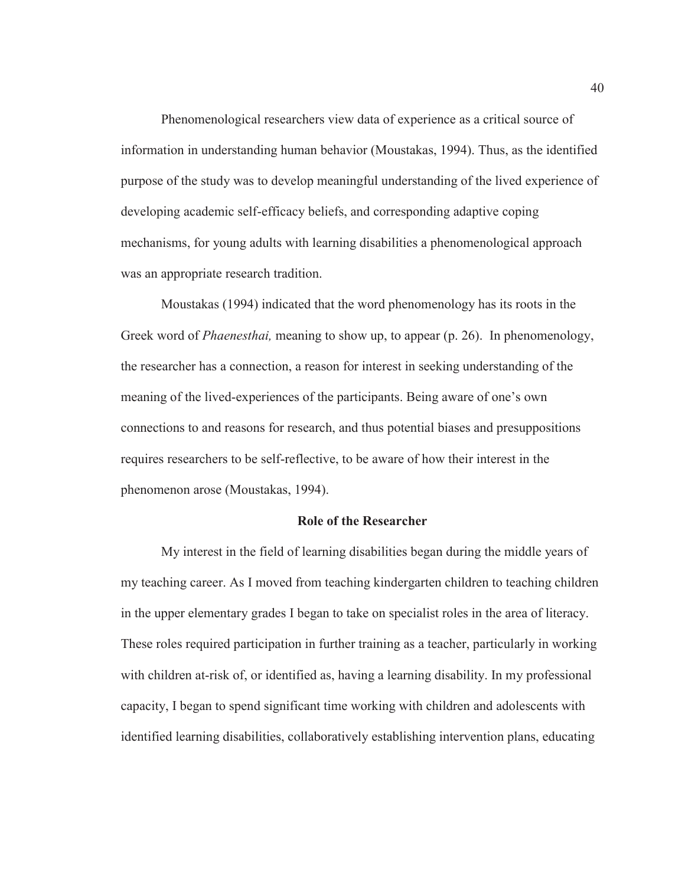Phenomenological researchers view data of experience as a critical source of information in understanding human behavior (Moustakas, 1994). Thus, as the identified purpose of the study was to develop meaningful understanding of the lived experience of developing academic self-efficacy beliefs, and corresponding adaptive coping mechanisms, for young adults with learning disabilities a phenomenological approach was an appropriate research tradition.

Moustakas (1994) indicated that the word phenomenology has its roots in the Greek word of *Phaenesthai,* meaning to show up, to appear (p. 26). In phenomenology, the researcher has a connection, a reason for interest in seeking understanding of the meaning of the lived-experiences of the participants. Being aware of one's own connections to and reasons for research, and thus potential biases and presuppositions requires researchers to be self-reflective, to be aware of how their interest in the phenomenon arose (Moustakas, 1994).

#### **Role of the Researcher**

My interest in the field of learning disabilities began during the middle years of my teaching career. As I moved from teaching kindergarten children to teaching children in the upper elementary grades I began to take on specialist roles in the area of literacy. These roles required participation in further training as a teacher, particularly in working with children at-risk of, or identified as, having a learning disability. In my professional capacity, I began to spend significant time working with children and adolescents with identified learning disabilities, collaboratively establishing intervention plans, educating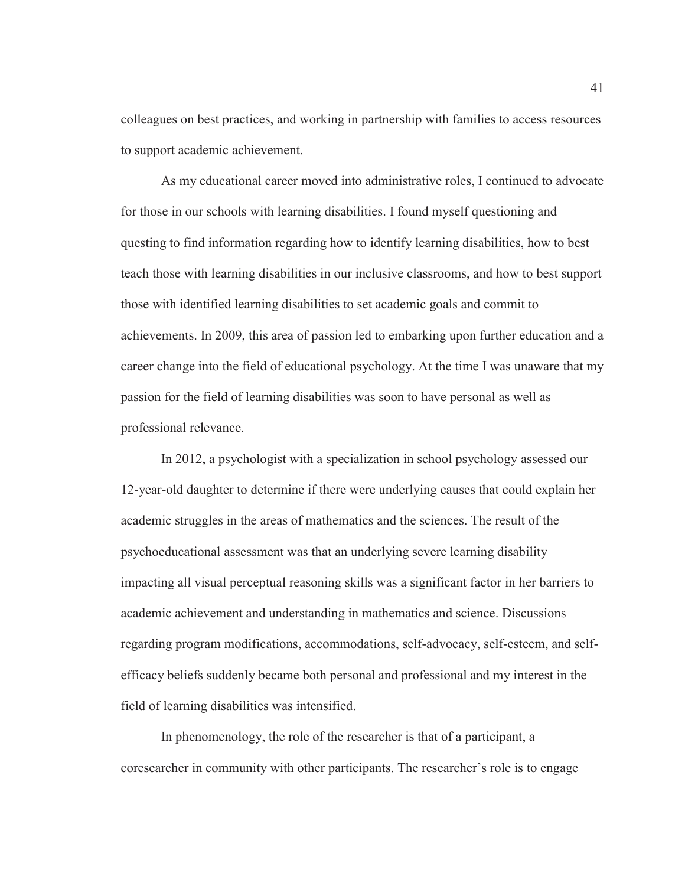colleagues on best practices, and working in partnership with families to access resources to support academic achievement.

As my educational career moved into administrative roles, I continued to advocate for those in our schools with learning disabilities. I found myself questioning and questing to find information regarding how to identify learning disabilities, how to best teach those with learning disabilities in our inclusive classrooms, and how to best support those with identified learning disabilities to set academic goals and commit to achievements. In 2009, this area of passion led to embarking upon further education and a career change into the field of educational psychology. At the time I was unaware that my passion for the field of learning disabilities was soon to have personal as well as professional relevance.

In 2012, a psychologist with a specialization in school psychology assessed our 12-year-old daughter to determine if there were underlying causes that could explain her academic struggles in the areas of mathematics and the sciences. The result of the psychoeducational assessment was that an underlying severe learning disability impacting all visual perceptual reasoning skills was a significant factor in her barriers to academic achievement and understanding in mathematics and science. Discussions regarding program modifications, accommodations, self-advocacy, self-esteem, and selfefficacy beliefs suddenly became both personal and professional and my interest in the field of learning disabilities was intensified.

In phenomenology, the role of the researcher is that of a participant, a coresearcher in community with other participants. The researcher's role is to engage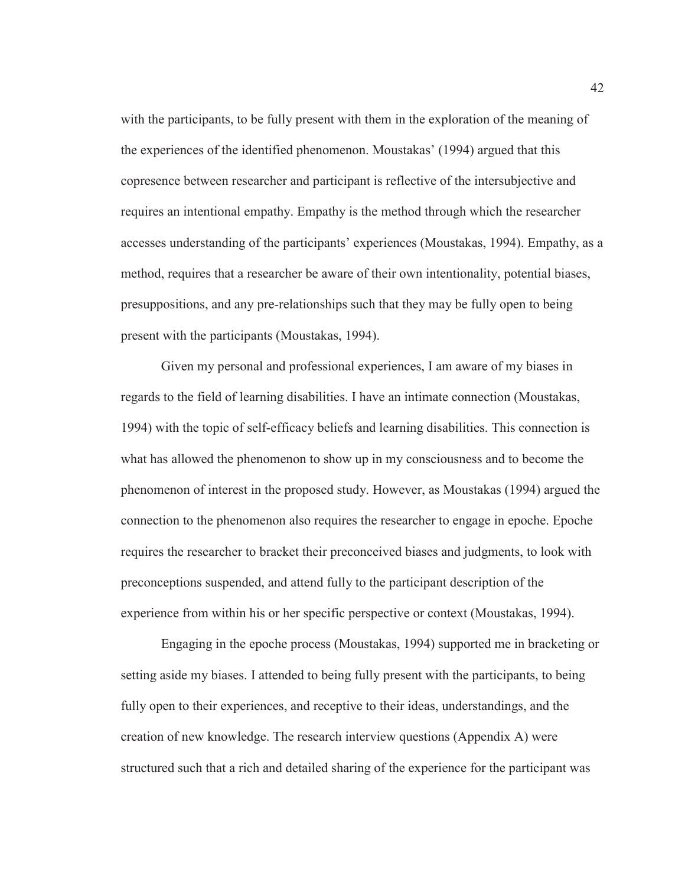with the participants, to be fully present with them in the exploration of the meaning of the experiences of the identified phenomenon. Moustakas' (1994) argued that this copresence between researcher and participant is reflective of the intersubjective and requires an intentional empathy. Empathy is the method through which the researcher accesses understanding of the participants' experiences (Moustakas, 1994). Empathy, as a method, requires that a researcher be aware of their own intentionality, potential biases, presuppositions, and any pre-relationships such that they may be fully open to being present with the participants (Moustakas, 1994).

Given my personal and professional experiences, I am aware of my biases in regards to the field of learning disabilities. I have an intimate connection (Moustakas, 1994) with the topic of self-efficacy beliefs and learning disabilities. This connection is what has allowed the phenomenon to show up in my consciousness and to become the phenomenon of interest in the proposed study. However, as Moustakas (1994) argued the connection to the phenomenon also requires the researcher to engage in epoche. Epoche requires the researcher to bracket their preconceived biases and judgments, to look with preconceptions suspended, and attend fully to the participant description of the experience from within his or her specific perspective or context (Moustakas, 1994).

Engaging in the epoche process (Moustakas, 1994) supported me in bracketing or setting aside my biases. I attended to being fully present with the participants, to being fully open to their experiences, and receptive to their ideas, understandings, and the creation of new knowledge. The research interview questions (Appendix A) were structured such that a rich and detailed sharing of the experience for the participant was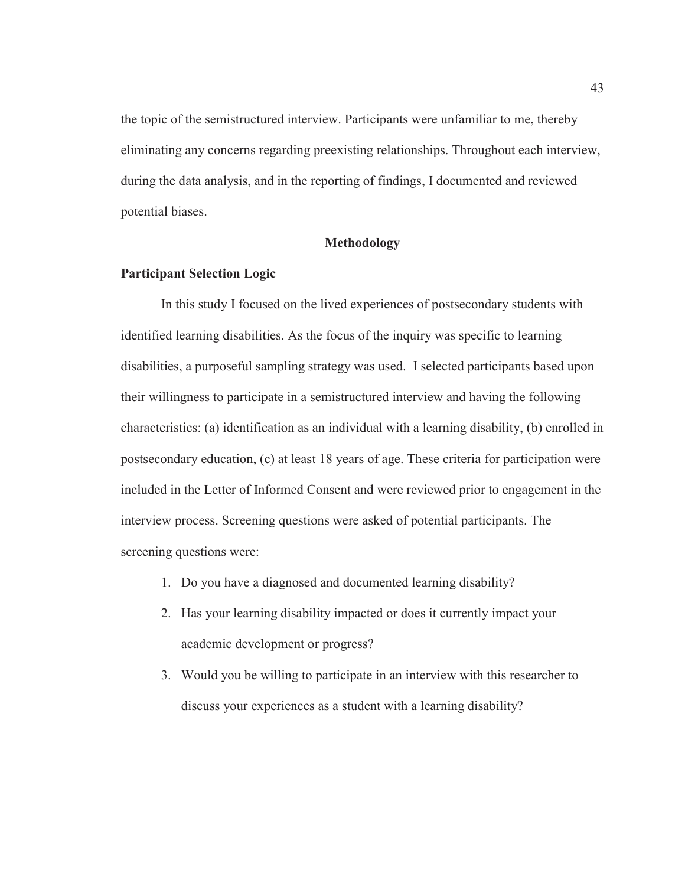the topic of the semistructured interview. Participants were unfamiliar to me, thereby eliminating any concerns regarding preexisting relationships. Throughout each interview, during the data analysis, and in the reporting of findings, I documented and reviewed potential biases.

### **Methodology**

# **Participant Selection Logic**

In this study I focused on the lived experiences of postsecondary students with identified learning disabilities. As the focus of the inquiry was specific to learning disabilities, a purposeful sampling strategy was used. I selected participants based upon their willingness to participate in a semistructured interview and having the following characteristics: (a) identification as an individual with a learning disability, (b) enrolled in postsecondary education, (c) at least 18 years of age. These criteria for participation were included in the Letter of Informed Consent and were reviewed prior to engagement in the interview process. Screening questions were asked of potential participants. The screening questions were:

- 1. Do you have a diagnosed and documented learning disability?
- 2. Has your learning disability impacted or does it currently impact your academic development or progress?
- 3. Would you be willing to participate in an interview with this researcher to discuss your experiences as a student with a learning disability?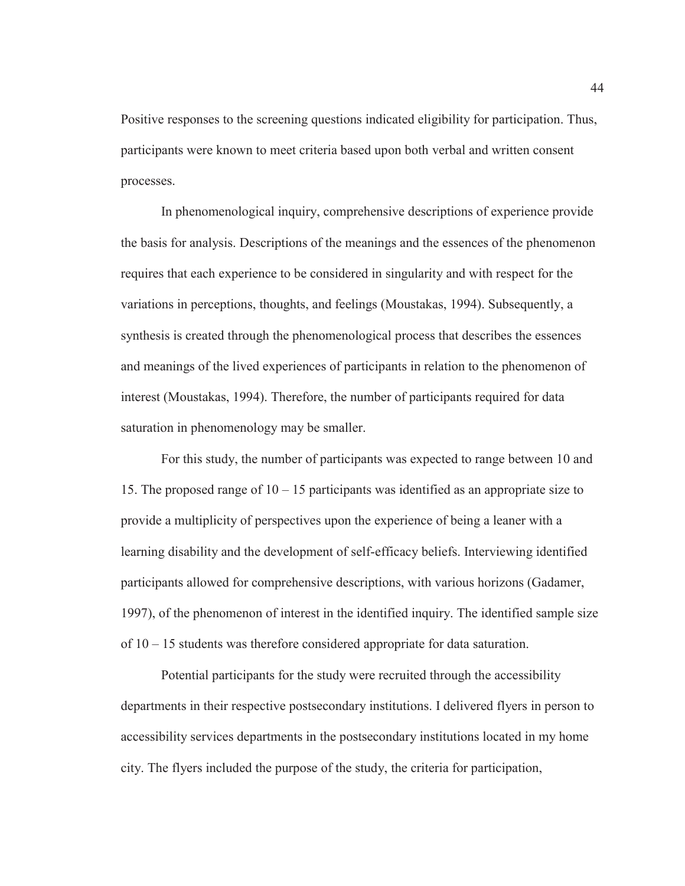Positive responses to the screening questions indicated eligibility for participation. Thus, participants were known to meet criteria based upon both verbal and written consent processes.

 In phenomenological inquiry, comprehensive descriptions of experience provide the basis for analysis. Descriptions of the meanings and the essences of the phenomenon requires that each experience to be considered in singularity and with respect for the variations in perceptions, thoughts, and feelings (Moustakas, 1994). Subsequently, a synthesis is created through the phenomenological process that describes the essences and meanings of the lived experiences of participants in relation to the phenomenon of interest (Moustakas, 1994). Therefore, the number of participants required for data saturation in phenomenology may be smaller.

For this study, the number of participants was expected to range between 10 and 15. The proposed range of  $10 - 15$  participants was identified as an appropriate size to provide a multiplicity of perspectives upon the experience of being a leaner with a learning disability and the development of self-efficacy beliefs. Interviewing identified participants allowed for comprehensive descriptions, with various horizons (Gadamer, 1997), of the phenomenon of interest in the identified inquiry. The identified sample size of 10 – 15 students was therefore considered appropriate for data saturation.

 Potential participants for the study were recruited through the accessibility departments in their respective postsecondary institutions. I delivered flyers in person to accessibility services departments in the postsecondary institutions located in my home city. The flyers included the purpose of the study, the criteria for participation,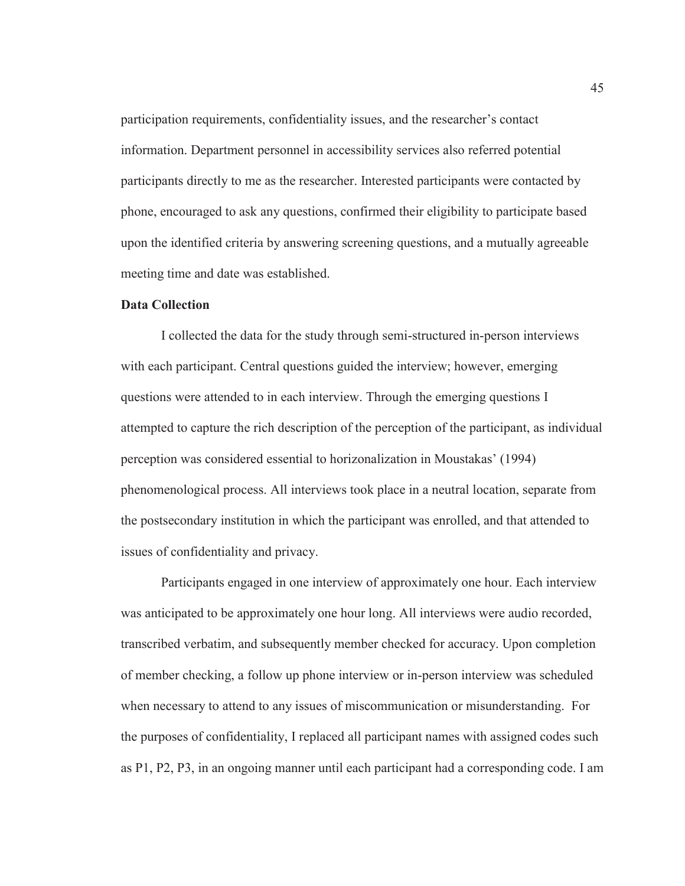participation requirements, confidentiality issues, and the researcher's contact information. Department personnel in accessibility services also referred potential participants directly to me as the researcher. Interested participants were contacted by phone, encouraged to ask any questions, confirmed their eligibility to participate based upon the identified criteria by answering screening questions, and a mutually agreeable meeting time and date was established.

## **Data Collection**

I collected the data for the study through semi-structured in-person interviews with each participant. Central questions guided the interview; however, emerging questions were attended to in each interview. Through the emerging questions I attempted to capture the rich description of the perception of the participant, as individual perception was considered essential to horizonalization in Moustakas' (1994) phenomenological process. All interviews took place in a neutral location, separate from the postsecondary institution in which the participant was enrolled, and that attended to issues of confidentiality and privacy.

Participants engaged in one interview of approximately one hour. Each interview was anticipated to be approximately one hour long. All interviews were audio recorded, transcribed verbatim, and subsequently member checked for accuracy. Upon completion of member checking, a follow up phone interview or in-person interview was scheduled when necessary to attend to any issues of miscommunication or misunderstanding. For the purposes of confidentiality, I replaced all participant names with assigned codes such as P1, P2, P3, in an ongoing manner until each participant had a corresponding code. I am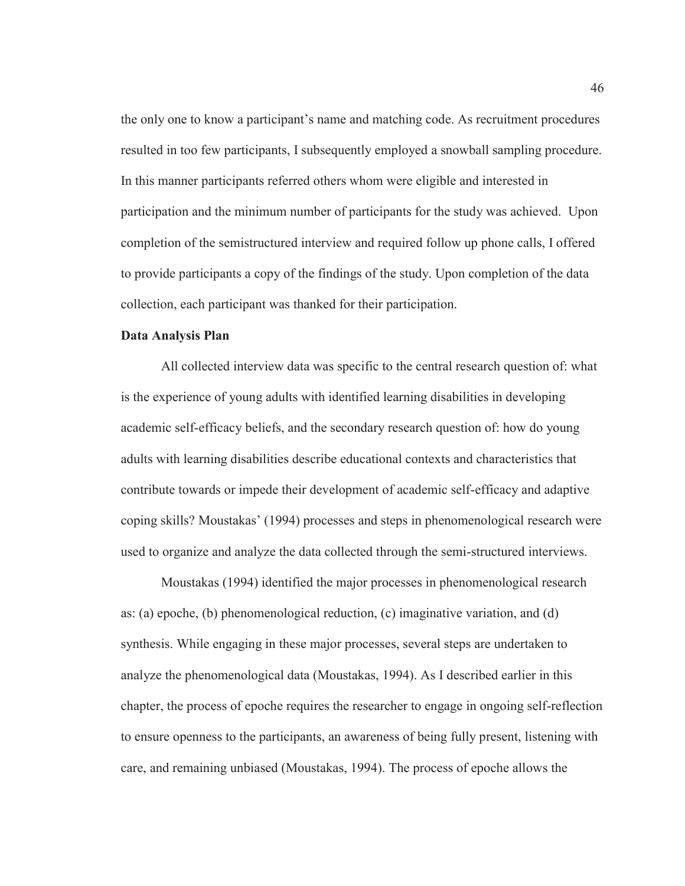the only one to know a participant's name and matching code. As recruitment procedures resulted in too few participants, I subsequently employed a snowball sampling procedure. In this manner participants referred others whom were eligible and interested in participation and the minimum number of participants for the study was achieved. Upon completion of the semistructured interview and required follow up phone calls, I offered to provide participants a copy of the findings of the study. Upon completion of the data collection, each participant was thanked for their participation.

# **Data Analysis Plan**

 All collected interview data was specific to the central research question of: what is the experience of young adults with identified learning disabilities in developing academic self-efficacy beliefs, and the secondary research question of: how do young adults with learning disabilities describe educational contexts and characteristics that contribute towards or impede their development of academic self-efficacy and adaptive coping skills? Moustakas' (1994) processes and steps in phenomenological research were used to organize and analyze the data collected through the semi-structured interviews.

Moustakas (1994) identified the major processes in phenomenological research as: (a) epoche, (b) phenomenological reduction, (c) imaginative variation, and (d) synthesis. While engaging in these major processes, several steps are undertaken to analyze the phenomenological data (Moustakas, 1994). As I described earlier in this chapter, the process of epoche requires the researcher to engage in ongoing self-reflection to ensure openness to the participants, an awareness of being fully present, listening with care, and remaining unbiased (Moustakas, 1994). The process of epoche allows the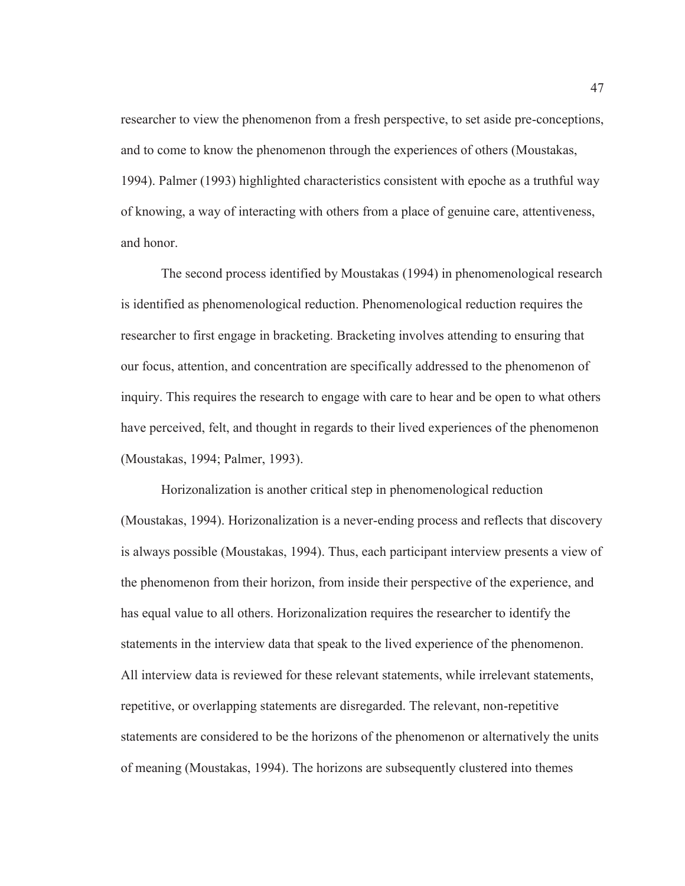researcher to view the phenomenon from a fresh perspective, to set aside pre-conceptions, and to come to know the phenomenon through the experiences of others (Moustakas, 1994). Palmer (1993) highlighted characteristics consistent with epoche as a truthful way of knowing, a way of interacting with others from a place of genuine care, attentiveness, and honor.

The second process identified by Moustakas (1994) in phenomenological research is identified as phenomenological reduction. Phenomenological reduction requires the researcher to first engage in bracketing. Bracketing involves attending to ensuring that our focus, attention, and concentration are specifically addressed to the phenomenon of inquiry. This requires the research to engage with care to hear and be open to what others have perceived, felt, and thought in regards to their lived experiences of the phenomenon (Moustakas, 1994; Palmer, 1993).

Horizonalization is another critical step in phenomenological reduction (Moustakas, 1994). Horizonalization is a never-ending process and reflects that discovery is always possible (Moustakas, 1994). Thus, each participant interview presents a view of the phenomenon from their horizon, from inside their perspective of the experience, and has equal value to all others. Horizonalization requires the researcher to identify the statements in the interview data that speak to the lived experience of the phenomenon. All interview data is reviewed for these relevant statements, while irrelevant statements, repetitive, or overlapping statements are disregarded. The relevant, non-repetitive statements are considered to be the horizons of the phenomenon or alternatively the units of meaning (Moustakas, 1994). The horizons are subsequently clustered into themes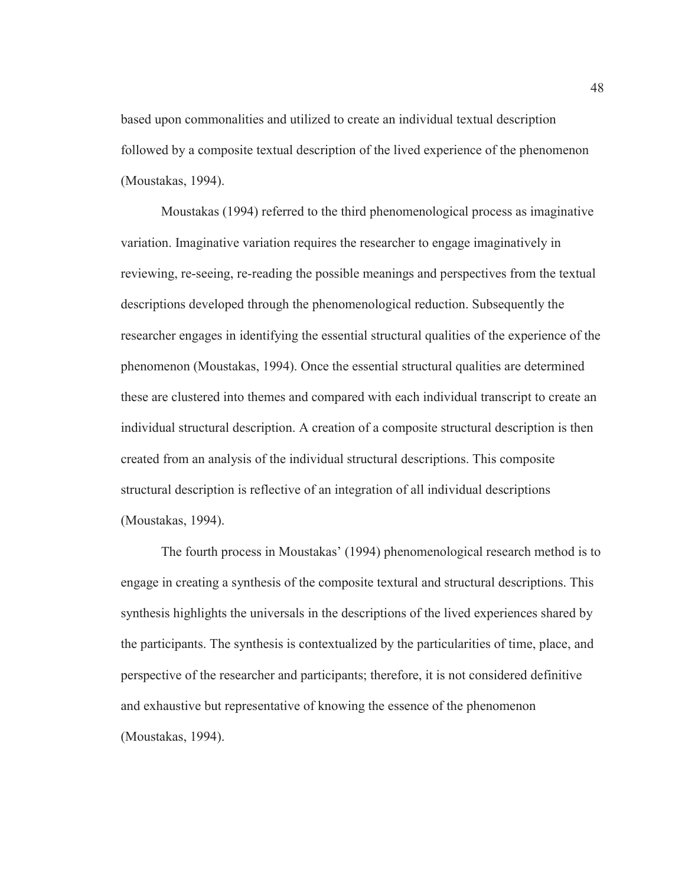based upon commonalities and utilized to create an individual textual description followed by a composite textual description of the lived experience of the phenomenon (Moustakas, 1994).

Moustakas (1994) referred to the third phenomenological process as imaginative variation. Imaginative variation requires the researcher to engage imaginatively in reviewing, re-seeing, re-reading the possible meanings and perspectives from the textual descriptions developed through the phenomenological reduction. Subsequently the researcher engages in identifying the essential structural qualities of the experience of the phenomenon (Moustakas, 1994). Once the essential structural qualities are determined these are clustered into themes and compared with each individual transcript to create an individual structural description. A creation of a composite structural description is then created from an analysis of the individual structural descriptions. This composite structural description is reflective of an integration of all individual descriptions (Moustakas, 1994).

The fourth process in Moustakas' (1994) phenomenological research method is to engage in creating a synthesis of the composite textural and structural descriptions. This synthesis highlights the universals in the descriptions of the lived experiences shared by the participants. The synthesis is contextualized by the particularities of time, place, and perspective of the researcher and participants; therefore, it is not considered definitive and exhaustive but representative of knowing the essence of the phenomenon (Moustakas, 1994).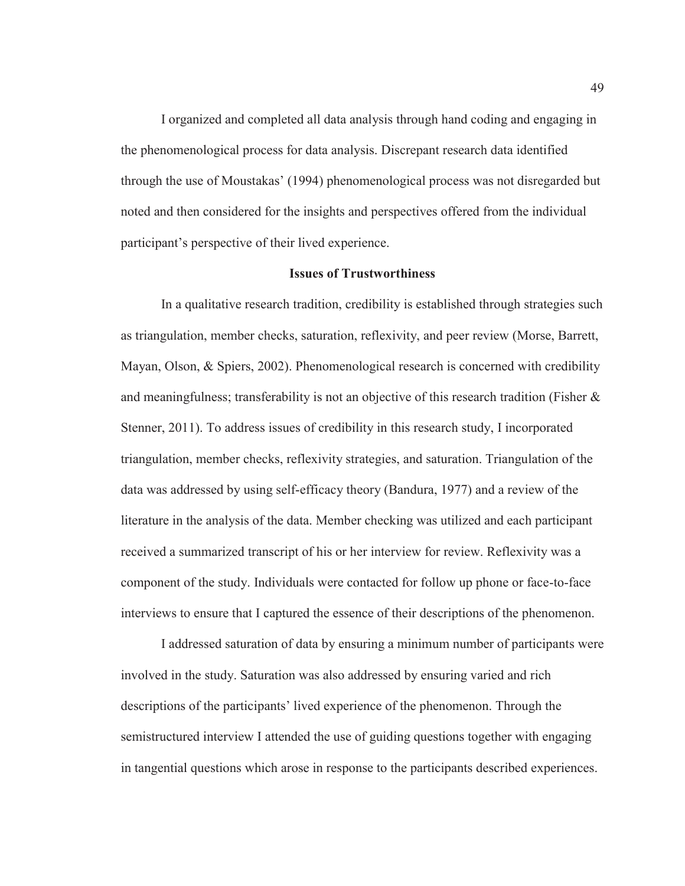I organized and completed all data analysis through hand coding and engaging in the phenomenological process for data analysis. Discrepant research data identified through the use of Moustakas' (1994) phenomenological process was not disregarded but noted and then considered for the insights and perspectives offered from the individual participant's perspective of their lived experience.

#### **Issues of Trustworthiness**

In a qualitative research tradition, credibility is established through strategies such as triangulation, member checks, saturation, reflexivity, and peer review (Morse, Barrett, Mayan, Olson, & Spiers, 2002). Phenomenological research is concerned with credibility and meaningfulness; transferability is not an objective of this research tradition (Fisher & Stenner, 2011). To address issues of credibility in this research study, I incorporated triangulation, member checks, reflexivity strategies, and saturation. Triangulation of the data was addressed by using self-efficacy theory (Bandura, 1977) and a review of the literature in the analysis of the data. Member checking was utilized and each participant received a summarized transcript of his or her interview for review. Reflexivity was a component of the study. Individuals were contacted for follow up phone or face-to-face interviews to ensure that I captured the essence of their descriptions of the phenomenon.

I addressed saturation of data by ensuring a minimum number of participants were involved in the study. Saturation was also addressed by ensuring varied and rich descriptions of the participants' lived experience of the phenomenon. Through the semistructured interview I attended the use of guiding questions together with engaging in tangential questions which arose in response to the participants described experiences.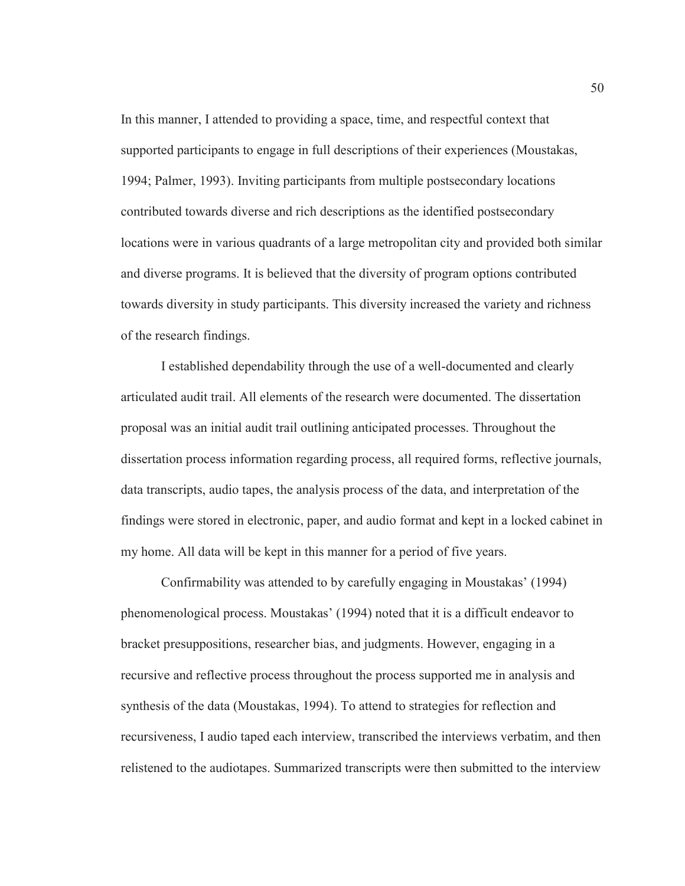In this manner, I attended to providing a space, time, and respectful context that supported participants to engage in full descriptions of their experiences (Moustakas, 1994; Palmer, 1993). Inviting participants from multiple postsecondary locations contributed towards diverse and rich descriptions as the identified postsecondary locations were in various quadrants of a large metropolitan city and provided both similar and diverse programs. It is believed that the diversity of program options contributed towards diversity in study participants. This diversity increased the variety and richness of the research findings.

I established dependability through the use of a well-documented and clearly articulated audit trail. All elements of the research were documented. The dissertation proposal was an initial audit trail outlining anticipated processes. Throughout the dissertation process information regarding process, all required forms, reflective journals, data transcripts, audio tapes, the analysis process of the data, and interpretation of the findings were stored in electronic, paper, and audio format and kept in a locked cabinet in my home. All data will be kept in this manner for a period of five years.

Confirmability was attended to by carefully engaging in Moustakas' (1994) phenomenological process. Moustakas' (1994) noted that it is a difficult endeavor to bracket presuppositions, researcher bias, and judgments. However, engaging in a recursive and reflective process throughout the process supported me in analysis and synthesis of the data (Moustakas, 1994). To attend to strategies for reflection and recursiveness, I audio taped each interview, transcribed the interviews verbatim, and then relistened to the audiotapes. Summarized transcripts were then submitted to the interview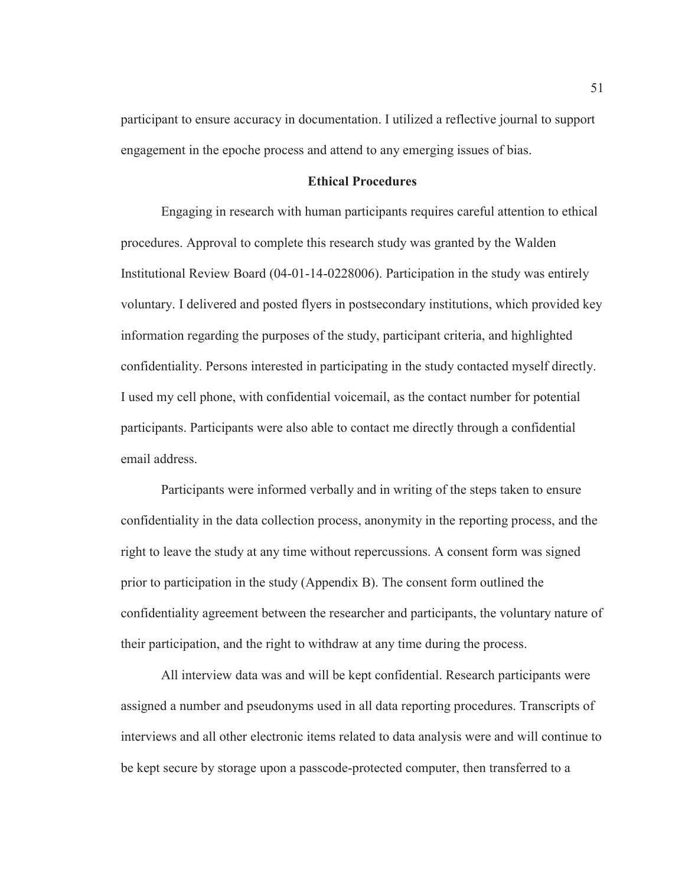participant to ensure accuracy in documentation. I utilized a reflective journal to support engagement in the epoche process and attend to any emerging issues of bias.

#### **Ethical Procedures**

Engaging in research with human participants requires careful attention to ethical procedures. Approval to complete this research study was granted by the Walden Institutional Review Board (04-01-14-0228006). Participation in the study was entirely voluntary. I delivered and posted flyers in postsecondary institutions, which provided key information regarding the purposes of the study, participant criteria, and highlighted confidentiality. Persons interested in participating in the study contacted myself directly. I used my cell phone, with confidential voicemail, as the contact number for potential participants. Participants were also able to contact me directly through a confidential email address.

Participants were informed verbally and in writing of the steps taken to ensure confidentiality in the data collection process, anonymity in the reporting process, and the right to leave the study at any time without repercussions. A consent form was signed prior to participation in the study (Appendix B). The consent form outlined the confidentiality agreement between the researcher and participants, the voluntary nature of their participation, and the right to withdraw at any time during the process.

All interview data was and will be kept confidential. Research participants were assigned a number and pseudonyms used in all data reporting procedures. Transcripts of interviews and all other electronic items related to data analysis were and will continue to be kept secure by storage upon a passcode-protected computer, then transferred to a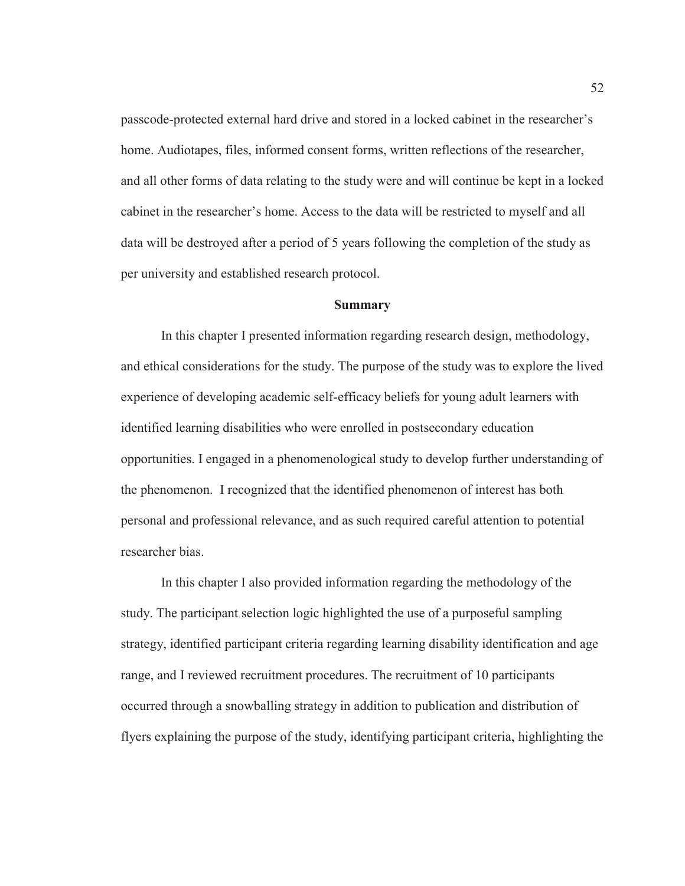passcode-protected external hard drive and stored in a locked cabinet in the researcher's home. Audiotapes, files, informed consent forms, written reflections of the researcher, and all other forms of data relating to the study were and will continue be kept in a locked cabinet in the researcher's home. Access to the data will be restricted to myself and all data will be destroyed after a period of 5 years following the completion of the study as per university and established research protocol.

#### **Summary**

 In this chapter I presented information regarding research design, methodology, and ethical considerations for the study. The purpose of the study was to explore the lived experience of developing academic self-efficacy beliefs for young adult learners with identified learning disabilities who were enrolled in postsecondary education opportunities. I engaged in a phenomenological study to develop further understanding of the phenomenon. I recognized that the identified phenomenon of interest has both personal and professional relevance, and as such required careful attention to potential researcher bias.

 In this chapter I also provided information regarding the methodology of the study. The participant selection logic highlighted the use of a purposeful sampling strategy, identified participant criteria regarding learning disability identification and age range, and I reviewed recruitment procedures. The recruitment of 10 participants occurred through a snowballing strategy in addition to publication and distribution of flyers explaining the purpose of the study, identifying participant criteria, highlighting the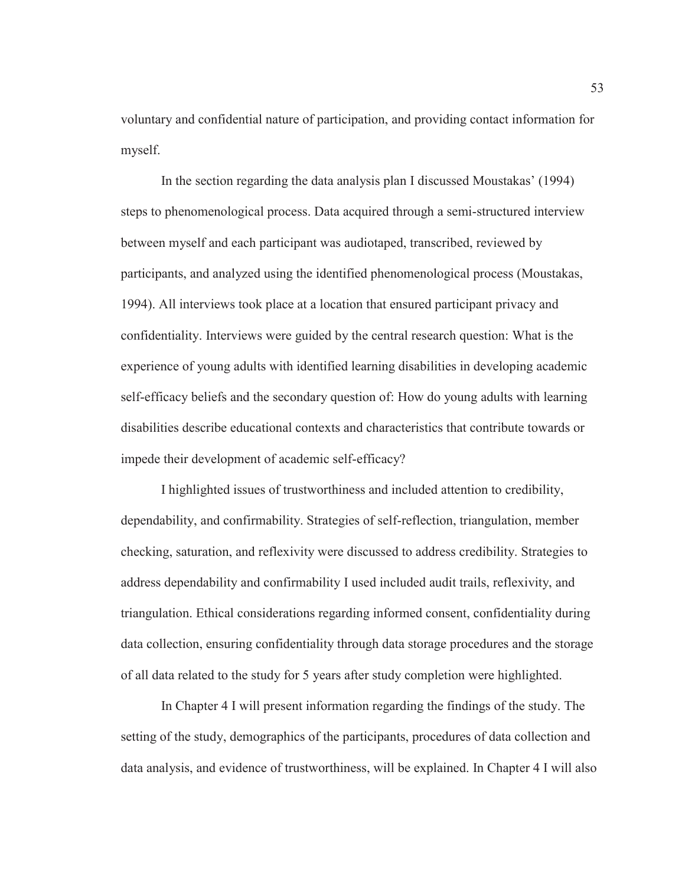voluntary and confidential nature of participation, and providing contact information for myself.

In the section regarding the data analysis plan I discussed Moustakas' (1994) steps to phenomenological process. Data acquired through a semi-structured interview between myself and each participant was audiotaped, transcribed, reviewed by participants, and analyzed using the identified phenomenological process (Moustakas, 1994). All interviews took place at a location that ensured participant privacy and confidentiality. Interviews were guided by the central research question: What is the experience of young adults with identified learning disabilities in developing academic self-efficacy beliefs and the secondary question of: How do young adults with learning disabilities describe educational contexts and characteristics that contribute towards or impede their development of academic self-efficacy?

I highlighted issues of trustworthiness and included attention to credibility, dependability, and confirmability. Strategies of self-reflection, triangulation, member checking, saturation, and reflexivity were discussed to address credibility. Strategies to address dependability and confirmability I used included audit trails, reflexivity, and triangulation. Ethical considerations regarding informed consent, confidentiality during data collection, ensuring confidentiality through data storage procedures and the storage of all data related to the study for 5 years after study completion were highlighted.

In Chapter 4 I will present information regarding the findings of the study. The setting of the study, demographics of the participants, procedures of data collection and data analysis, and evidence of trustworthiness, will be explained. In Chapter 4 I will also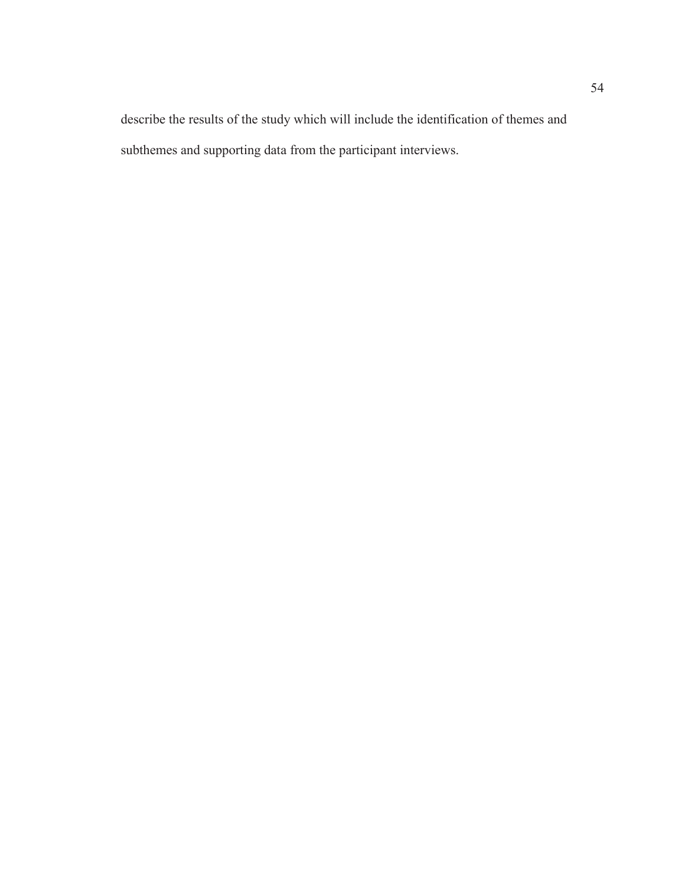describe the results of the study which will include the identification of themes and subthemes and supporting data from the participant interviews.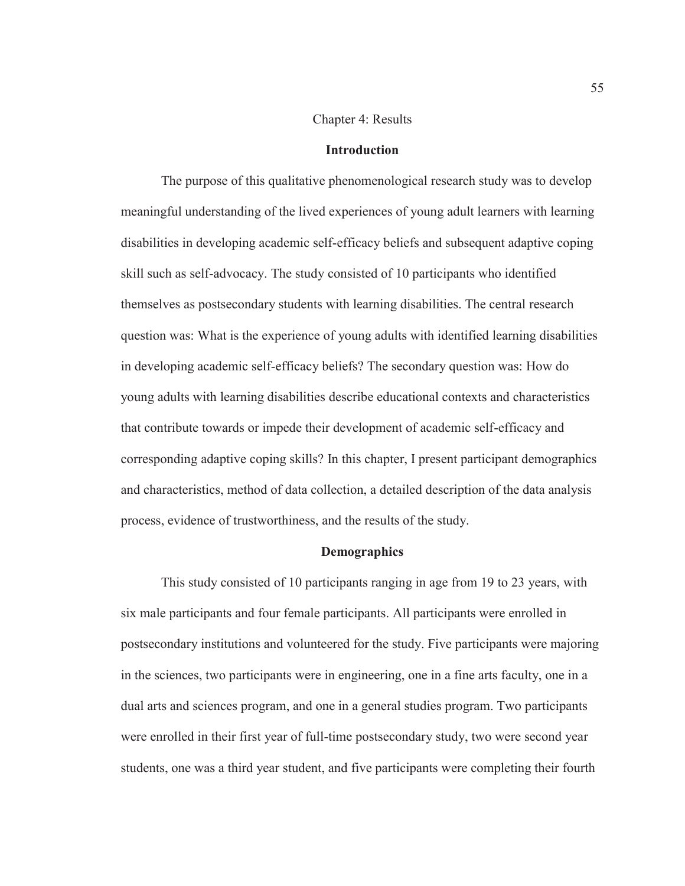#### Chapter 4: Results

#### **Introduction**

The purpose of this qualitative phenomenological research study was to develop meaningful understanding of the lived experiences of young adult learners with learning disabilities in developing academic self-efficacy beliefs and subsequent adaptive coping skill such as self-advocacy. The study consisted of 10 participants who identified themselves as postsecondary students with learning disabilities. The central research question was: What is the experience of young adults with identified learning disabilities in developing academic self-efficacy beliefs? The secondary question was: How do young adults with learning disabilities describe educational contexts and characteristics that contribute towards or impede their development of academic self-efficacy and corresponding adaptive coping skills? In this chapter, I present participant demographics and characteristics, method of data collection, a detailed description of the data analysis process, evidence of trustworthiness, and the results of the study.

## **Demographics**

This study consisted of 10 participants ranging in age from 19 to 23 years, with six male participants and four female participants. All participants were enrolled in postsecondary institutions and volunteered for the study. Five participants were majoring in the sciences, two participants were in engineering, one in a fine arts faculty, one in a dual arts and sciences program, and one in a general studies program. Two participants were enrolled in their first year of full-time postsecondary study, two were second year students, one was a third year student, and five participants were completing their fourth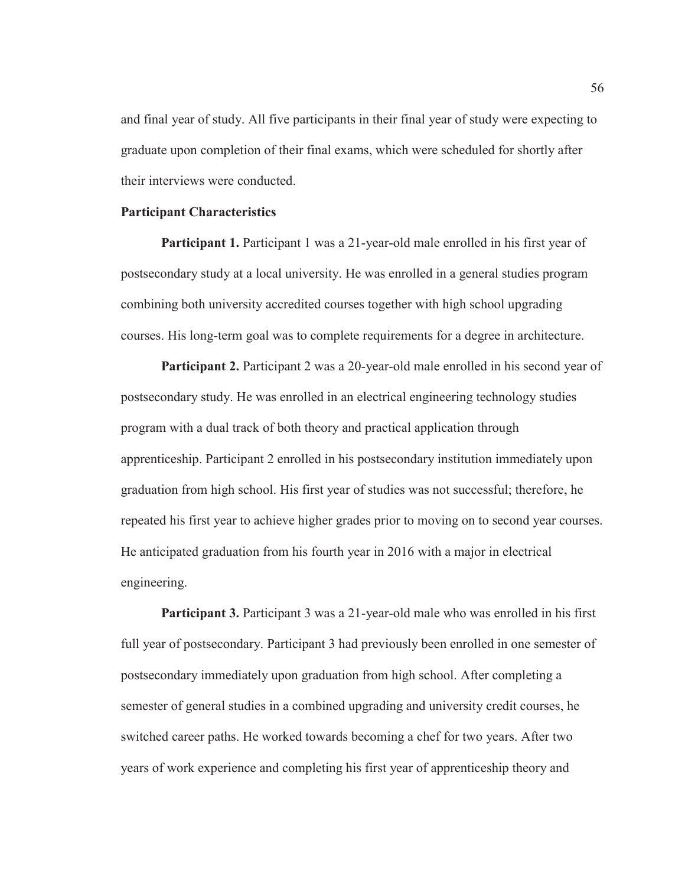and final year of study. All five participants in their final year of study were expecting to graduate upon completion of their final exams, which were scheduled for shortly after their interviews were conducted.

## **Participant Characteristics**

**Participant 1.** Participant 1 was a 21-year-old male enrolled in his first year of postsecondary study at a local university. He was enrolled in a general studies program combining both university accredited courses together with high school upgrading courses. His long-term goal was to complete requirements for a degree in architecture.

**Participant 2.** Participant 2 was a 20-year-old male enrolled in his second year of postsecondary study. He was enrolled in an electrical engineering technology studies program with a dual track of both theory and practical application through apprenticeship. Participant 2 enrolled in his postsecondary institution immediately upon graduation from high school. His first year of studies was not successful; therefore, he repeated his first year to achieve higher grades prior to moving on to second year courses. He anticipated graduation from his fourth year in 2016 with a major in electrical engineering.

**Participant 3.** Participant 3 was a 21-year-old male who was enrolled in his first full year of postsecondary. Participant 3 had previously been enrolled in one semester of postsecondary immediately upon graduation from high school. After completing a semester of general studies in a combined upgrading and university credit courses, he switched career paths. He worked towards becoming a chef for two years. After two years of work experience and completing his first year of apprenticeship theory and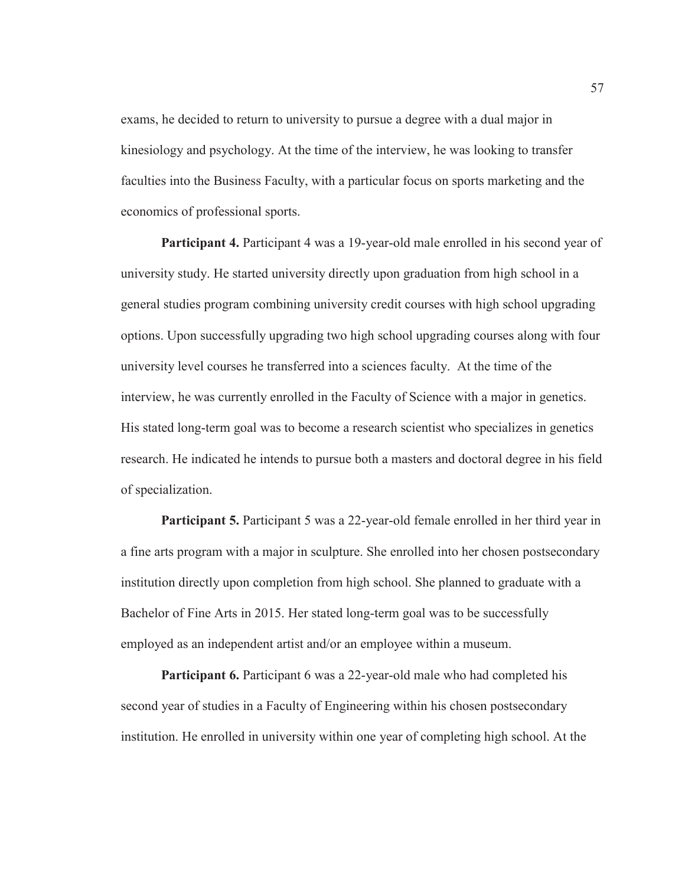exams, he decided to return to university to pursue a degree with a dual major in kinesiology and psychology. At the time of the interview, he was looking to transfer faculties into the Business Faculty, with a particular focus on sports marketing and the economics of professional sports.

**Participant 4.** Participant 4 was a 19-year-old male enrolled in his second year of university study. He started university directly upon graduation from high school in a general studies program combining university credit courses with high school upgrading options. Upon successfully upgrading two high school upgrading courses along with four university level courses he transferred into a sciences faculty. At the time of the interview, he was currently enrolled in the Faculty of Science with a major in genetics. His stated long-term goal was to become a research scientist who specializes in genetics research. He indicated he intends to pursue both a masters and doctoral degree in his field of specialization.

**Participant 5.** Participant 5 was a 22-year-old female enrolled in her third year in a fine arts program with a major in sculpture. She enrolled into her chosen postsecondary institution directly upon completion from high school. She planned to graduate with a Bachelor of Fine Arts in 2015. Her stated long-term goal was to be successfully employed as an independent artist and/or an employee within a museum.

**Participant 6.** Participant 6 was a 22-year-old male who had completed his second year of studies in a Faculty of Engineering within his chosen postsecondary institution. He enrolled in university within one year of completing high school. At the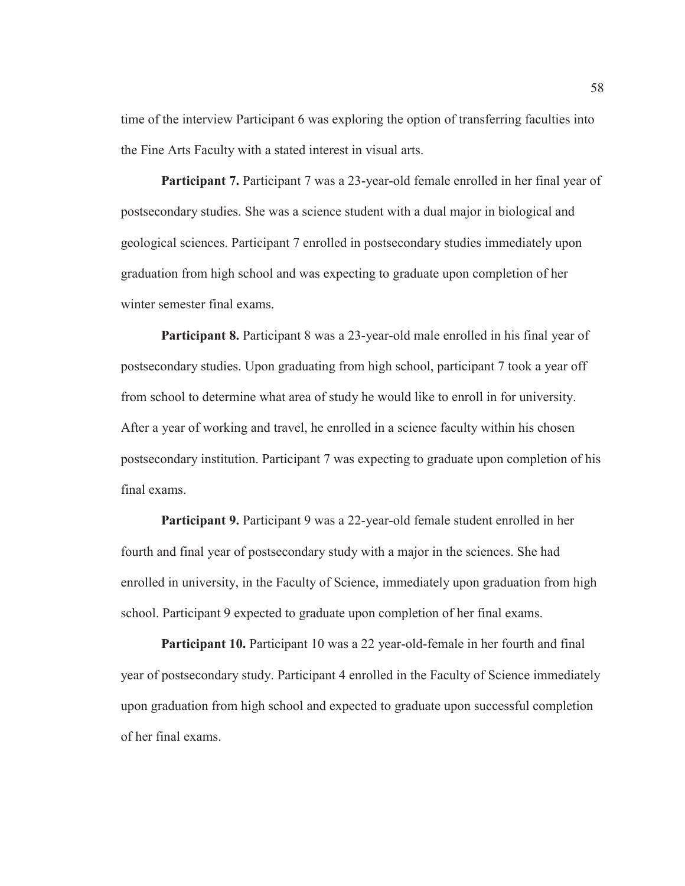time of the interview Participant 6 was exploring the option of transferring faculties into the Fine Arts Faculty with a stated interest in visual arts.

**Participant 7.** Participant 7 was a 23-year-old female enrolled in her final year of postsecondary studies. She was a science student with a dual major in biological and geological sciences. Participant 7 enrolled in postsecondary studies immediately upon graduation from high school and was expecting to graduate upon completion of her winter semester final exams.

**Participant 8.** Participant 8 was a 23-year-old male enrolled in his final year of postsecondary studies. Upon graduating from high school, participant 7 took a year off from school to determine what area of study he would like to enroll in for university. After a year of working and travel, he enrolled in a science faculty within his chosen postsecondary institution. Participant 7 was expecting to graduate upon completion of his final exams.

**Participant 9.** Participant 9 was a 22-year-old female student enrolled in her fourth and final year of postsecondary study with a major in the sciences. She had enrolled in university, in the Faculty of Science, immediately upon graduation from high school. Participant 9 expected to graduate upon completion of her final exams.

**Participant 10.** Participant 10 was a 22 year-old-female in her fourth and final year of postsecondary study. Participant 4 enrolled in the Faculty of Science immediately upon graduation from high school and expected to graduate upon successful completion of her final exams.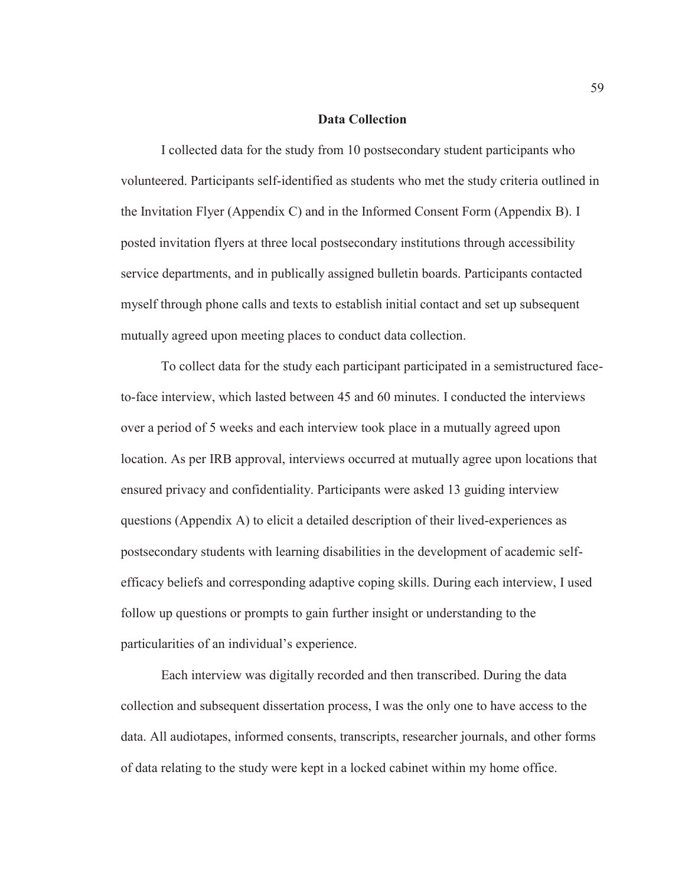#### **Data Collection**

I collected data for the study from 10 postsecondary student participants who volunteered. Participants self-identified as students who met the study criteria outlined in the Invitation Flyer (Appendix C) and in the Informed Consent Form (Appendix B). I posted invitation flyers at three local postsecondary institutions through accessibility service departments, and in publically assigned bulletin boards. Participants contacted myself through phone calls and texts to establish initial contact and set up subsequent mutually agreed upon meeting places to conduct data collection.

To collect data for the study each participant participated in a semistructured faceto-face interview, which lasted between 45 and 60 minutes. I conducted the interviews over a period of 5 weeks and each interview took place in a mutually agreed upon location. As per IRB approval, interviews occurred at mutually agree upon locations that ensured privacy and confidentiality. Participants were asked 13 guiding interview questions (Appendix A) to elicit a detailed description of their lived-experiences as postsecondary students with learning disabilities in the development of academic selfefficacy beliefs and corresponding adaptive coping skills. During each interview, I used follow up questions or prompts to gain further insight or understanding to the particularities of an individual's experience.

Each interview was digitally recorded and then transcribed. During the data collection and subsequent dissertation process, I was the only one to have access to the data. All audiotapes, informed consents, transcripts, researcher journals, and other forms of data relating to the study were kept in a locked cabinet within my home office.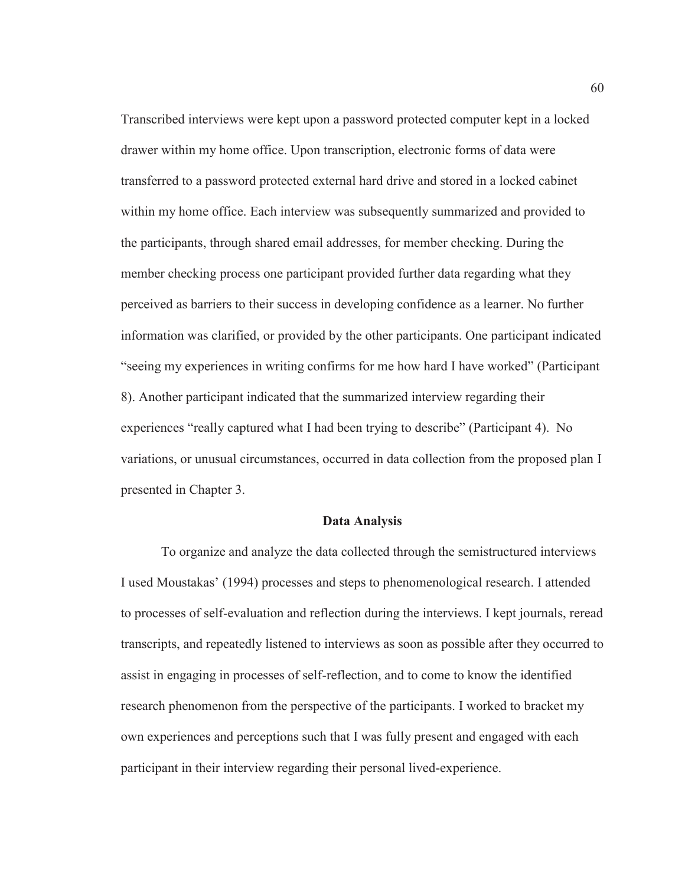Transcribed interviews were kept upon a password protected computer kept in a locked drawer within my home office. Upon transcription, electronic forms of data were transferred to a password protected external hard drive and stored in a locked cabinet within my home office. Each interview was subsequently summarized and provided to the participants, through shared email addresses, for member checking. During the member checking process one participant provided further data regarding what they perceived as barriers to their success in developing confidence as a learner. No further information was clarified, or provided by the other participants. One participant indicated "seeing my experiences in writing confirms for me how hard I have worked" (Participant 8). Another participant indicated that the summarized interview regarding their experiences "really captured what I had been trying to describe" (Participant 4). No variations, or unusual circumstances, occurred in data collection from the proposed plan I presented in Chapter 3.

## **Data Analysis**

To organize and analyze the data collected through the semistructured interviews I used Moustakas' (1994) processes and steps to phenomenological research. I attended to processes of self-evaluation and reflection during the interviews. I kept journals, reread transcripts, and repeatedly listened to interviews as soon as possible after they occurred to assist in engaging in processes of self-reflection, and to come to know the identified research phenomenon from the perspective of the participants. I worked to bracket my own experiences and perceptions such that I was fully present and engaged with each participant in their interview regarding their personal lived-experience.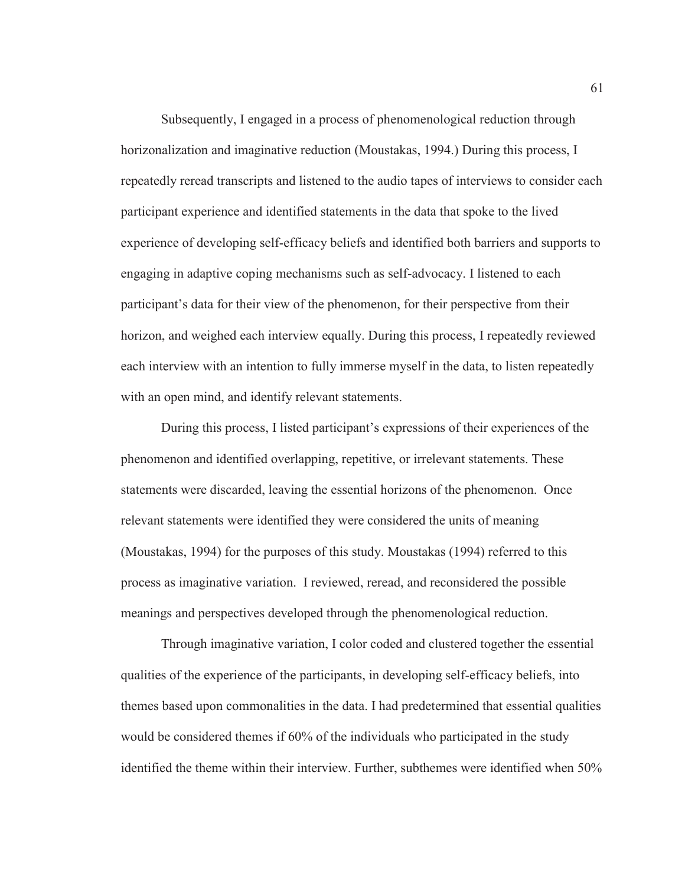Subsequently, I engaged in a process of phenomenological reduction through horizonalization and imaginative reduction (Moustakas, 1994.) During this process, I repeatedly reread transcripts and listened to the audio tapes of interviews to consider each participant experience and identified statements in the data that spoke to the lived experience of developing self-efficacy beliefs and identified both barriers and supports to engaging in adaptive coping mechanisms such as self-advocacy. I listened to each participant's data for their view of the phenomenon, for their perspective from their horizon, and weighed each interview equally. During this process, I repeatedly reviewed each interview with an intention to fully immerse myself in the data, to listen repeatedly with an open mind, and identify relevant statements.

During this process, I listed participant's expressions of their experiences of the phenomenon and identified overlapping, repetitive, or irrelevant statements. These statements were discarded, leaving the essential horizons of the phenomenon. Once relevant statements were identified they were considered the units of meaning (Moustakas, 1994) for the purposes of this study. Moustakas (1994) referred to this process as imaginative variation. I reviewed, reread, and reconsidered the possible meanings and perspectives developed through the phenomenological reduction.

Through imaginative variation, I color coded and clustered together the essential qualities of the experience of the participants, in developing self-efficacy beliefs, into themes based upon commonalities in the data. I had predetermined that essential qualities would be considered themes if 60% of the individuals who participated in the study identified the theme within their interview. Further, subthemes were identified when 50%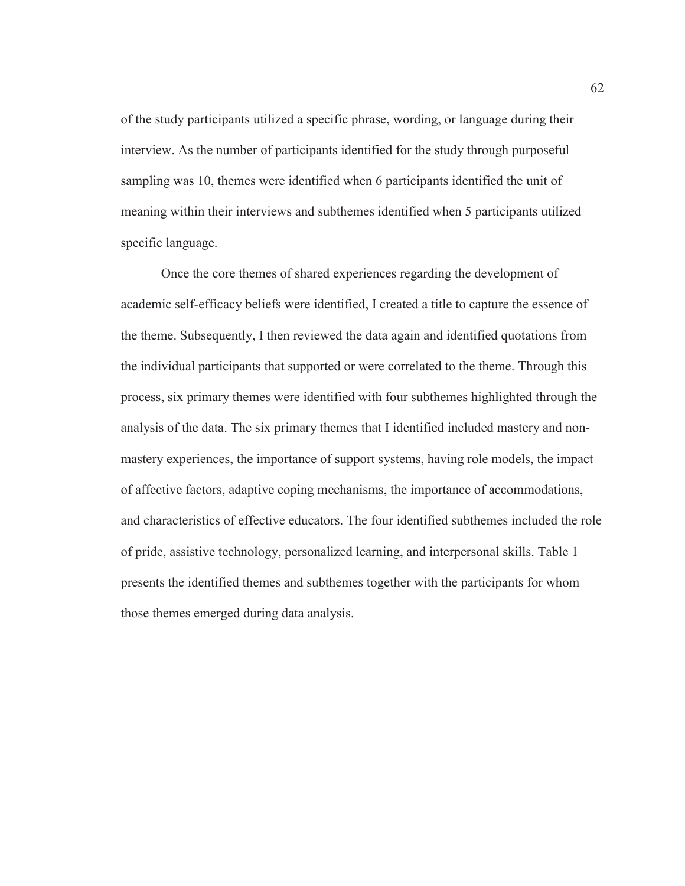of the study participants utilized a specific phrase, wording, or language during their interview. As the number of participants identified for the study through purposeful sampling was 10, themes were identified when 6 participants identified the unit of meaning within their interviews and subthemes identified when 5 participants utilized specific language.

Once the core themes of shared experiences regarding the development of academic self-efficacy beliefs were identified, I created a title to capture the essence of the theme. Subsequently, I then reviewed the data again and identified quotations from the individual participants that supported or were correlated to the theme. Through this process, six primary themes were identified with four subthemes highlighted through the analysis of the data. The six primary themes that I identified included mastery and nonmastery experiences, the importance of support systems, having role models, the impact of affective factors, adaptive coping mechanisms, the importance of accommodations, and characteristics of effective educators. The four identified subthemes included the role of pride, assistive technology, personalized learning, and interpersonal skills. Table 1 presents the identified themes and subthemes together with the participants for whom those themes emerged during data analysis.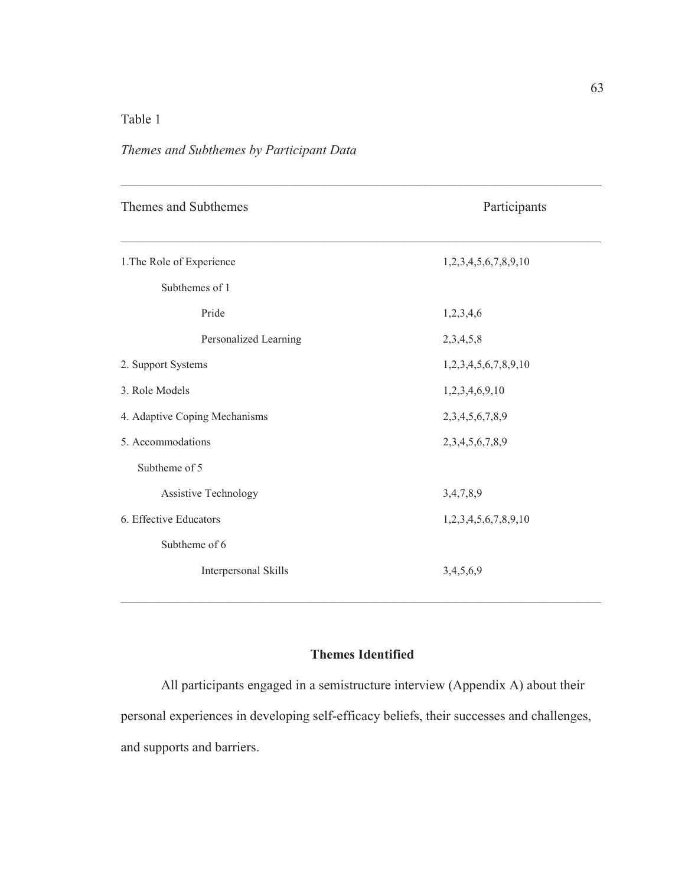# Table 1

# *Themes and Subthemes by Participant Data*

| Themes and Subthemes          | Participants         |
|-------------------------------|----------------------|
| 1. The Role of Experience     | 1,2,3,4,5,6,7,8,9,10 |
| Subthemes of 1                |                      |
| Pride                         | 1,2,3,4,6            |
| Personalized Learning         | 2,3,4,5,8            |
| 2. Support Systems            | 1,2,3,4,5,6,7,8,9,10 |
| 3. Role Models                | 1,2,3,4,6,9,10       |
| 4. Adaptive Coping Mechanisms | 2,3,4,5,6,7,8,9      |
| 5. Accommodations             | 2,3,4,5,6,7,8,9      |
| Subtheme of 5                 |                      |
| Assistive Technology          | 3,4,7,8,9            |
| 6. Effective Educators        | 1,2,3,4,5,6,7,8,9,10 |
| Subtheme of 6                 |                      |
| Interpersonal Skills          | 3,4,5,6,9            |
|                               |                      |

# **Themes Identified**

All participants engaged in a semistructure interview (Appendix A) about their personal experiences in developing self-efficacy beliefs, their successes and challenges, and supports and barriers.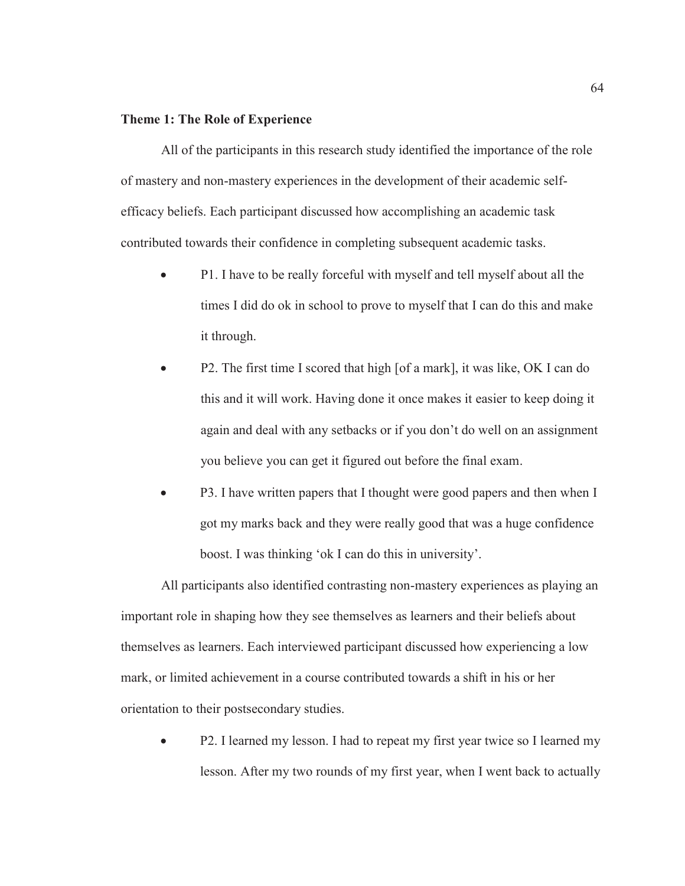## **Theme 1: The Role of Experience**

All of the participants in this research study identified the importance of the role of mastery and non-mastery experiences in the development of their academic selfefficacy beliefs. Each participant discussed how accomplishing an academic task contributed towards their confidence in completing subsequent academic tasks.

- P1. I have to be really forceful with myself and tell myself about all the times I did do ok in school to prove to myself that I can do this and make it through.
- P2. The first time I scored that high [of a mark], it was like, OK I can do this and it will work. Having done it once makes it easier to keep doing it again and deal with any setbacks or if you don't do well on an assignment you believe you can get it figured out before the final exam.
- P3. I have written papers that I thought were good papers and then when I got my marks back and they were really good that was a huge confidence boost. I was thinking 'ok I can do this in university'.

All participants also identified contrasting non-mastery experiences as playing an important role in shaping how they see themselves as learners and their beliefs about themselves as learners. Each interviewed participant discussed how experiencing a low mark, or limited achievement in a course contributed towards a shift in his or her orientation to their postsecondary studies.

P2. I learned my lesson. I had to repeat my first year twice so I learned my lesson. After my two rounds of my first year, when I went back to actually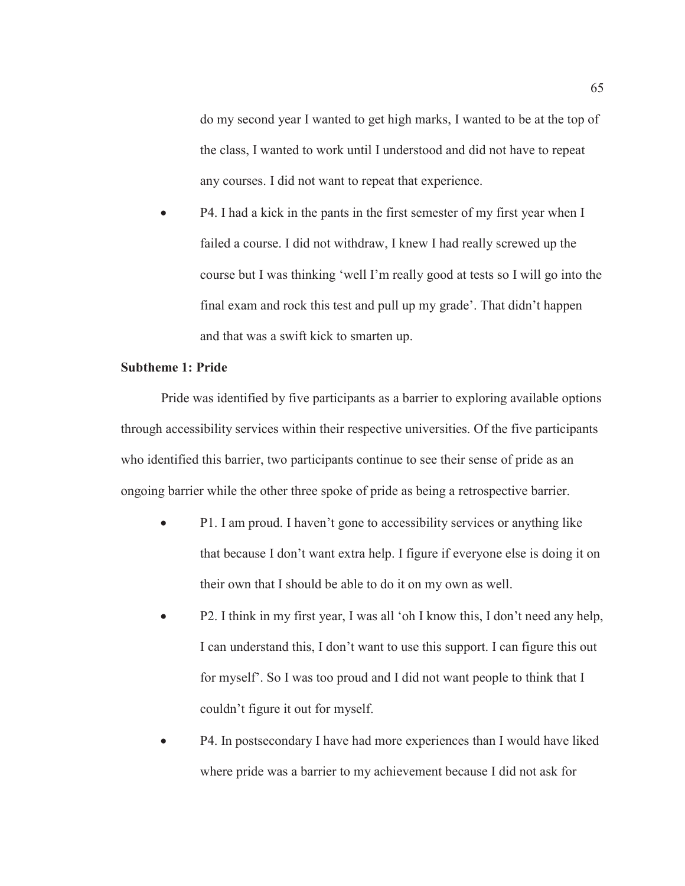do my second year I wanted to get high marks, I wanted to be at the top of the class, I wanted to work until I understood and did not have to repeat any courses. I did not want to repeat that experience.

P4. I had a kick in the pants in the first semester of my first year when I failed a course. I did not withdraw, I knew I had really screwed up the course but I was thinking 'well I'm really good at tests so I will go into the final exam and rock this test and pull up my grade'. That didn't happen and that was a swift kick to smarten up.

# **Subtheme 1: Pride**

Pride was identified by five participants as a barrier to exploring available options through accessibility services within their respective universities. Of the five participants who identified this barrier, two participants continue to see their sense of pride as an ongoing barrier while the other three spoke of pride as being a retrospective barrier.

- P1. I am proud. I haven't gone to accessibility services or anything like that because I don't want extra help. I figure if everyone else is doing it on their own that I should be able to do it on my own as well.
- P2. I think in my first year, I was all 'oh I know this, I don't need any help, I can understand this, I don't want to use this support. I can figure this out for myself'. So I was too proud and I did not want people to think that I couldn't figure it out for myself.
- P4. In postsecondary I have had more experiences than I would have liked where pride was a barrier to my achievement because I did not ask for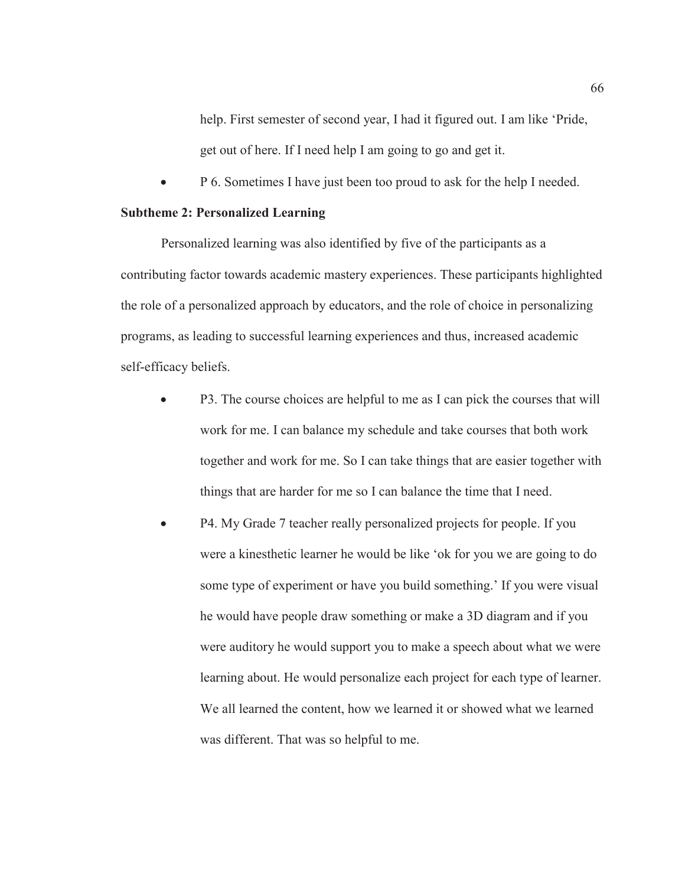help. First semester of second year, I had it figured out. I am like 'Pride, get out of here. If I need help I am going to go and get it.

• P 6. Sometimes I have just been too proud to ask for the help I needed.

## **Subtheme 2: Personalized Learning**

Personalized learning was also identified by five of the participants as a contributing factor towards academic mastery experiences. These participants highlighted the role of a personalized approach by educators, and the role of choice in personalizing programs, as leading to successful learning experiences and thus, increased academic self-efficacy beliefs.

- P3. The course choices are helpful to me as I can pick the courses that will work for me. I can balance my schedule and take courses that both work together and work for me. So I can take things that are easier together with things that are harder for me so I can balance the time that I need.
- x P4. My Grade 7 teacher really personalized projects for people. If you were a kinesthetic learner he would be like 'ok for you we are going to do some type of experiment or have you build something.' If you were visual he would have people draw something or make a 3D diagram and if you were auditory he would support you to make a speech about what we were learning about. He would personalize each project for each type of learner. We all learned the content, how we learned it or showed what we learned was different. That was so helpful to me.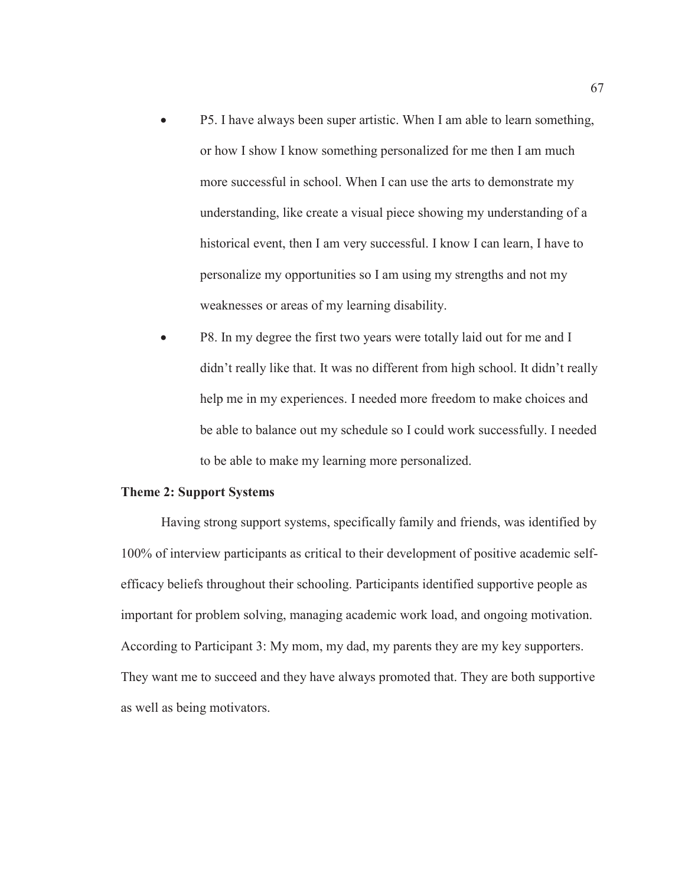- P5. I have always been super artistic. When I am able to learn something, or how I show I know something personalized for me then I am much more successful in school. When I can use the arts to demonstrate my understanding, like create a visual piece showing my understanding of a historical event, then I am very successful. I know I can learn, I have to personalize my opportunities so I am using my strengths and not my weaknesses or areas of my learning disability.
- P8. In my degree the first two years were totally laid out for me and I didn't really like that. It was no different from high school. It didn't really help me in my experiences. I needed more freedom to make choices and be able to balance out my schedule so I could work successfully. I needed to be able to make my learning more personalized.

# **Theme 2: Support Systems**

Having strong support systems, specifically family and friends, was identified by 100% of interview participants as critical to their development of positive academic selfefficacy beliefs throughout their schooling. Participants identified supportive people as important for problem solving, managing academic work load, and ongoing motivation. According to Participant 3: My mom, my dad, my parents they are my key supporters. They want me to succeed and they have always promoted that. They are both supportive as well as being motivators.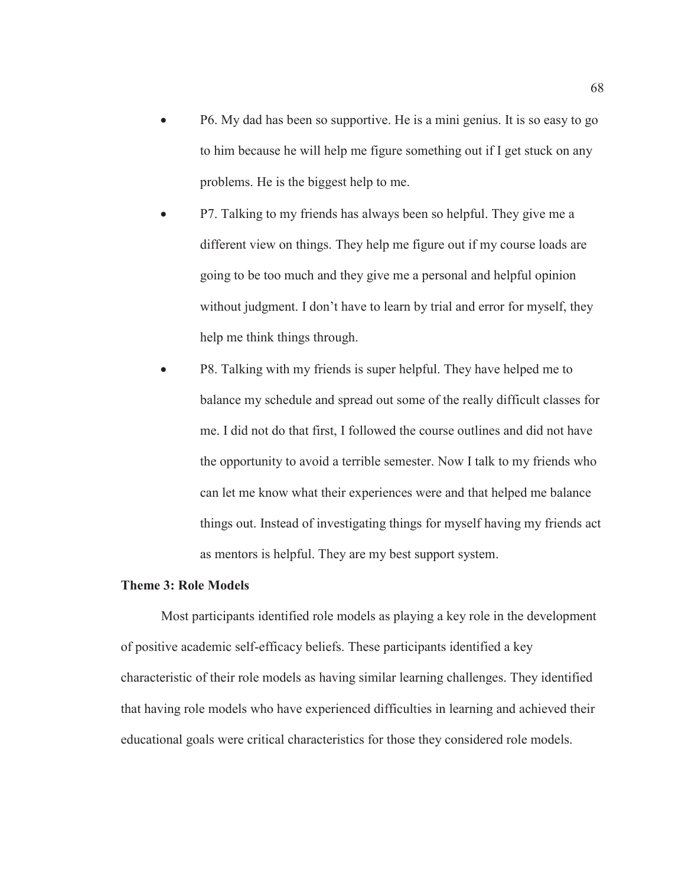- x P6. My dad has been so supportive. He is a mini genius. It is so easy to go to him because he will help me figure something out if I get stuck on any problems. He is the biggest help to me.
- P7. Talking to my friends has always been so helpful. They give me a different view on things. They help me figure out if my course loads are going to be too much and they give me a personal and helpful opinion without judgment. I don't have to learn by trial and error for myself, they help me think things through.
- P8. Talking with my friends is super helpful. They have helped me to balance my schedule and spread out some of the really difficult classes for me. I did not do that first, I followed the course outlines and did not have the opportunity to avoid a terrible semester. Now I talk to my friends who can let me know what their experiences were and that helped me balance things out. Instead of investigating things for myself having my friends act as mentors is helpful. They are my best support system.

# **Theme 3: Role Models**

Most participants identified role models as playing a key role in the development of positive academic self-efficacy beliefs. These participants identified a key characteristic of their role models as having similar learning challenges. They identified that having role models who have experienced difficulties in learning and achieved their educational goals were critical characteristics for those they considered role models.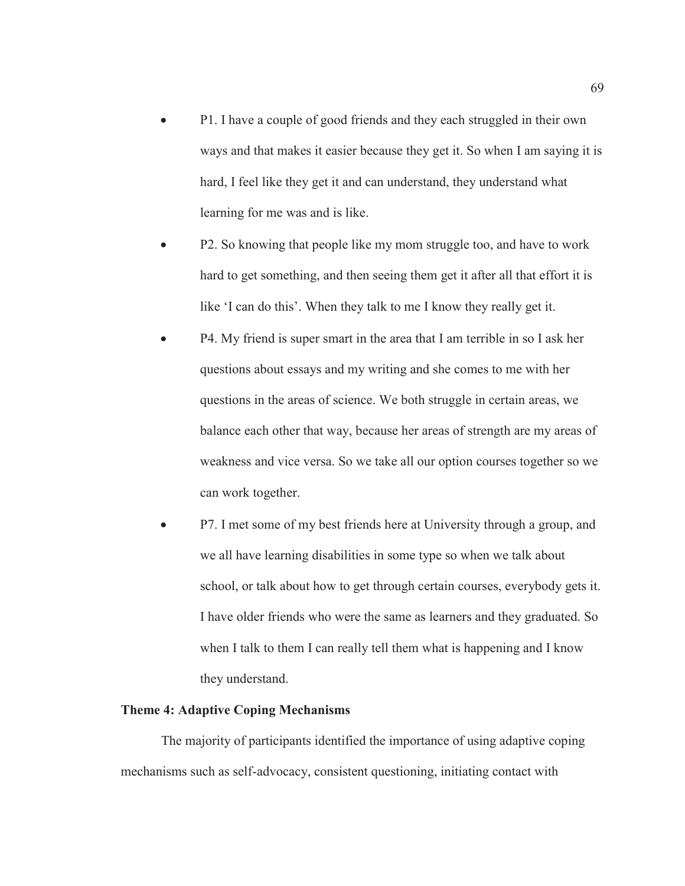- P1. I have a couple of good friends and they each struggled in their own ways and that makes it easier because they get it. So when I am saying it is hard, I feel like they get it and can understand, they understand what learning for me was and is like.
- P2. So knowing that people like my mom struggle too, and have to work hard to get something, and then seeing them get it after all that effort it is like 'I can do this'. When they talk to me I know they really get it.
- P4. My friend is super smart in the area that I am terrible in so I ask her questions about essays and my writing and she comes to me with her questions in the areas of science. We both struggle in certain areas, we balance each other that way, because her areas of strength are my areas of weakness and vice versa. So we take all our option courses together so we can work together.
- P7. I met some of my best friends here at University through a group, and we all have learning disabilities in some type so when we talk about school, or talk about how to get through certain courses, everybody gets it. I have older friends who were the same as learners and they graduated. So when I talk to them I can really tell them what is happening and I know they understand.

# **Theme 4: Adaptive Coping Mechanisms**

The majority of participants identified the importance of using adaptive coping mechanisms such as self-advocacy, consistent questioning, initiating contact with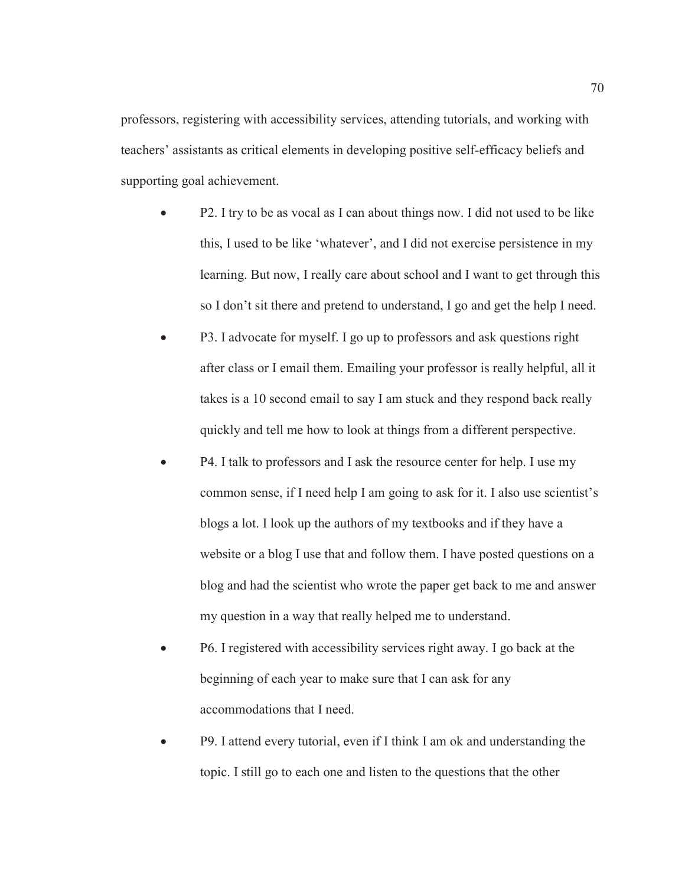professors, registering with accessibility services, attending tutorials, and working with teachers' assistants as critical elements in developing positive self-efficacy beliefs and supporting goal achievement.

- P2. I try to be as vocal as I can about things now. I did not used to be like this, I used to be like 'whatever', and I did not exercise persistence in my learning. But now, I really care about school and I want to get through this so I don't sit there and pretend to understand, I go and get the help I need.
- P3. I advocate for myself. I go up to professors and ask questions right after class or I email them. Emailing your professor is really helpful, all it takes is a 10 second email to say I am stuck and they respond back really quickly and tell me how to look at things from a different perspective.
- P4. I talk to professors and I ask the resource center for help. I use my common sense, if I need help I am going to ask for it. I also use scientist's blogs a lot. I look up the authors of my textbooks and if they have a website or a blog I use that and follow them. I have posted questions on a blog and had the scientist who wrote the paper get back to me and answer my question in a way that really helped me to understand.
- x P6. I registered with accessibility services right away. I go back at the beginning of each year to make sure that I can ask for any accommodations that I need.
- P9. I attend every tutorial, even if I think I am ok and understanding the topic. I still go to each one and listen to the questions that the other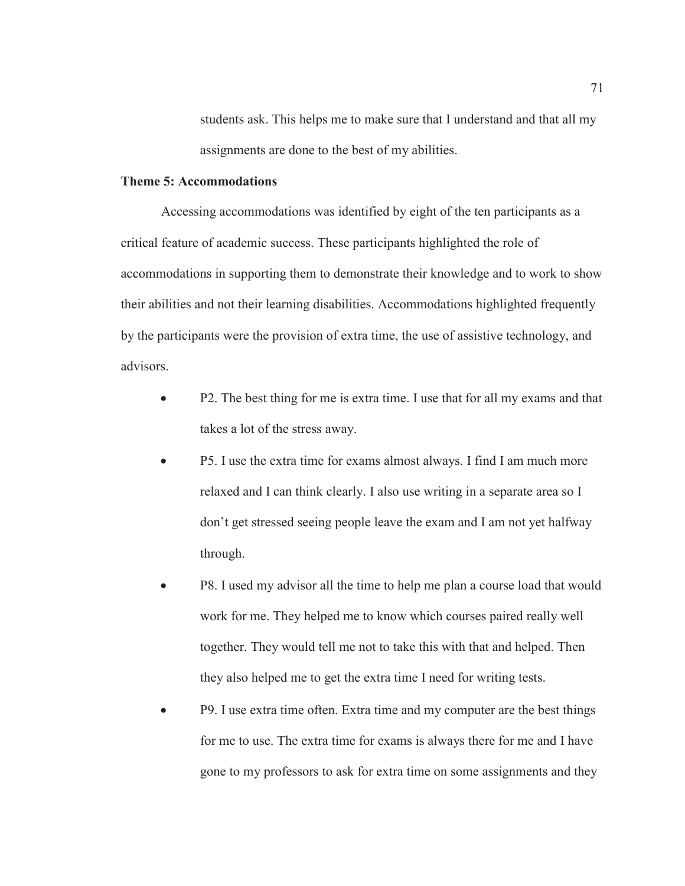students ask. This helps me to make sure that I understand and that all my assignments are done to the best of my abilities.

# **Theme 5: Accommodations**

Accessing accommodations was identified by eight of the ten participants as a critical feature of academic success. These participants highlighted the role of accommodations in supporting them to demonstrate their knowledge and to work to show their abilities and not their learning disabilities. Accommodations highlighted frequently by the participants were the provision of extra time, the use of assistive technology, and advisors.

- P2. The best thing for me is extra time. I use that for all my exams and that takes a lot of the stress away.
- P5. I use the extra time for exams almost always. I find I am much more relaxed and I can think clearly. I also use writing in a separate area so I don't get stressed seeing people leave the exam and I am not yet halfway through.
- P8. I used my advisor all the time to help me plan a course load that would work for me. They helped me to know which courses paired really well together. They would tell me not to take this with that and helped. Then they also helped me to get the extra time I need for writing tests.
- P9. I use extra time often. Extra time and my computer are the best things for me to use. The extra time for exams is always there for me and I have gone to my professors to ask for extra time on some assignments and they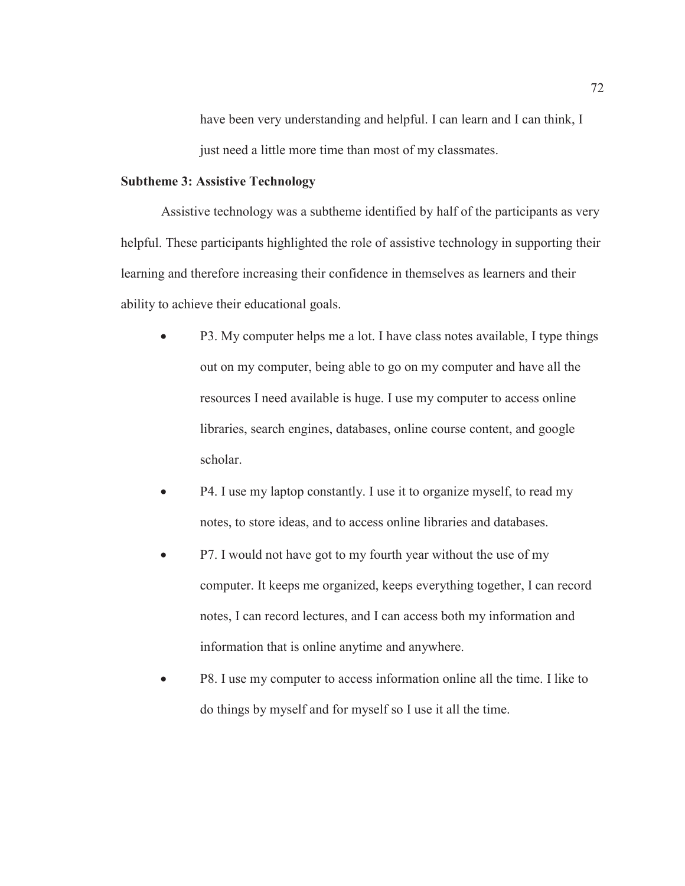have been very understanding and helpful. I can learn and I can think, I just need a little more time than most of my classmates.

## **Subtheme 3: Assistive Technology**

Assistive technology was a subtheme identified by half of the participants as very helpful. These participants highlighted the role of assistive technology in supporting their learning and therefore increasing their confidence in themselves as learners and their ability to achieve their educational goals.

- P3. My computer helps me a lot. I have class notes available, I type things out on my computer, being able to go on my computer and have all the resources I need available is huge. I use my computer to access online libraries, search engines, databases, online course content, and google scholar.
- P4. I use my laptop constantly. I use it to organize myself, to read my notes, to store ideas, and to access online libraries and databases.
- P7. I would not have got to my fourth year without the use of my computer. It keeps me organized, keeps everything together, I can record notes, I can record lectures, and I can access both my information and information that is online anytime and anywhere.
- P8. I use my computer to access information online all the time. I like to do things by myself and for myself so I use it all the time.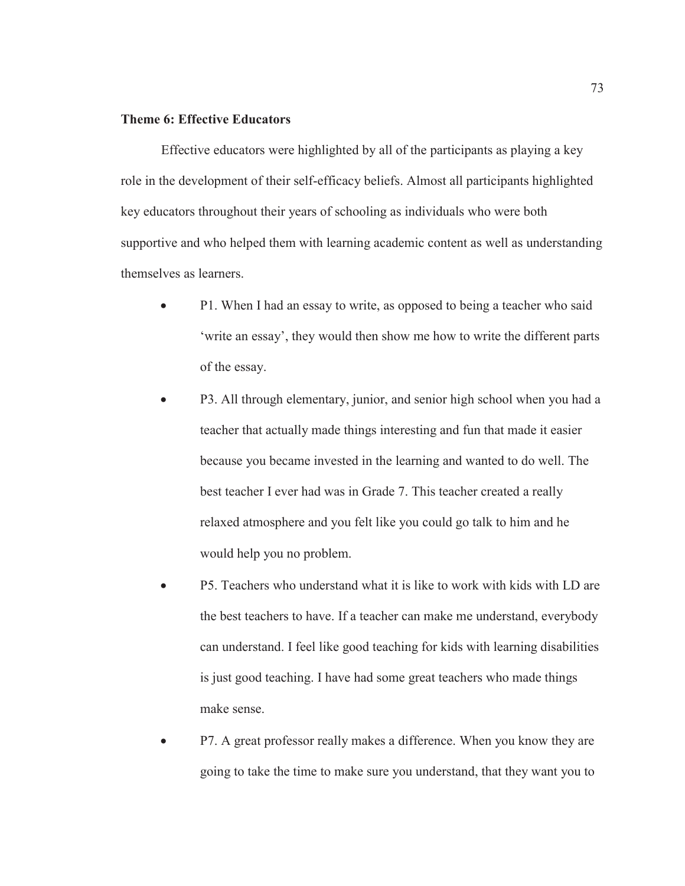# **Theme 6: Effective Educators**

Effective educators were highlighted by all of the participants as playing a key role in the development of their self-efficacy beliefs. Almost all participants highlighted key educators throughout their years of schooling as individuals who were both supportive and who helped them with learning academic content as well as understanding themselves as learners.

- P1. When I had an essay to write, as opposed to being a teacher who said 'write an essay', they would then show me how to write the different parts of the essay.
- P3. All through elementary, junior, and senior high school when you had a teacher that actually made things interesting and fun that made it easier because you became invested in the learning and wanted to do well. The best teacher I ever had was in Grade 7. This teacher created a really relaxed atmosphere and you felt like you could go talk to him and he would help you no problem.
- P5. Teachers who understand what it is like to work with kids with LD are the best teachers to have. If a teacher can make me understand, everybody can understand. I feel like good teaching for kids with learning disabilities is just good teaching. I have had some great teachers who made things make sense.
- P7. A great professor really makes a difference. When you know they are going to take the time to make sure you understand, that they want you to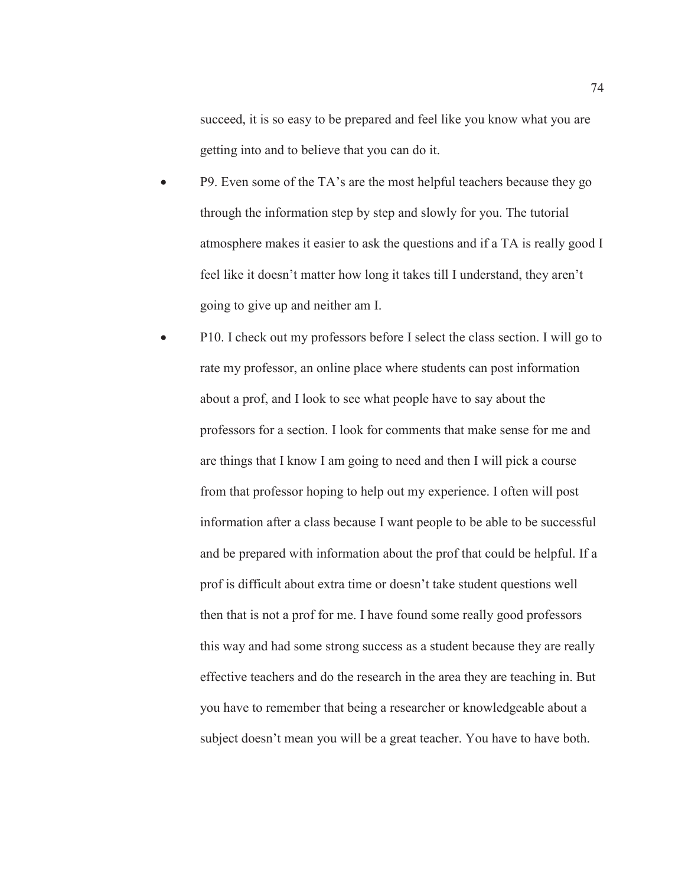succeed, it is so easy to be prepared and feel like you know what you are getting into and to believe that you can do it.

- P9. Even some of the TA's are the most helpful teachers because they go through the information step by step and slowly for you. The tutorial atmosphere makes it easier to ask the questions and if a TA is really good I feel like it doesn't matter how long it takes till I understand, they aren't going to give up and neither am I.
- P10. I check out my professors before I select the class section. I will go to rate my professor, an online place where students can post information about a prof, and I look to see what people have to say about the professors for a section. I look for comments that make sense for me and are things that I know I am going to need and then I will pick a course from that professor hoping to help out my experience. I often will post information after a class because I want people to be able to be successful and be prepared with information about the prof that could be helpful. If a prof is difficult about extra time or doesn't take student questions well then that is not a prof for me. I have found some really good professors this way and had some strong success as a student because they are really effective teachers and do the research in the area they are teaching in. But you have to remember that being a researcher or knowledgeable about a subject doesn't mean you will be a great teacher. You have to have both.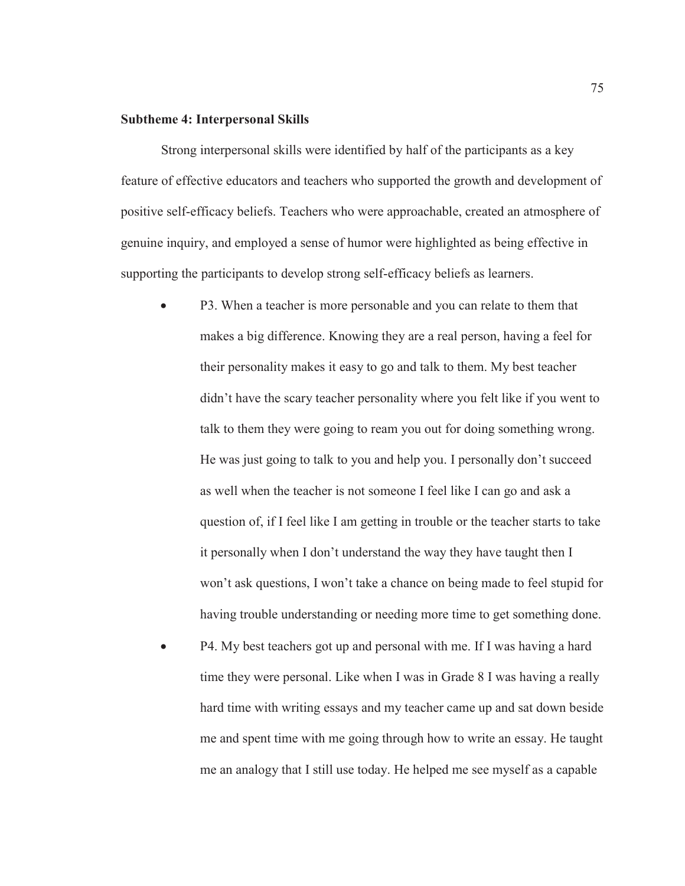#### **Subtheme 4: Interpersonal Skills**

Strong interpersonal skills were identified by half of the participants as a key feature of effective educators and teachers who supported the growth and development of positive self-efficacy beliefs. Teachers who were approachable, created an atmosphere of genuine inquiry, and employed a sense of humor were highlighted as being effective in supporting the participants to develop strong self-efficacy beliefs as learners.

- P3. When a teacher is more personable and you can relate to them that makes a big difference. Knowing they are a real person, having a feel for their personality makes it easy to go and talk to them. My best teacher didn't have the scary teacher personality where you felt like if you went to talk to them they were going to ream you out for doing something wrong. He was just going to talk to you and help you. I personally don't succeed as well when the teacher is not someone I feel like I can go and ask a question of, if I feel like I am getting in trouble or the teacher starts to take it personally when I don't understand the way they have taught then I won't ask questions, I won't take a chance on being made to feel stupid for having trouble understanding or needing more time to get something done.
- P4. My best teachers got up and personal with me. If I was having a hard time they were personal. Like when I was in Grade 8 I was having a really hard time with writing essays and my teacher came up and sat down beside me and spent time with me going through how to write an essay. He taught me an analogy that I still use today. He helped me see myself as a capable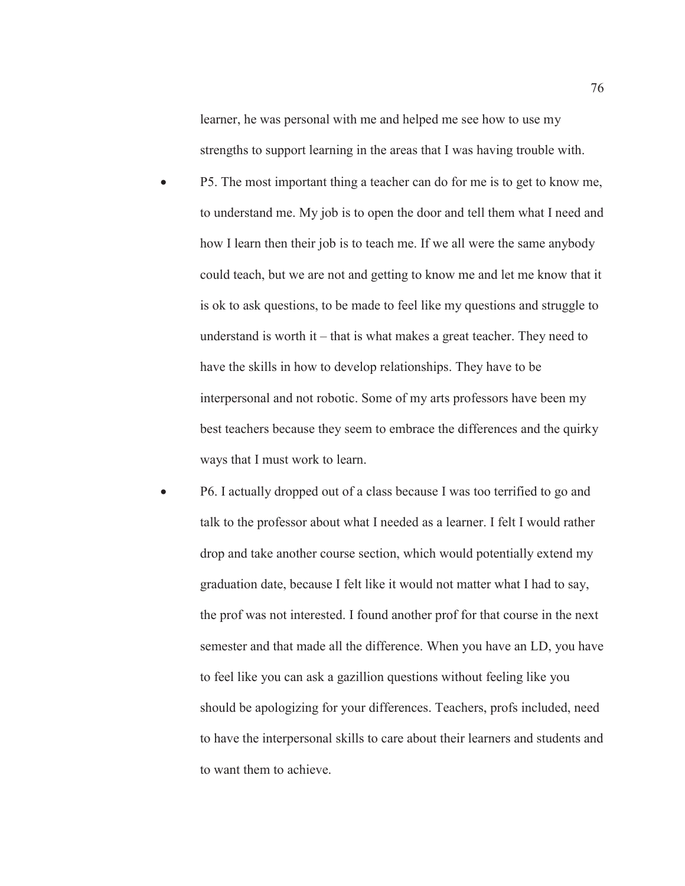learner, he was personal with me and helped me see how to use my strengths to support learning in the areas that I was having trouble with.

- P5. The most important thing a teacher can do for me is to get to know me, to understand me. My job is to open the door and tell them what I need and how I learn then their job is to teach me. If we all were the same anybody could teach, but we are not and getting to know me and let me know that it is ok to ask questions, to be made to feel like my questions and struggle to understand is worth it – that is what makes a great teacher. They need to have the skills in how to develop relationships. They have to be interpersonal and not robotic. Some of my arts professors have been my best teachers because they seem to embrace the differences and the quirky ways that I must work to learn.
- P6. I actually dropped out of a class because I was too terrified to go and talk to the professor about what I needed as a learner. I felt I would rather drop and take another course section, which would potentially extend my graduation date, because I felt like it would not matter what I had to say, the prof was not interested. I found another prof for that course in the next semester and that made all the difference. When you have an LD, you have to feel like you can ask a gazillion questions without feeling like you should be apologizing for your differences. Teachers, profs included, need to have the interpersonal skills to care about their learners and students and to want them to achieve.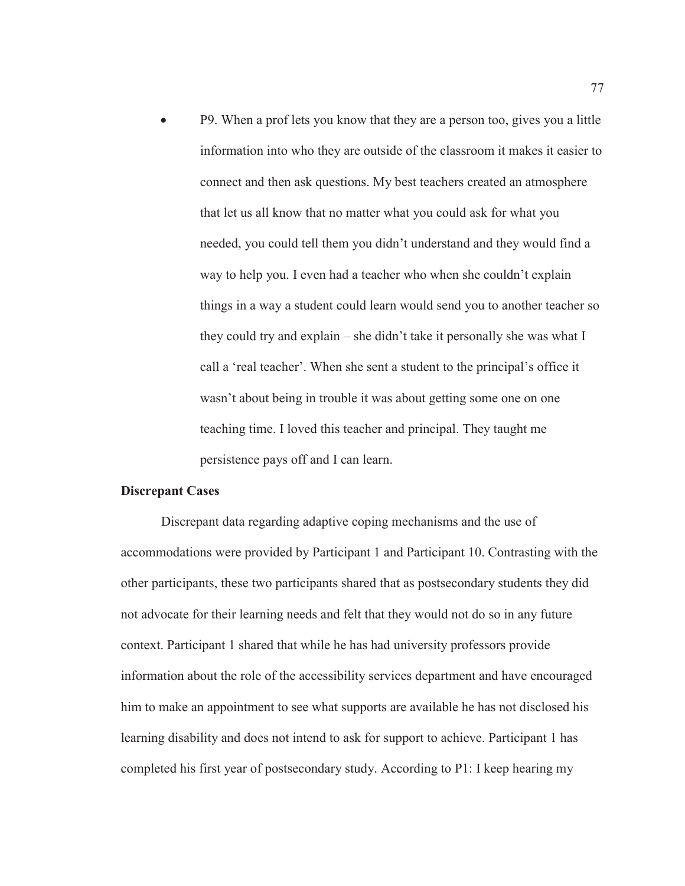x P9. When a prof lets you know that they are a person too, gives you a little information into who they are outside of the classroom it makes it easier to connect and then ask questions. My best teachers created an atmosphere that let us all know that no matter what you could ask for what you needed, you could tell them you didn't understand and they would find a way to help you. I even had a teacher who when she couldn't explain things in a way a student could learn would send you to another teacher so they could try and explain – she didn't take it personally she was what I call a 'real teacher'. When she sent a student to the principal's office it wasn't about being in trouble it was about getting some one on one teaching time. I loved this teacher and principal. They taught me persistence pays off and I can learn.

#### **Discrepant Cases**

Discrepant data regarding adaptive coping mechanisms and the use of accommodations were provided by Participant 1 and Participant 10. Contrasting with the other participants, these two participants shared that as postsecondary students they did not advocate for their learning needs and felt that they would not do so in any future context. Participant 1 shared that while he has had university professors provide information about the role of the accessibility services department and have encouraged him to make an appointment to see what supports are available he has not disclosed his learning disability and does not intend to ask for support to achieve. Participant 1 has completed his first year of postsecondary study. According to P1: I keep hearing my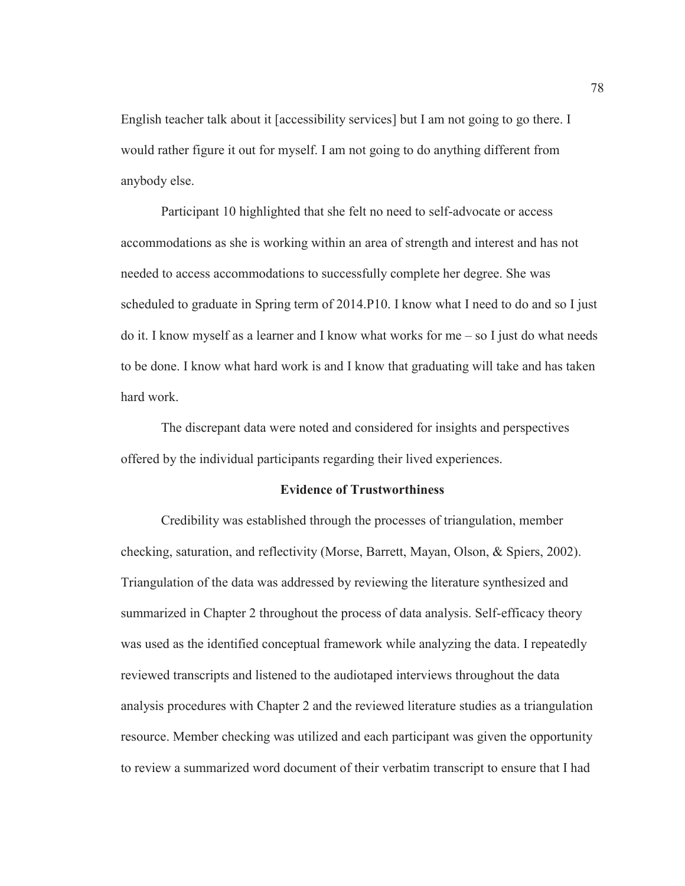English teacher talk about it [accessibility services] but I am not going to go there. I would rather figure it out for myself. I am not going to do anything different from anybody else.

Participant 10 highlighted that she felt no need to self-advocate or access accommodations as she is working within an area of strength and interest and has not needed to access accommodations to successfully complete her degree. She was scheduled to graduate in Spring term of 2014.P10. I know what I need to do and so I just do it. I know myself as a learner and I know what works for me  $-$  so I just do what needs to be done. I know what hard work is and I know that graduating will take and has taken hard work.

The discrepant data were noted and considered for insights and perspectives offered by the individual participants regarding their lived experiences.

#### **Evidence of Trustworthiness**

Credibility was established through the processes of triangulation, member checking, saturation, and reflectivity (Morse, Barrett, Mayan, Olson, & Spiers, 2002). Triangulation of the data was addressed by reviewing the literature synthesized and summarized in Chapter 2 throughout the process of data analysis. Self-efficacy theory was used as the identified conceptual framework while analyzing the data. I repeatedly reviewed transcripts and listened to the audiotaped interviews throughout the data analysis procedures with Chapter 2 and the reviewed literature studies as a triangulation resource. Member checking was utilized and each participant was given the opportunity to review a summarized word document of their verbatim transcript to ensure that I had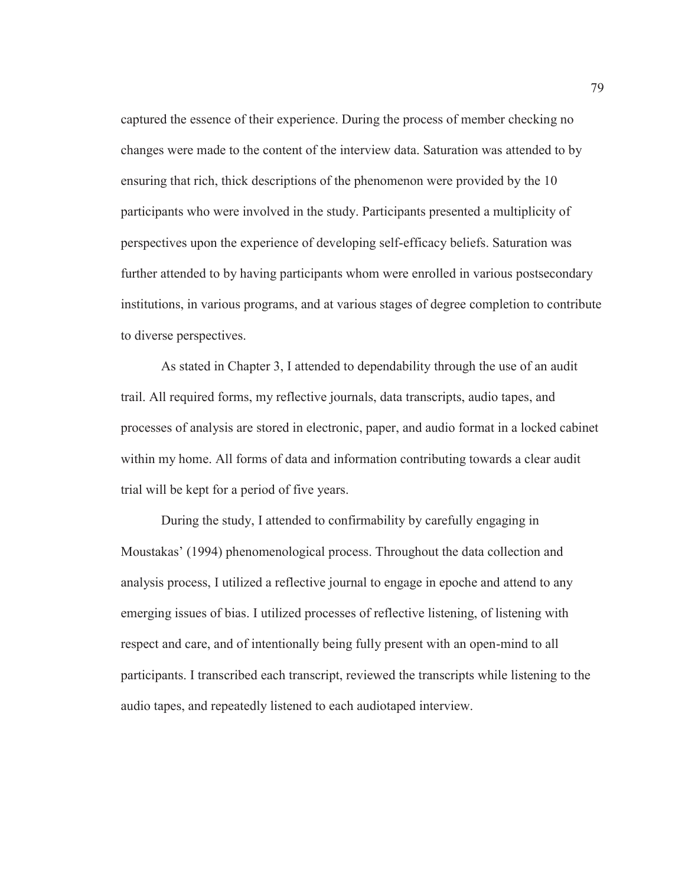captured the essence of their experience. During the process of member checking no changes were made to the content of the interview data. Saturation was attended to by ensuring that rich, thick descriptions of the phenomenon were provided by the 10 participants who were involved in the study. Participants presented a multiplicity of perspectives upon the experience of developing self-efficacy beliefs. Saturation was further attended to by having participants whom were enrolled in various postsecondary institutions, in various programs, and at various stages of degree completion to contribute to diverse perspectives.

As stated in Chapter 3, I attended to dependability through the use of an audit trail. All required forms, my reflective journals, data transcripts, audio tapes, and processes of analysis are stored in electronic, paper, and audio format in a locked cabinet within my home. All forms of data and information contributing towards a clear audit trial will be kept for a period of five years.

During the study, I attended to confirmability by carefully engaging in Moustakas' (1994) phenomenological process. Throughout the data collection and analysis process, I utilized a reflective journal to engage in epoche and attend to any emerging issues of bias. I utilized processes of reflective listening, of listening with respect and care, and of intentionally being fully present with an open-mind to all participants. I transcribed each transcript, reviewed the transcripts while listening to the audio tapes, and repeatedly listened to each audiotaped interview.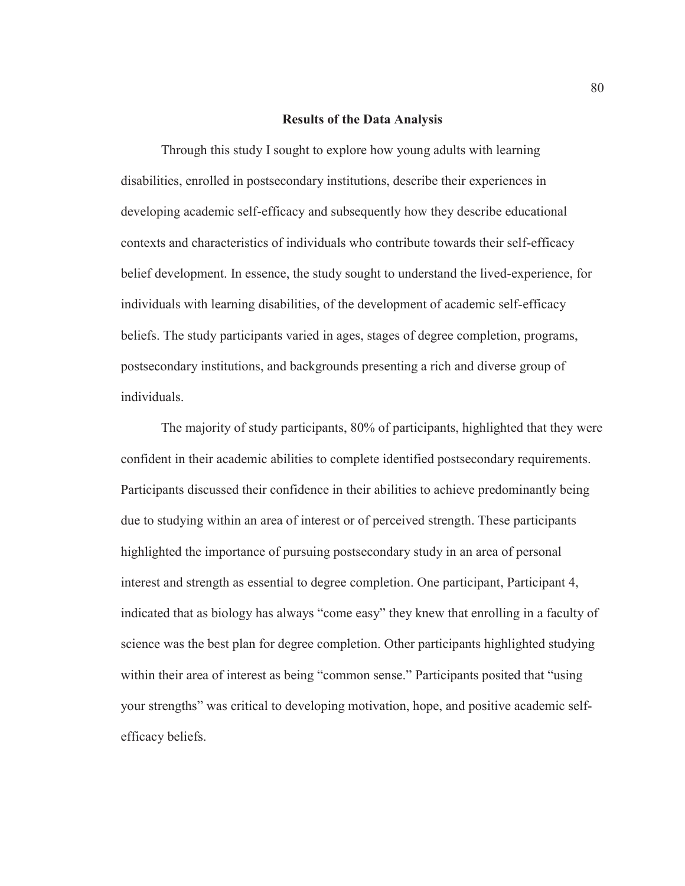#### **Results of the Data Analysis**

Through this study I sought to explore how young adults with learning disabilities, enrolled in postsecondary institutions, describe their experiences in developing academic self-efficacy and subsequently how they describe educational contexts and characteristics of individuals who contribute towards their self-efficacy belief development. In essence, the study sought to understand the lived-experience, for individuals with learning disabilities, of the development of academic self-efficacy beliefs. The study participants varied in ages, stages of degree completion, programs, postsecondary institutions, and backgrounds presenting a rich and diverse group of individuals.

The majority of study participants, 80% of participants, highlighted that they were confident in their academic abilities to complete identified postsecondary requirements. Participants discussed their confidence in their abilities to achieve predominantly being due to studying within an area of interest or of perceived strength. These participants highlighted the importance of pursuing postsecondary study in an area of personal interest and strength as essential to degree completion. One participant, Participant 4, indicated that as biology has always "come easy" they knew that enrolling in a faculty of science was the best plan for degree completion. Other participants highlighted studying within their area of interest as being "common sense." Participants posited that "using your strengths" was critical to developing motivation, hope, and positive academic selfefficacy beliefs.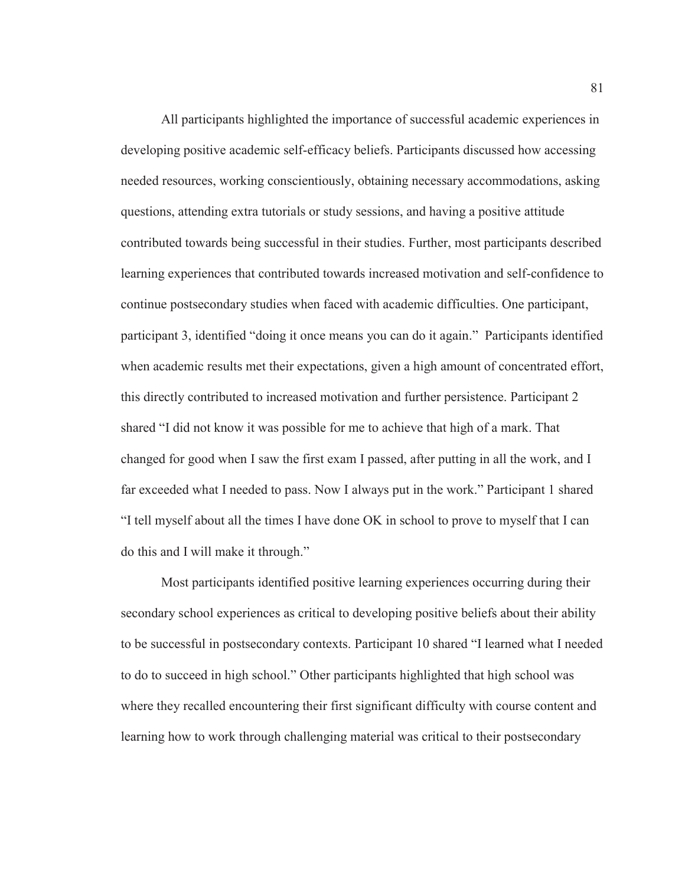All participants highlighted the importance of successful academic experiences in developing positive academic self-efficacy beliefs. Participants discussed how accessing needed resources, working conscientiously, obtaining necessary accommodations, asking questions, attending extra tutorials or study sessions, and having a positive attitude contributed towards being successful in their studies. Further, most participants described learning experiences that contributed towards increased motivation and self-confidence to continue postsecondary studies when faced with academic difficulties. One participant, participant 3, identified "doing it once means you can do it again." Participants identified when academic results met their expectations, given a high amount of concentrated effort, this directly contributed to increased motivation and further persistence. Participant 2 shared "I did not know it was possible for me to achieve that high of a mark. That changed for good when I saw the first exam I passed, after putting in all the work, and I far exceeded what I needed to pass. Now I always put in the work." Participant 1 shared "I tell myself about all the times I have done OK in school to prove to myself that I can do this and I will make it through."

Most participants identified positive learning experiences occurring during their secondary school experiences as critical to developing positive beliefs about their ability to be successful in postsecondary contexts. Participant 10 shared "I learned what I needed to do to succeed in high school." Other participants highlighted that high school was where they recalled encountering their first significant difficulty with course content and learning how to work through challenging material was critical to their postsecondary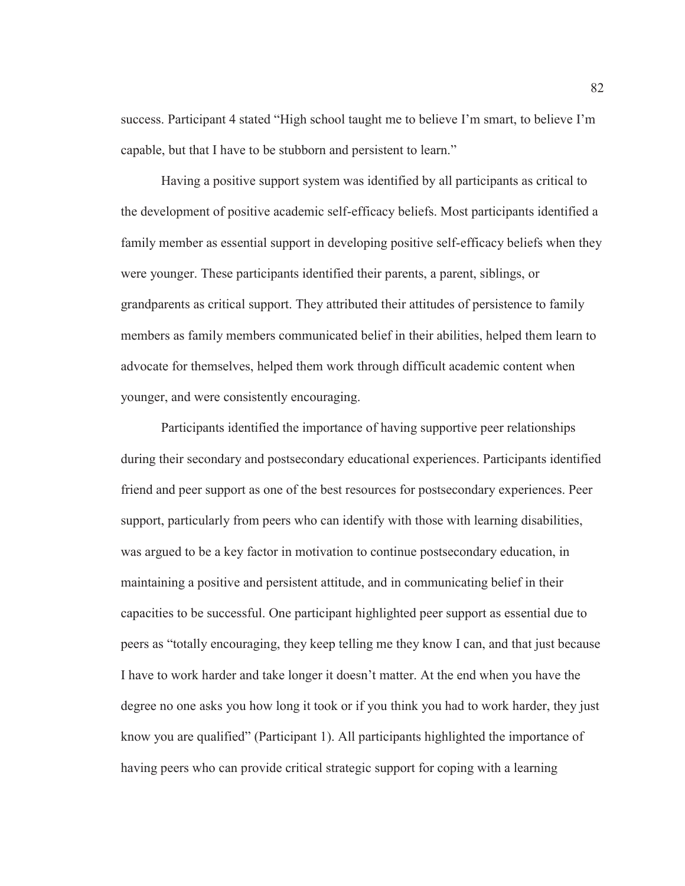success. Participant 4 stated "High school taught me to believe I'm smart, to believe I'm capable, but that I have to be stubborn and persistent to learn."

Having a positive support system was identified by all participants as critical to the development of positive academic self-efficacy beliefs. Most participants identified a family member as essential support in developing positive self-efficacy beliefs when they were younger. These participants identified their parents, a parent, siblings, or grandparents as critical support. They attributed their attitudes of persistence to family members as family members communicated belief in their abilities, helped them learn to advocate for themselves, helped them work through difficult academic content when younger, and were consistently encouraging.

Participants identified the importance of having supportive peer relationships during their secondary and postsecondary educational experiences. Participants identified friend and peer support as one of the best resources for postsecondary experiences. Peer support, particularly from peers who can identify with those with learning disabilities, was argued to be a key factor in motivation to continue postsecondary education, in maintaining a positive and persistent attitude, and in communicating belief in their capacities to be successful. One participant highlighted peer support as essential due to peers as "totally encouraging, they keep telling me they know I can, and that just because I have to work harder and take longer it doesn't matter. At the end when you have the degree no one asks you how long it took or if you think you had to work harder, they just know you are qualified" (Participant 1). All participants highlighted the importance of having peers who can provide critical strategic support for coping with a learning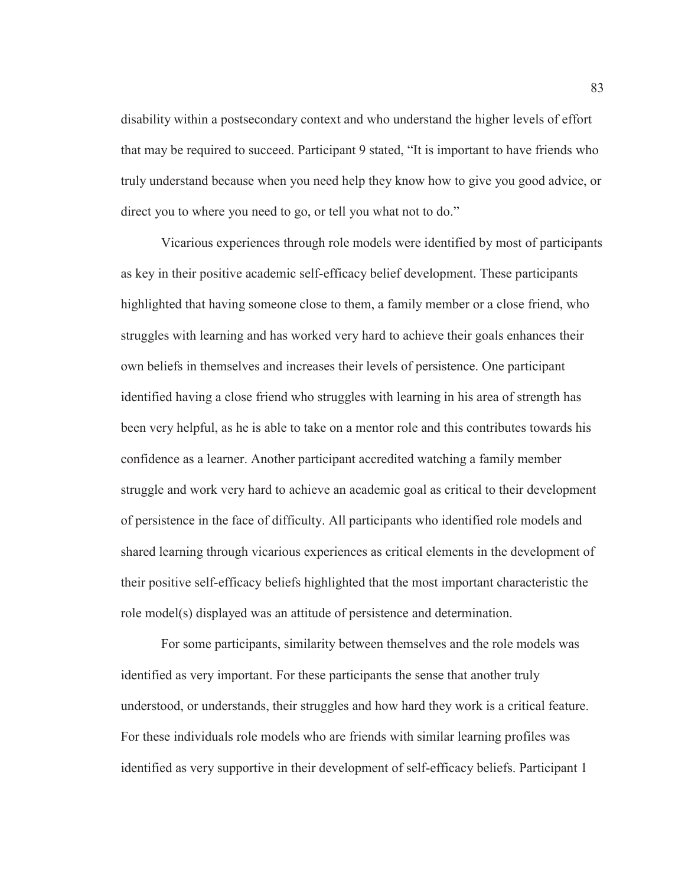disability within a postsecondary context and who understand the higher levels of effort that may be required to succeed. Participant 9 stated, "It is important to have friends who truly understand because when you need help they know how to give you good advice, or direct you to where you need to go, or tell you what not to do."

Vicarious experiences through role models were identified by most of participants as key in their positive academic self-efficacy belief development. These participants highlighted that having someone close to them, a family member or a close friend, who struggles with learning and has worked very hard to achieve their goals enhances their own beliefs in themselves and increases their levels of persistence. One participant identified having a close friend who struggles with learning in his area of strength has been very helpful, as he is able to take on a mentor role and this contributes towards his confidence as a learner. Another participant accredited watching a family member struggle and work very hard to achieve an academic goal as critical to their development of persistence in the face of difficulty. All participants who identified role models and shared learning through vicarious experiences as critical elements in the development of their positive self-efficacy beliefs highlighted that the most important characteristic the role model(s) displayed was an attitude of persistence and determination.

For some participants, similarity between themselves and the role models was identified as very important. For these participants the sense that another truly understood, or understands, their struggles and how hard they work is a critical feature. For these individuals role models who are friends with similar learning profiles was identified as very supportive in their development of self-efficacy beliefs. Participant 1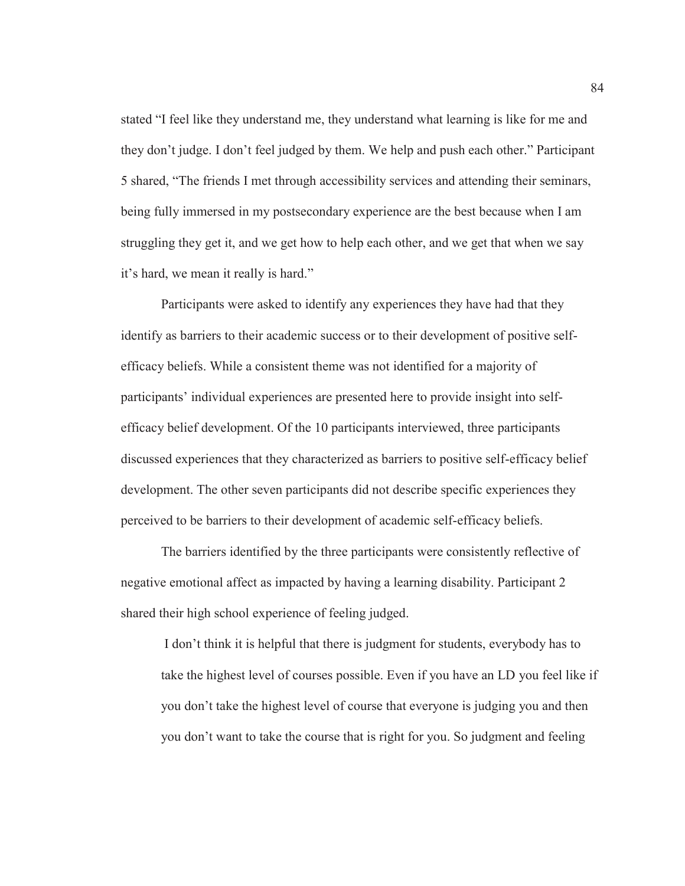stated "I feel like they understand me, they understand what learning is like for me and they don't judge. I don't feel judged by them. We help and push each other." Participant 5 shared, "The friends I met through accessibility services and attending their seminars, being fully immersed in my postsecondary experience are the best because when I am struggling they get it, and we get how to help each other, and we get that when we say it's hard, we mean it really is hard."

Participants were asked to identify any experiences they have had that they identify as barriers to their academic success or to their development of positive selfefficacy beliefs. While a consistent theme was not identified for a majority of participants' individual experiences are presented here to provide insight into selfefficacy belief development. Of the 10 participants interviewed, three participants discussed experiences that they characterized as barriers to positive self-efficacy belief development. The other seven participants did not describe specific experiences they perceived to be barriers to their development of academic self-efficacy beliefs.

The barriers identified by the three participants were consistently reflective of negative emotional affect as impacted by having a learning disability. Participant 2 shared their high school experience of feeling judged.

I don't think it is helpful that there is judgment for students, everybody has to take the highest level of courses possible. Even if you have an LD you feel like if you don't take the highest level of course that everyone is judging you and then you don't want to take the course that is right for you. So judgment and feeling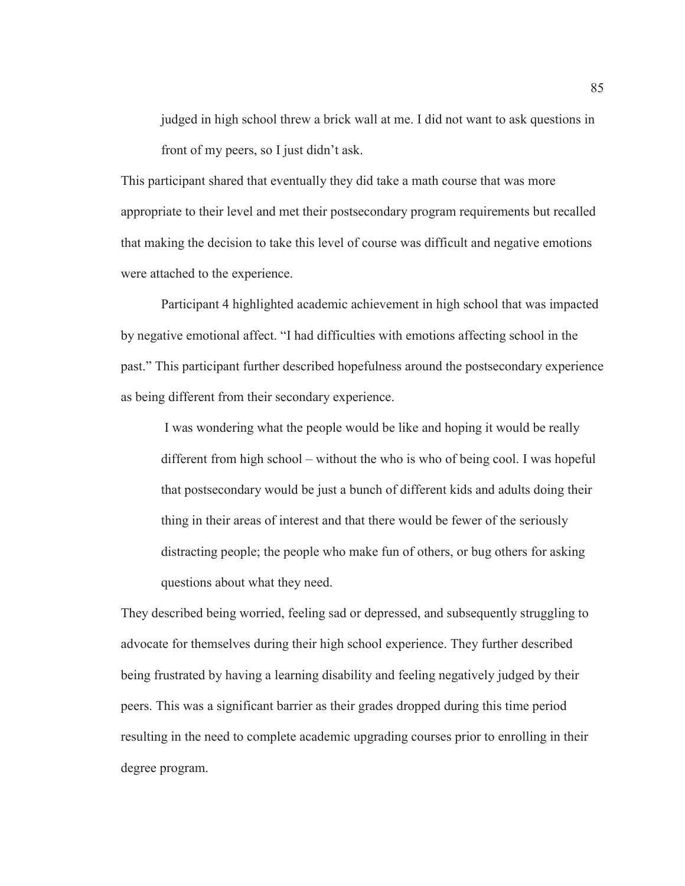judged in high school threw a brick wall at me. I did not want to ask questions in front of my peers, so I just didn't ask.

This participant shared that eventually they did take a math course that was more appropriate to their level and met their postsecondary program requirements but recalled that making the decision to take this level of course was difficult and negative emotions were attached to the experience.

Participant 4 highlighted academic achievement in high school that was impacted by negative emotional affect. "I had difficulties with emotions affecting school in the past." This participant further described hopefulness around the postsecondary experience as being different from their secondary experience.

 I was wondering what the people would be like and hoping it would be really different from high school – without the who is who of being cool. I was hopeful that postsecondary would be just a bunch of different kids and adults doing their thing in their areas of interest and that there would be fewer of the seriously distracting people; the people who make fun of others, or bug others for asking questions about what they need.

They described being worried, feeling sad or depressed, and subsequently struggling to advocate for themselves during their high school experience. They further described being frustrated by having a learning disability and feeling negatively judged by their peers. This was a significant barrier as their grades dropped during this time period resulting in the need to complete academic upgrading courses prior to enrolling in their degree program.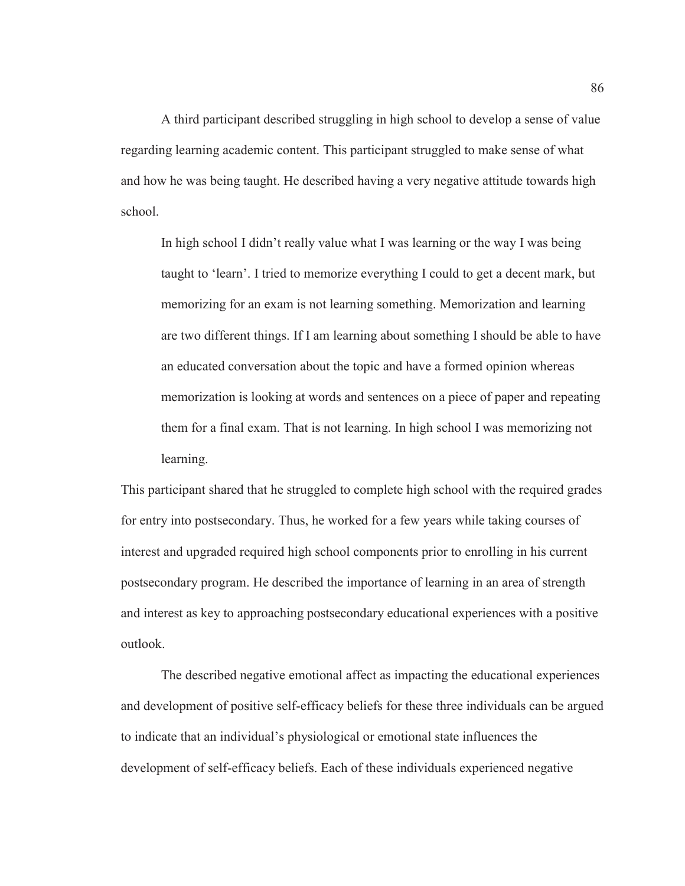A third participant described struggling in high school to develop a sense of value regarding learning academic content. This participant struggled to make sense of what and how he was being taught. He described having a very negative attitude towards high school.

In high school I didn't really value what I was learning or the way I was being taught to 'learn'. I tried to memorize everything I could to get a decent mark, but memorizing for an exam is not learning something. Memorization and learning are two different things. If I am learning about something I should be able to have an educated conversation about the topic and have a formed opinion whereas memorization is looking at words and sentences on a piece of paper and repeating them for a final exam. That is not learning. In high school I was memorizing not learning.

This participant shared that he struggled to complete high school with the required grades for entry into postsecondary. Thus, he worked for a few years while taking courses of interest and upgraded required high school components prior to enrolling in his current postsecondary program. He described the importance of learning in an area of strength and interest as key to approaching postsecondary educational experiences with a positive outlook.

 The described negative emotional affect as impacting the educational experiences and development of positive self-efficacy beliefs for these three individuals can be argued to indicate that an individual's physiological or emotional state influences the development of self-efficacy beliefs. Each of these individuals experienced negative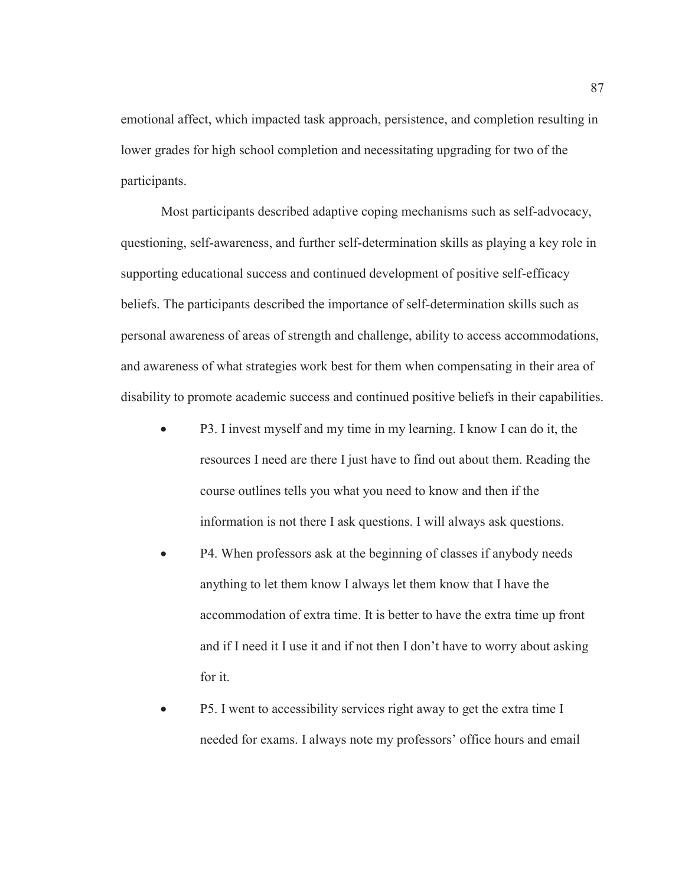emotional affect, which impacted task approach, persistence, and completion resulting in lower grades for high school completion and necessitating upgrading for two of the participants.

 Most participants described adaptive coping mechanisms such as self-advocacy, questioning, self-awareness, and further self-determination skills as playing a key role in supporting educational success and continued development of positive self-efficacy beliefs. The participants described the importance of self-determination skills such as personal awareness of areas of strength and challenge, ability to access accommodations, and awareness of what strategies work best for them when compensating in their area of disability to promote academic success and continued positive beliefs in their capabilities.

- P3. I invest myself and my time in my learning. I know I can do it, the resources I need are there I just have to find out about them. Reading the course outlines tells you what you need to know and then if the information is not there I ask questions. I will always ask questions.
- P4. When professors ask at the beginning of classes if anybody needs anything to let them know I always let them know that I have the accommodation of extra time. It is better to have the extra time up front and if I need it I use it and if not then I don't have to worry about asking for it.
- P5. I went to accessibility services right away to get the extra time I needed for exams. I always note my professors' office hours and email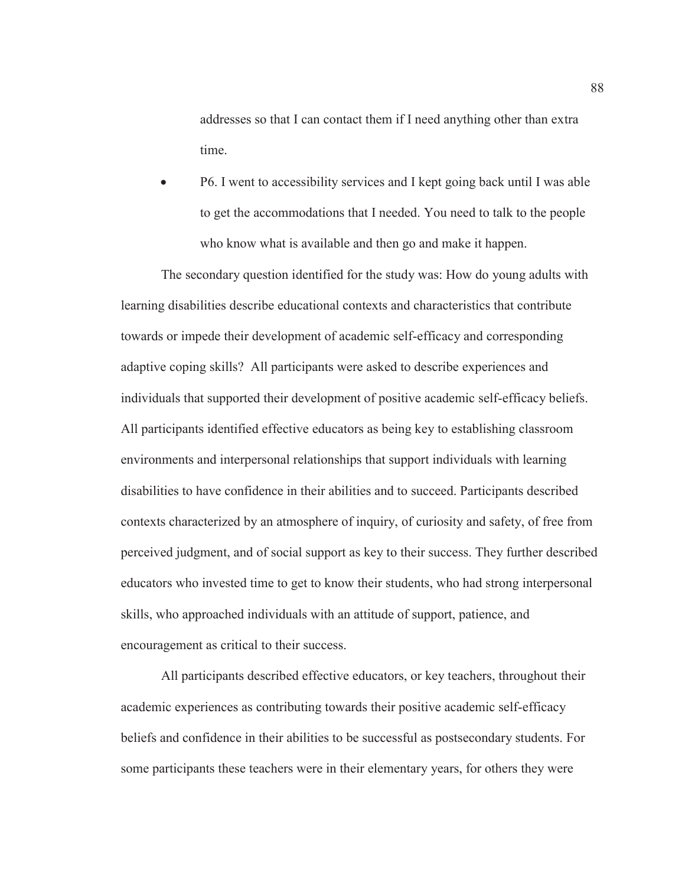addresses so that I can contact them if I need anything other than extra time.

P6. I went to accessibility services and I kept going back until I was able to get the accommodations that I needed. You need to talk to the people who know what is available and then go and make it happen.

 The secondary question identified for the study was: How do young adults with learning disabilities describe educational contexts and characteristics that contribute towards or impede their development of academic self-efficacy and corresponding adaptive coping skills? All participants were asked to describe experiences and individuals that supported their development of positive academic self-efficacy beliefs. All participants identified effective educators as being key to establishing classroom environments and interpersonal relationships that support individuals with learning disabilities to have confidence in their abilities and to succeed. Participants described contexts characterized by an atmosphere of inquiry, of curiosity and safety, of free from perceived judgment, and of social support as key to their success. They further described educators who invested time to get to know their students, who had strong interpersonal skills, who approached individuals with an attitude of support, patience, and encouragement as critical to their success.

All participants described effective educators, or key teachers, throughout their academic experiences as contributing towards their positive academic self-efficacy beliefs and confidence in their abilities to be successful as postsecondary students. For some participants these teachers were in their elementary years, for others they were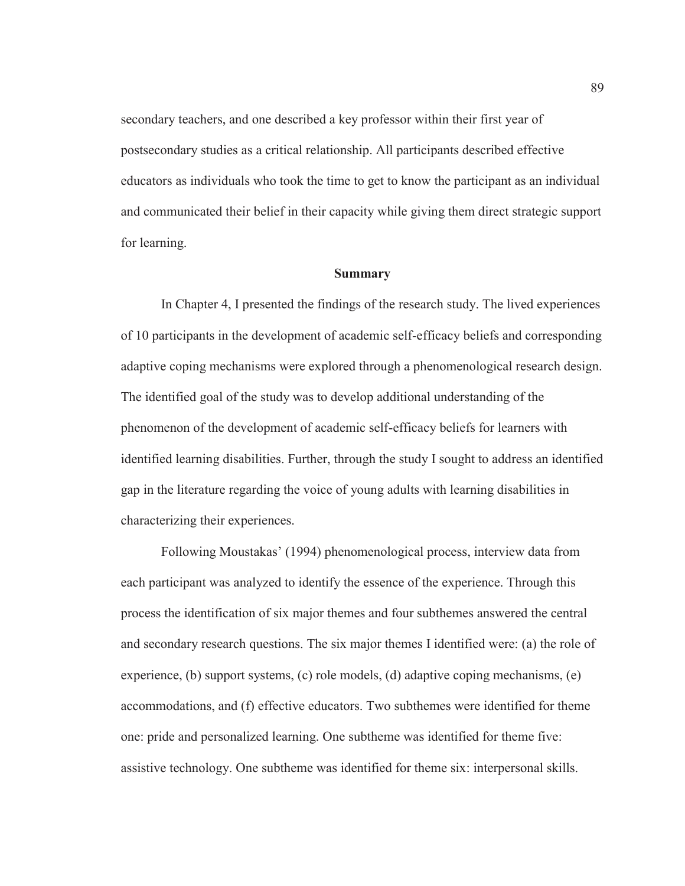secondary teachers, and one described a key professor within their first year of postsecondary studies as a critical relationship. All participants described effective educators as individuals who took the time to get to know the participant as an individual and communicated their belief in their capacity while giving them direct strategic support for learning.

#### **Summary**

In Chapter 4, I presented the findings of the research study. The lived experiences of 10 participants in the development of academic self-efficacy beliefs and corresponding adaptive coping mechanisms were explored through a phenomenological research design. The identified goal of the study was to develop additional understanding of the phenomenon of the development of academic self-efficacy beliefs for learners with identified learning disabilities. Further, through the study I sought to address an identified gap in the literature regarding the voice of young adults with learning disabilities in characterizing their experiences.

Following Moustakas' (1994) phenomenological process, interview data from each participant was analyzed to identify the essence of the experience. Through this process the identification of six major themes and four subthemes answered the central and secondary research questions. The six major themes I identified were: (a) the role of experience, (b) support systems, (c) role models, (d) adaptive coping mechanisms, (e) accommodations, and (f) effective educators. Two subthemes were identified for theme one: pride and personalized learning. One subtheme was identified for theme five: assistive technology. One subtheme was identified for theme six: interpersonal skills.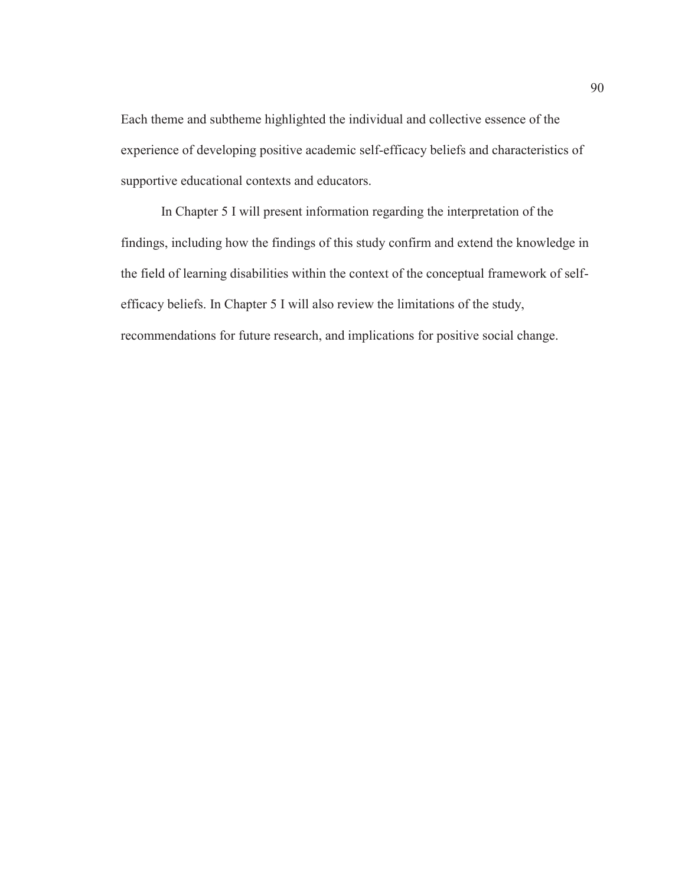Each theme and subtheme highlighted the individual and collective essence of the experience of developing positive academic self-efficacy beliefs and characteristics of supportive educational contexts and educators.

In Chapter 5 I will present information regarding the interpretation of the findings, including how the findings of this study confirm and extend the knowledge in the field of learning disabilities within the context of the conceptual framework of selfefficacy beliefs. In Chapter 5 I will also review the limitations of the study, recommendations for future research, and implications for positive social change.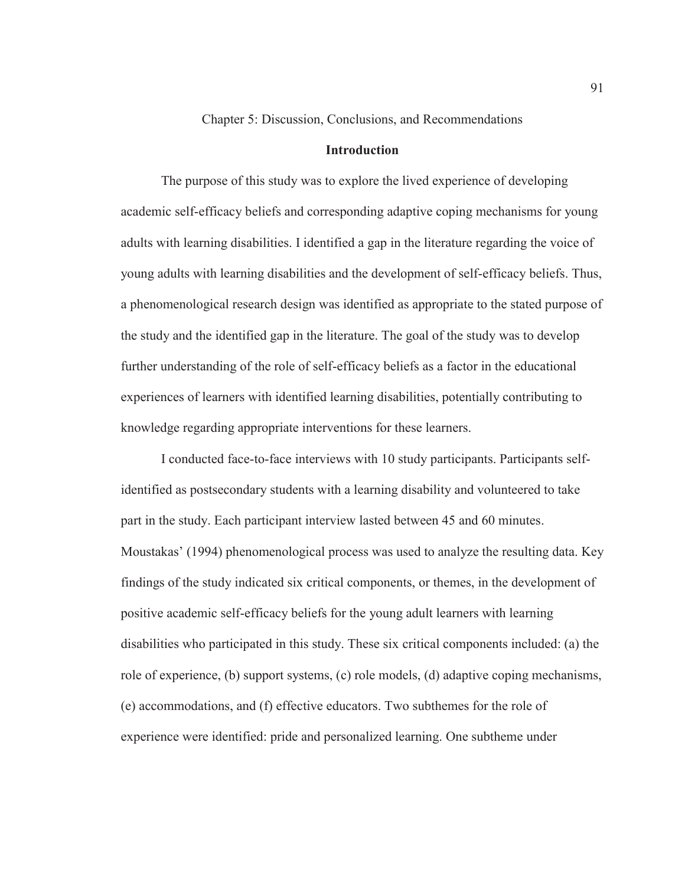Chapter 5: Discussion, Conclusions, and Recommendations

# **Introduction**

The purpose of this study was to explore the lived experience of developing academic self-efficacy beliefs and corresponding adaptive coping mechanisms for young adults with learning disabilities. I identified a gap in the literature regarding the voice of young adults with learning disabilities and the development of self-efficacy beliefs. Thus, a phenomenological research design was identified as appropriate to the stated purpose of the study and the identified gap in the literature. The goal of the study was to develop further understanding of the role of self-efficacy beliefs as a factor in the educational experiences of learners with identified learning disabilities, potentially contributing to knowledge regarding appropriate interventions for these learners.

I conducted face-to-face interviews with 10 study participants. Participants selfidentified as postsecondary students with a learning disability and volunteered to take part in the study. Each participant interview lasted between 45 and 60 minutes. Moustakas' (1994) phenomenological process was used to analyze the resulting data. Key findings of the study indicated six critical components, or themes, in the development of positive academic self-efficacy beliefs for the young adult learners with learning disabilities who participated in this study. These six critical components included: (a) the role of experience, (b) support systems, (c) role models, (d) adaptive coping mechanisms, (e) accommodations, and (f) effective educators. Two subthemes for the role of experience were identified: pride and personalized learning. One subtheme under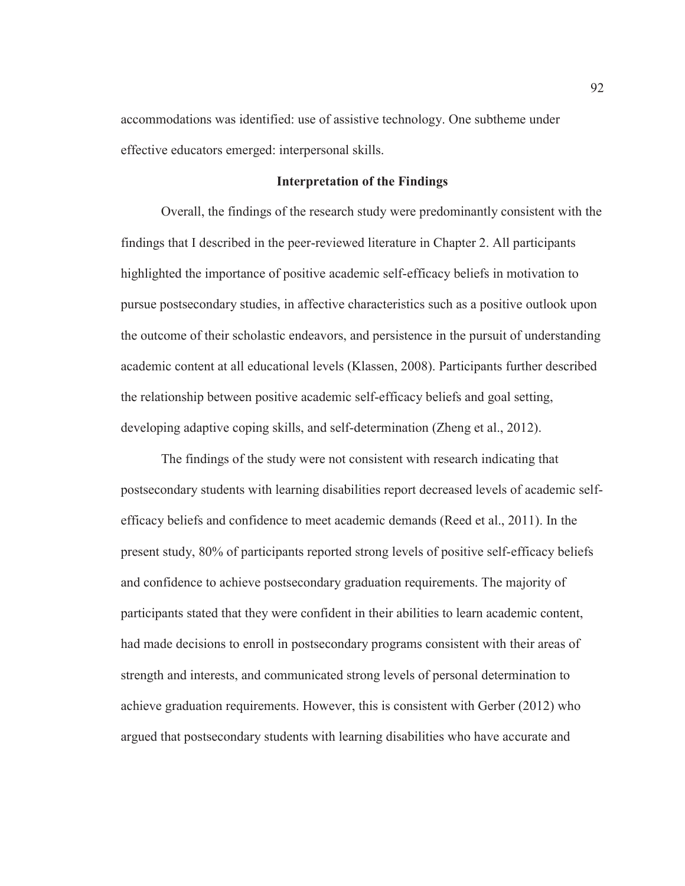accommodations was identified: use of assistive technology. One subtheme under effective educators emerged: interpersonal skills.

## **Interpretation of the Findings**

Overall, the findings of the research study were predominantly consistent with the findings that I described in the peer-reviewed literature in Chapter 2. All participants highlighted the importance of positive academic self-efficacy beliefs in motivation to pursue postsecondary studies, in affective characteristics such as a positive outlook upon the outcome of their scholastic endeavors, and persistence in the pursuit of understanding academic content at all educational levels (Klassen, 2008). Participants further described the relationship between positive academic self-efficacy beliefs and goal setting, developing adaptive coping skills, and self-determination (Zheng et al., 2012).

The findings of the study were not consistent with research indicating that postsecondary students with learning disabilities report decreased levels of academic selfefficacy beliefs and confidence to meet academic demands (Reed et al., 2011). In the present study, 80% of participants reported strong levels of positive self-efficacy beliefs and confidence to achieve postsecondary graduation requirements. The majority of participants stated that they were confident in their abilities to learn academic content, had made decisions to enroll in postsecondary programs consistent with their areas of strength and interests, and communicated strong levels of personal determination to achieve graduation requirements. However, this is consistent with Gerber (2012) who argued that postsecondary students with learning disabilities who have accurate and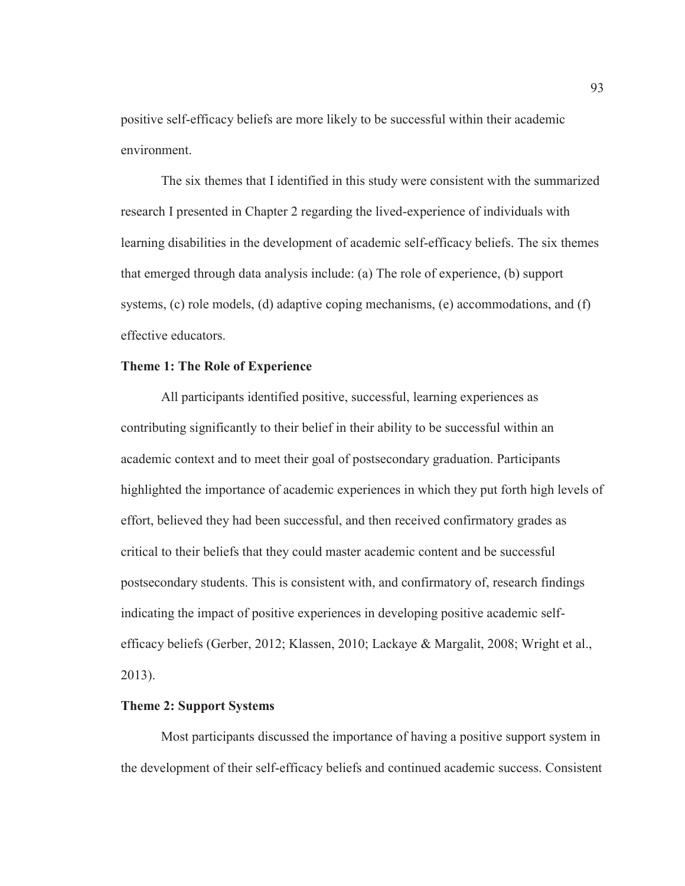positive self-efficacy beliefs are more likely to be successful within their academic environment.

The six themes that I identified in this study were consistent with the summarized research I presented in Chapter 2 regarding the lived-experience of individuals with learning disabilities in the development of academic self-efficacy beliefs. The six themes that emerged through data analysis include: (a) The role of experience, (b) support systems, (c) role models, (d) adaptive coping mechanisms, (e) accommodations, and (f) effective educators.

## **Theme 1: The Role of Experience**

All participants identified positive, successful, learning experiences as contributing significantly to their belief in their ability to be successful within an academic context and to meet their goal of postsecondary graduation. Participants highlighted the importance of academic experiences in which they put forth high levels of effort, believed they had been successful, and then received confirmatory grades as critical to their beliefs that they could master academic content and be successful postsecondary students. This is consistent with, and confirmatory of, research findings indicating the impact of positive experiences in developing positive academic selfefficacy beliefs (Gerber, 2012; Klassen, 2010; Lackaye & Margalit, 2008; Wright et al., 2013).

#### **Theme 2: Support Systems**

Most participants discussed the importance of having a positive support system in the development of their self-efficacy beliefs and continued academic success. Consistent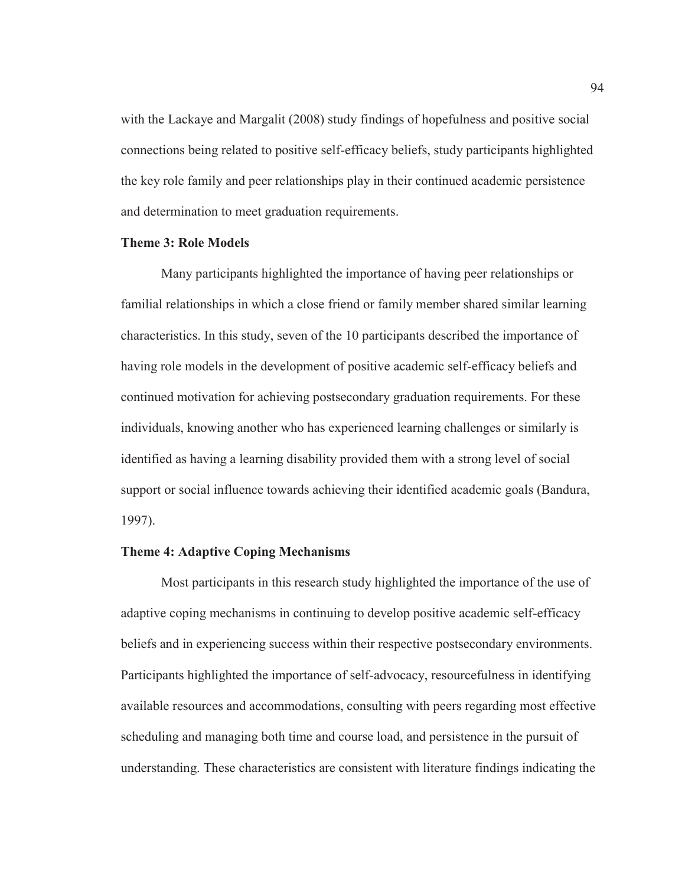with the Lackaye and Margalit (2008) study findings of hopefulness and positive social connections being related to positive self-efficacy beliefs, study participants highlighted the key role family and peer relationships play in their continued academic persistence and determination to meet graduation requirements.

### **Theme 3: Role Models**

Many participants highlighted the importance of having peer relationships or familial relationships in which a close friend or family member shared similar learning characteristics. In this study, seven of the 10 participants described the importance of having role models in the development of positive academic self-efficacy beliefs and continued motivation for achieving postsecondary graduation requirements. For these individuals, knowing another who has experienced learning challenges or similarly is identified as having a learning disability provided them with a strong level of social support or social influence towards achieving their identified academic goals (Bandura, 1997).

# **Theme 4: Adaptive Coping Mechanisms**

Most participants in this research study highlighted the importance of the use of adaptive coping mechanisms in continuing to develop positive academic self-efficacy beliefs and in experiencing success within their respective postsecondary environments. Participants highlighted the importance of self-advocacy, resourcefulness in identifying available resources and accommodations, consulting with peers regarding most effective scheduling and managing both time and course load, and persistence in the pursuit of understanding. These characteristics are consistent with literature findings indicating the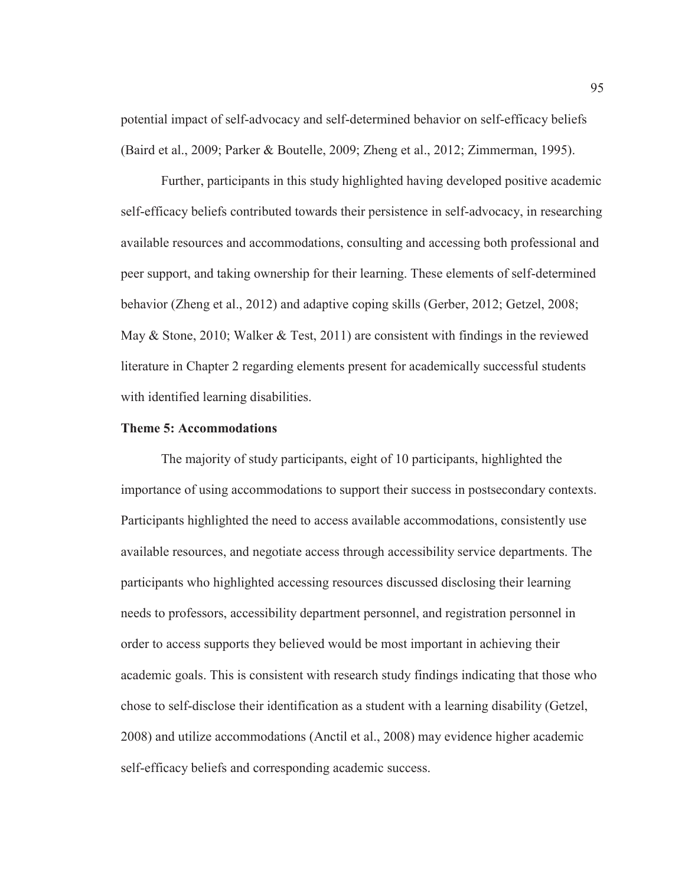potential impact of self-advocacy and self-determined behavior on self-efficacy beliefs (Baird et al., 2009; Parker & Boutelle, 2009; Zheng et al., 2012; Zimmerman, 1995).

Further, participants in this study highlighted having developed positive academic self-efficacy beliefs contributed towards their persistence in self-advocacy, in researching available resources and accommodations, consulting and accessing both professional and peer support, and taking ownership for their learning. These elements of self-determined behavior (Zheng et al., 2012) and adaptive coping skills (Gerber, 2012; Getzel, 2008; May  $\&$  Stone, 2010; Walker  $\&$  Test, 2011) are consistent with findings in the reviewed literature in Chapter 2 regarding elements present for academically successful students with identified learning disabilities.

## **Theme 5: Accommodations**

The majority of study participants, eight of 10 participants, highlighted the importance of using accommodations to support their success in postsecondary contexts. Participants highlighted the need to access available accommodations, consistently use available resources, and negotiate access through accessibility service departments. The participants who highlighted accessing resources discussed disclosing their learning needs to professors, accessibility department personnel, and registration personnel in order to access supports they believed would be most important in achieving their academic goals. This is consistent with research study findings indicating that those who chose to self-disclose their identification as a student with a learning disability (Getzel, 2008) and utilize accommodations (Anctil et al., 2008) may evidence higher academic self-efficacy beliefs and corresponding academic success.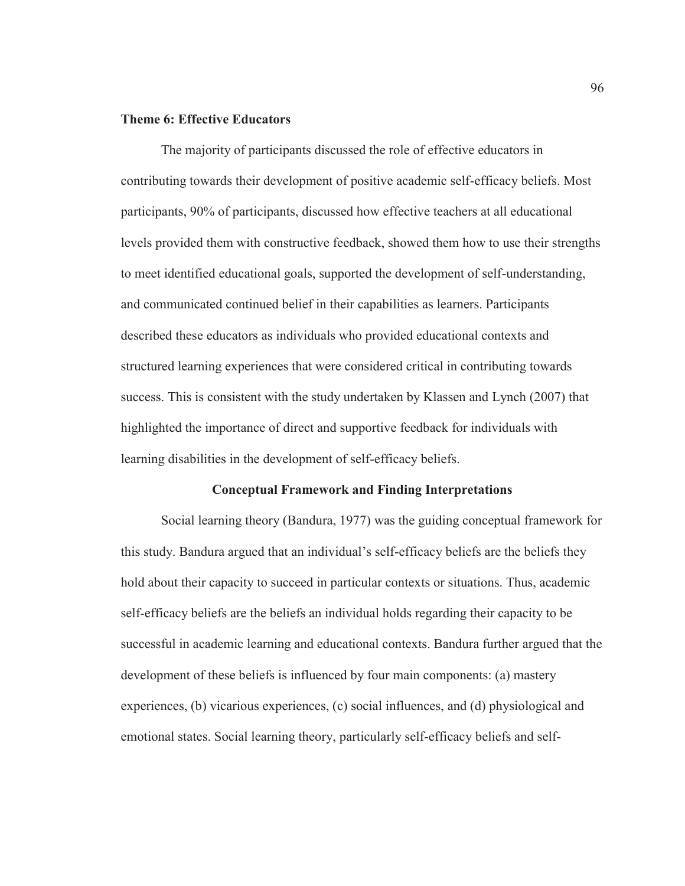## **Theme 6: Effective Educators**

The majority of participants discussed the role of effective educators in contributing towards their development of positive academic self-efficacy beliefs. Most participants, 90% of participants, discussed how effective teachers at all educational levels provided them with constructive feedback, showed them how to use their strengths to meet identified educational goals, supported the development of self-understanding, and communicated continued belief in their capabilities as learners. Participants described these educators as individuals who provided educational contexts and structured learning experiences that were considered critical in contributing towards success. This is consistent with the study undertaken by Klassen and Lynch (2007) that highlighted the importance of direct and supportive feedback for individuals with learning disabilities in the development of self-efficacy beliefs.

## **Conceptual Framework and Finding Interpretations**

Social learning theory (Bandura, 1977) was the guiding conceptual framework for this study. Bandura argued that an individual's self-efficacy beliefs are the beliefs they hold about their capacity to succeed in particular contexts or situations. Thus, academic self-efficacy beliefs are the beliefs an individual holds regarding their capacity to be successful in academic learning and educational contexts. Bandura further argued that the development of these beliefs is influenced by four main components: (a) mastery experiences, (b) vicarious experiences, (c) social influences, and (d) physiological and emotional states. Social learning theory, particularly self-efficacy beliefs and self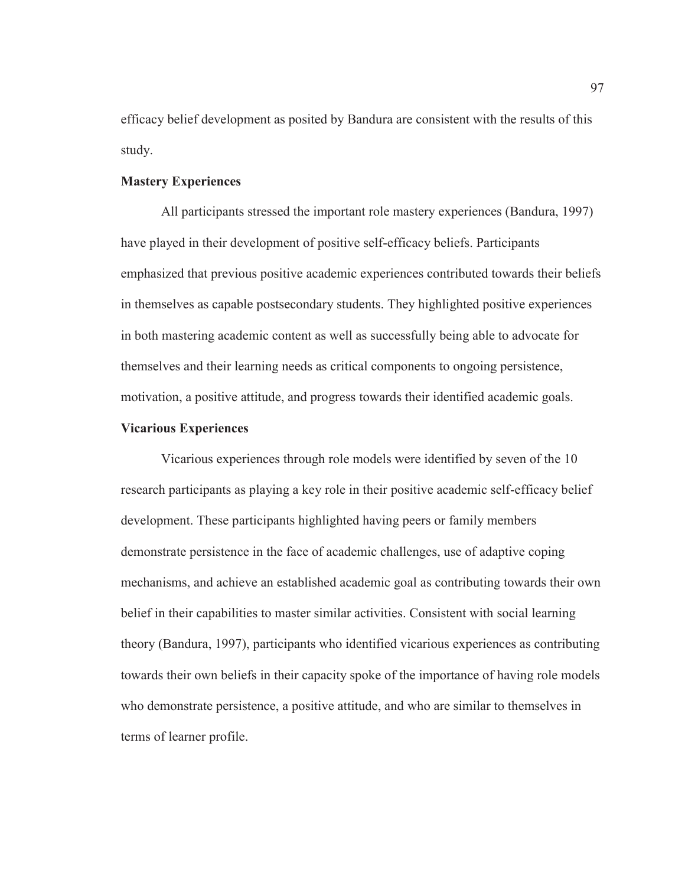efficacy belief development as posited by Bandura are consistent with the results of this study.

## **Mastery Experiences**

All participants stressed the important role mastery experiences (Bandura, 1997) have played in their development of positive self-efficacy beliefs. Participants emphasized that previous positive academic experiences contributed towards their beliefs in themselves as capable postsecondary students. They highlighted positive experiences in both mastering academic content as well as successfully being able to advocate for themselves and their learning needs as critical components to ongoing persistence, motivation, a positive attitude, and progress towards their identified academic goals.

## **Vicarious Experiences**

Vicarious experiences through role models were identified by seven of the 10 research participants as playing a key role in their positive academic self-efficacy belief development. These participants highlighted having peers or family members demonstrate persistence in the face of academic challenges, use of adaptive coping mechanisms, and achieve an established academic goal as contributing towards their own belief in their capabilities to master similar activities. Consistent with social learning theory (Bandura, 1997), participants who identified vicarious experiences as contributing towards their own beliefs in their capacity spoke of the importance of having role models who demonstrate persistence, a positive attitude, and who are similar to themselves in terms of learner profile.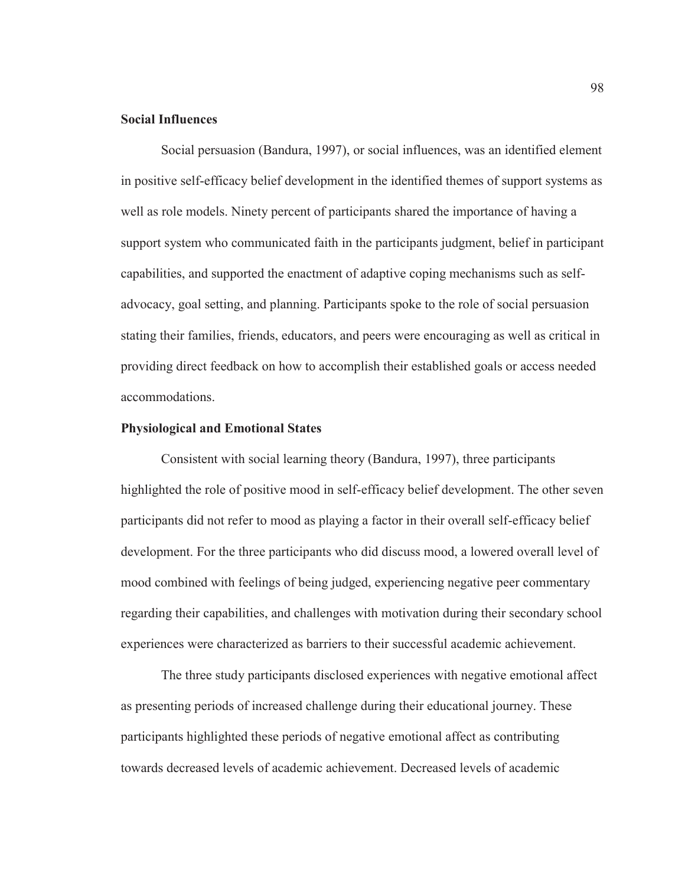## **Social Influences**

Social persuasion (Bandura, 1997), or social influences, was an identified element in positive self-efficacy belief development in the identified themes of support systems as well as role models. Ninety percent of participants shared the importance of having a support system who communicated faith in the participants judgment, belief in participant capabilities, and supported the enactment of adaptive coping mechanisms such as selfadvocacy, goal setting, and planning. Participants spoke to the role of social persuasion stating their families, friends, educators, and peers were encouraging as well as critical in providing direct feedback on how to accomplish their established goals or access needed accommodations.

## **Physiological and Emotional States**

Consistent with social learning theory (Bandura, 1997), three participants highlighted the role of positive mood in self-efficacy belief development. The other seven participants did not refer to mood as playing a factor in their overall self-efficacy belief development. For the three participants who did discuss mood, a lowered overall level of mood combined with feelings of being judged, experiencing negative peer commentary regarding their capabilities, and challenges with motivation during their secondary school experiences were characterized as barriers to their successful academic achievement.

 The three study participants disclosed experiences with negative emotional affect as presenting periods of increased challenge during their educational journey. These participants highlighted these periods of negative emotional affect as contributing towards decreased levels of academic achievement. Decreased levels of academic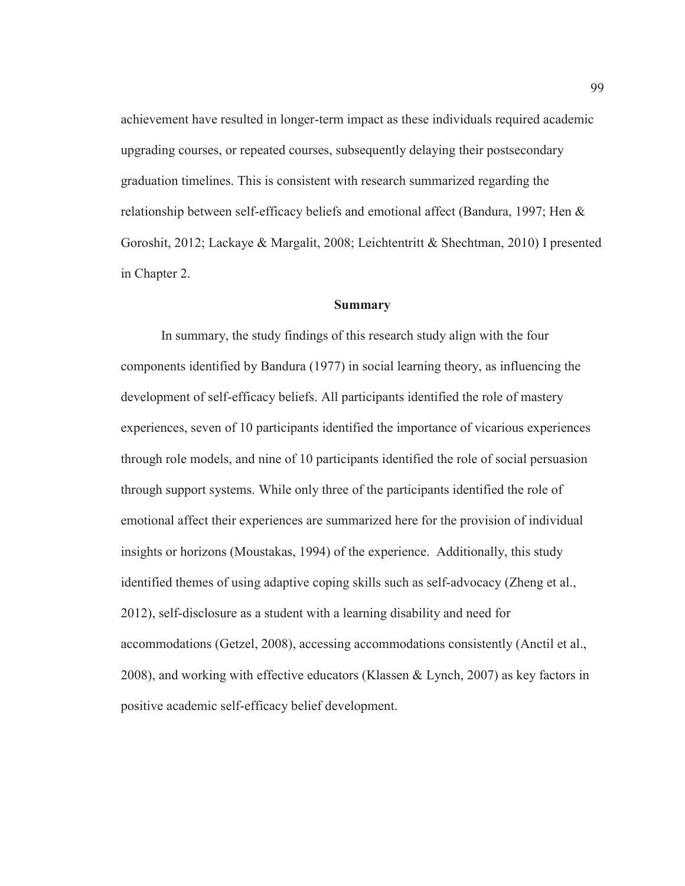achievement have resulted in longer-term impact as these individuals required academic upgrading courses, or repeated courses, subsequently delaying their postsecondary graduation timelines. This is consistent with research summarized regarding the relationship between self-efficacy beliefs and emotional affect (Bandura, 1997; Hen & Goroshit, 2012; Lackaye & Margalit, 2008; Leichtentritt & Shechtman, 2010) I presented in Chapter 2.

## **Summary**

In summary, the study findings of this research study align with the four components identified by Bandura (1977) in social learning theory, as influencing the development of self-efficacy beliefs. All participants identified the role of mastery experiences, seven of 10 participants identified the importance of vicarious experiences through role models, and nine of 10 participants identified the role of social persuasion through support systems. While only three of the participants identified the role of emotional affect their experiences are summarized here for the provision of individual insights or horizons (Moustakas, 1994) of the experience. Additionally, this study identified themes of using adaptive coping skills such as self-advocacy (Zheng et al., 2012), self-disclosure as a student with a learning disability and need for accommodations (Getzel, 2008), accessing accommodations consistently (Anctil et al., 2008), and working with effective educators (Klassen & Lynch, 2007) as key factors in positive academic self-efficacy belief development.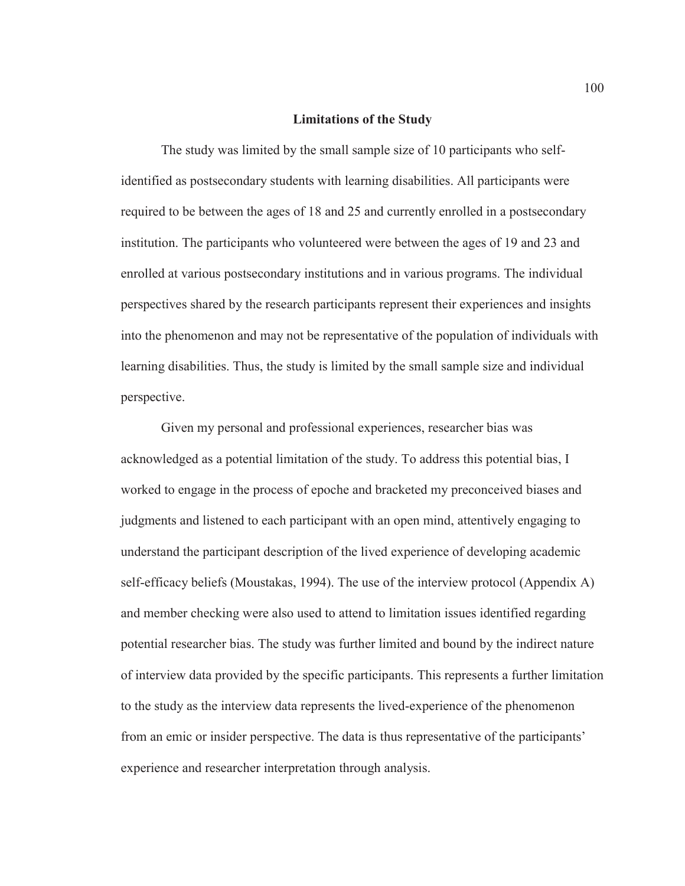#### **Limitations of the Study**

The study was limited by the small sample size of 10 participants who selfidentified as postsecondary students with learning disabilities. All participants were required to be between the ages of 18 and 25 and currently enrolled in a postsecondary institution. The participants who volunteered were between the ages of 19 and 23 and enrolled at various postsecondary institutions and in various programs. The individual perspectives shared by the research participants represent their experiences and insights into the phenomenon and may not be representative of the population of individuals with learning disabilities. Thus, the study is limited by the small sample size and individual perspective.

Given my personal and professional experiences, researcher bias was acknowledged as a potential limitation of the study. To address this potential bias, I worked to engage in the process of epoche and bracketed my preconceived biases and judgments and listened to each participant with an open mind, attentively engaging to understand the participant description of the lived experience of developing academic self-efficacy beliefs (Moustakas, 1994). The use of the interview protocol (Appendix A) and member checking were also used to attend to limitation issues identified regarding potential researcher bias. The study was further limited and bound by the indirect nature of interview data provided by the specific participants. This represents a further limitation to the study as the interview data represents the lived-experience of the phenomenon from an emic or insider perspective. The data is thus representative of the participants' experience and researcher interpretation through analysis.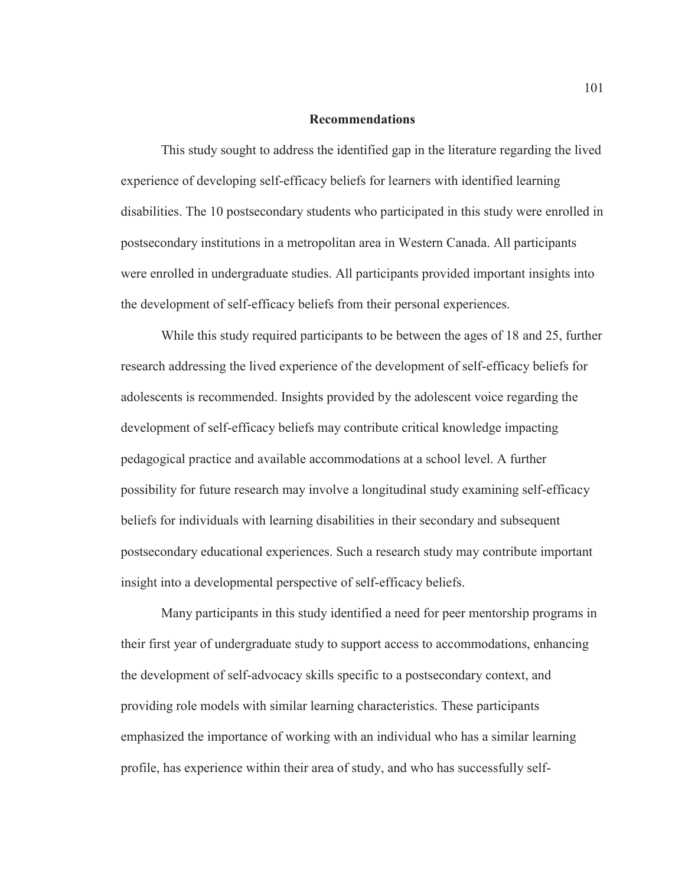### **Recommendations**

This study sought to address the identified gap in the literature regarding the lived experience of developing self-efficacy beliefs for learners with identified learning disabilities. The 10 postsecondary students who participated in this study were enrolled in postsecondary institutions in a metropolitan area in Western Canada. All participants were enrolled in undergraduate studies. All participants provided important insights into the development of self-efficacy beliefs from their personal experiences.

While this study required participants to be between the ages of 18 and 25, further research addressing the lived experience of the development of self-efficacy beliefs for adolescents is recommended. Insights provided by the adolescent voice regarding the development of self-efficacy beliefs may contribute critical knowledge impacting pedagogical practice and available accommodations at a school level. A further possibility for future research may involve a longitudinal study examining self-efficacy beliefs for individuals with learning disabilities in their secondary and subsequent postsecondary educational experiences. Such a research study may contribute important insight into a developmental perspective of self-efficacy beliefs.

Many participants in this study identified a need for peer mentorship programs in their first year of undergraduate study to support access to accommodations, enhancing the development of self-advocacy skills specific to a postsecondary context, and providing role models with similar learning characteristics. These participants emphasized the importance of working with an individual who has a similar learning profile, has experience within their area of study, and who has successfully self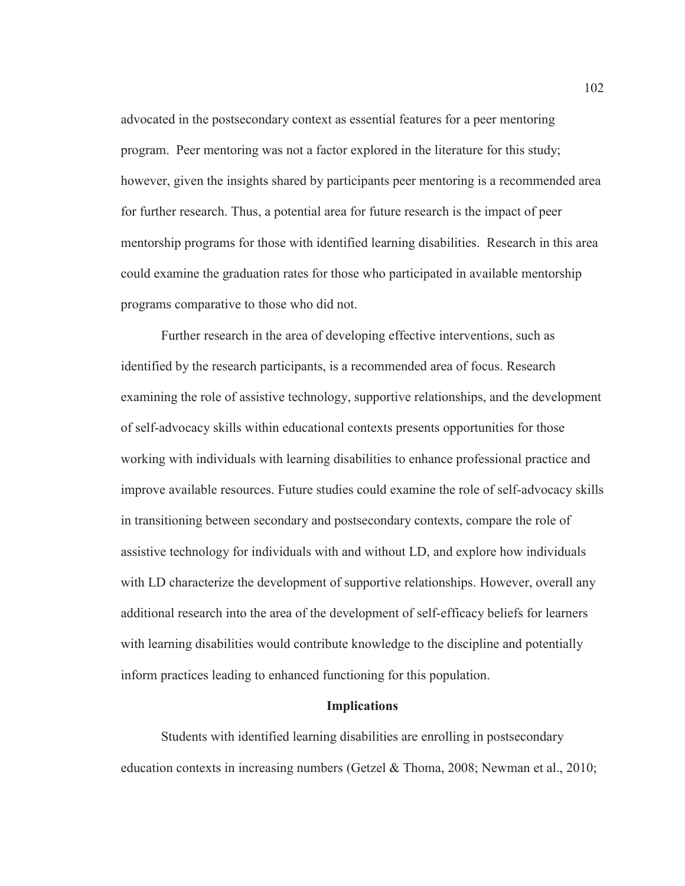advocated in the postsecondary context as essential features for a peer mentoring program. Peer mentoring was not a factor explored in the literature for this study; however, given the insights shared by participants peer mentoring is a recommended area for further research. Thus, a potential area for future research is the impact of peer mentorship programs for those with identified learning disabilities. Research in this area could examine the graduation rates for those who participated in available mentorship programs comparative to those who did not.

Further research in the area of developing effective interventions, such as identified by the research participants, is a recommended area of focus. Research examining the role of assistive technology, supportive relationships, and the development of self-advocacy skills within educational contexts presents opportunities for those working with individuals with learning disabilities to enhance professional practice and improve available resources. Future studies could examine the role of self-advocacy skills in transitioning between secondary and postsecondary contexts, compare the role of assistive technology for individuals with and without LD, and explore how individuals with LD characterize the development of supportive relationships. However, overall any additional research into the area of the development of self-efficacy beliefs for learners with learning disabilities would contribute knowledge to the discipline and potentially inform practices leading to enhanced functioning for this population.

#### **Implications**

Students with identified learning disabilities are enrolling in postsecondary education contexts in increasing numbers (Getzel & Thoma, 2008; Newman et al., 2010;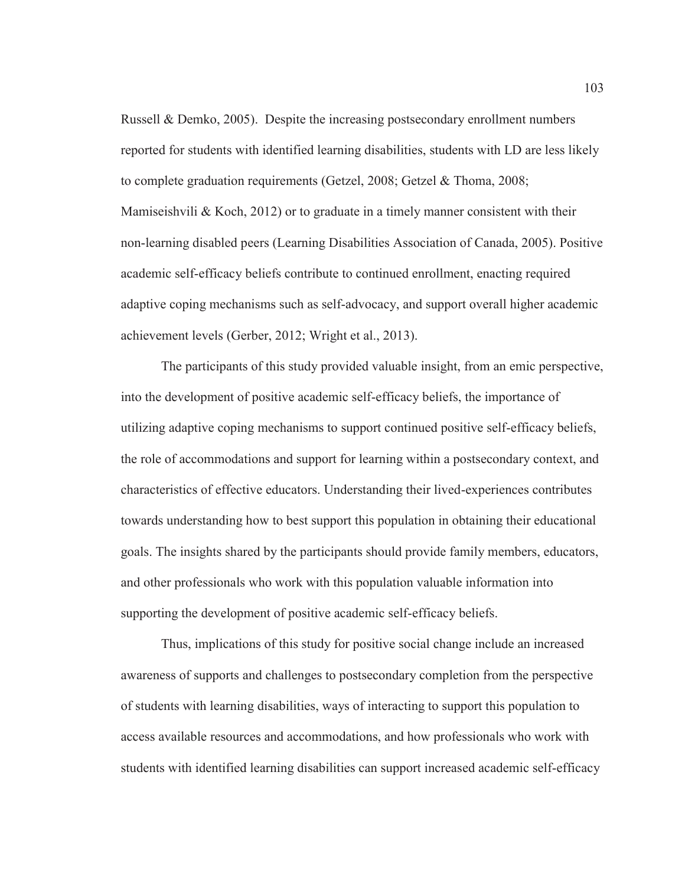Russell & Demko, 2005). Despite the increasing postsecondary enrollment numbers reported for students with identified learning disabilities, students with LD are less likely to complete graduation requirements (Getzel, 2008; Getzel & Thoma, 2008; Mamiseishvili & Koch, 2012) or to graduate in a timely manner consistent with their non-learning disabled peers (Learning Disabilities Association of Canada, 2005). Positive academic self-efficacy beliefs contribute to continued enrollment, enacting required adaptive coping mechanisms such as self-advocacy, and support overall higher academic achievement levels (Gerber, 2012; Wright et al., 2013).

The participants of this study provided valuable insight, from an emic perspective, into the development of positive academic self-efficacy beliefs, the importance of utilizing adaptive coping mechanisms to support continued positive self-efficacy beliefs, the role of accommodations and support for learning within a postsecondary context, and characteristics of effective educators. Understanding their lived-experiences contributes towards understanding how to best support this population in obtaining their educational goals. The insights shared by the participants should provide family members, educators, and other professionals who work with this population valuable information into supporting the development of positive academic self-efficacy beliefs.

Thus, implications of this study for positive social change include an increased awareness of supports and challenges to postsecondary completion from the perspective of students with learning disabilities, ways of interacting to support this population to access available resources and accommodations, and how professionals who work with students with identified learning disabilities can support increased academic self-efficacy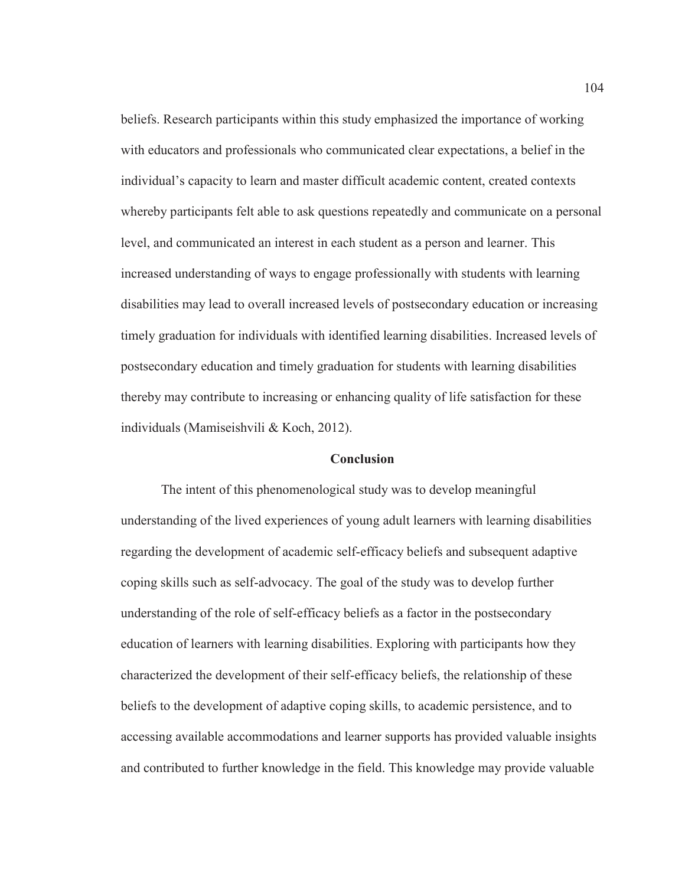beliefs. Research participants within this study emphasized the importance of working with educators and professionals who communicated clear expectations, a belief in the individual's capacity to learn and master difficult academic content, created contexts whereby participants felt able to ask questions repeatedly and communicate on a personal level, and communicated an interest in each student as a person and learner. This increased understanding of ways to engage professionally with students with learning disabilities may lead to overall increased levels of postsecondary education or increasing timely graduation for individuals with identified learning disabilities. Increased levels of postsecondary education and timely graduation for students with learning disabilities thereby may contribute to increasing or enhancing quality of life satisfaction for these individuals (Mamiseishvili & Koch, 2012).

### **Conclusion**

The intent of this phenomenological study was to develop meaningful understanding of the lived experiences of young adult learners with learning disabilities regarding the development of academic self-efficacy beliefs and subsequent adaptive coping skills such as self-advocacy. The goal of the study was to develop further understanding of the role of self-efficacy beliefs as a factor in the postsecondary education of learners with learning disabilities. Exploring with participants how they characterized the development of their self-efficacy beliefs, the relationship of these beliefs to the development of adaptive coping skills, to academic persistence, and to accessing available accommodations and learner supports has provided valuable insights and contributed to further knowledge in the field. This knowledge may provide valuable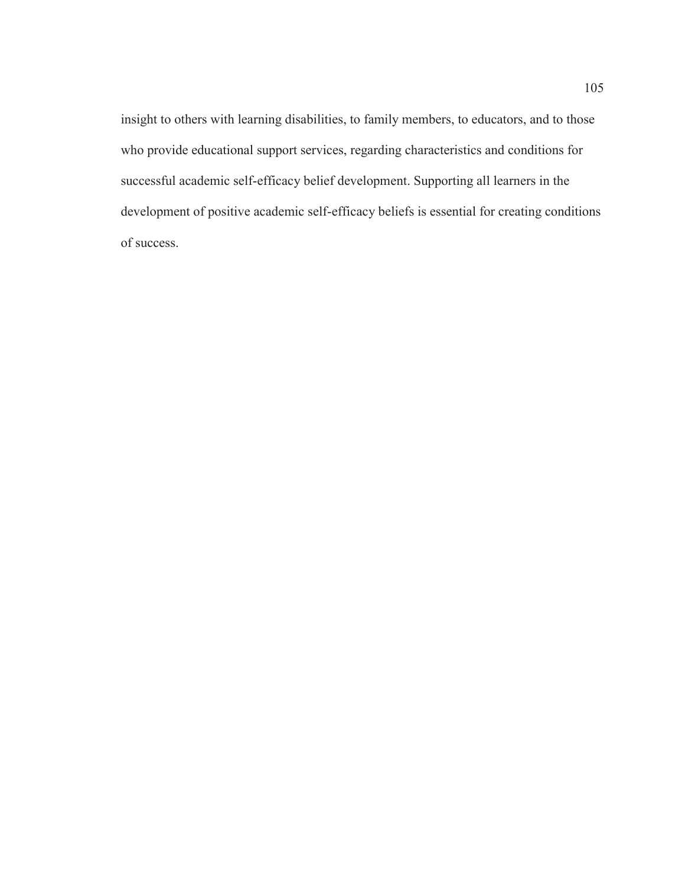insight to others with learning disabilities, to family members, to educators, and to those who provide educational support services, regarding characteristics and conditions for successful academic self-efficacy belief development. Supporting all learners in the development of positive academic self-efficacy beliefs is essential for creating conditions of success.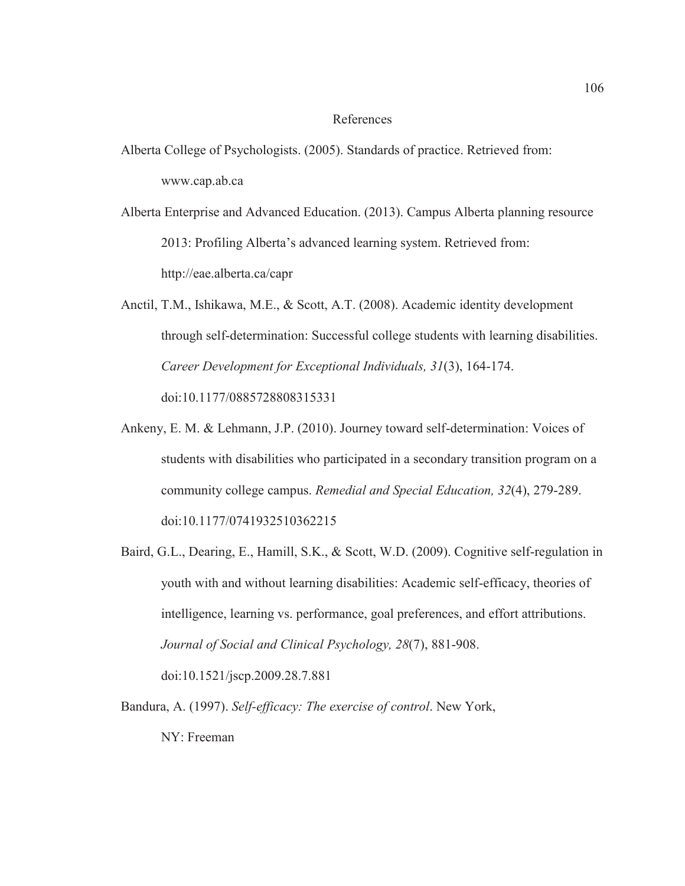## References

- Alberta College of Psychologists. (2005). Standards of practice. Retrieved from: www.cap.ab.ca
- Alberta Enterprise and Advanced Education. (2013). Campus Alberta planning resource 2013: Profiling Alberta's advanced learning system. Retrieved from: http://eae.alberta.ca/capr
- Anctil, T.M., Ishikawa, M.E., & Scott, A.T. (2008). Academic identity development through self-determination: Successful college students with learning disabilities. *Career Development for Exceptional Individuals, 31*(3), 164-174. doi:10.1177/0885728808315331
- Ankeny, E. M. & Lehmann, J.P. (2010). Journey toward self-determination: Voices of students with disabilities who participated in a secondary transition program on a community college campus. *Remedial and Special Education, 32*(4), 279-289. doi:10.1177/0741932510362215
- Baird, G.L., Dearing, E., Hamill, S.K., & Scott, W.D. (2009). Cognitive self-regulation in youth with and without learning disabilities: Academic self-efficacy, theories of intelligence, learning vs. performance, goal preferences, and effort attributions. *Journal of Social and Clinical Psychology, 28*(7), 881-908. doi:10.1521/jscp.2009.28.7.881
- Bandura, A. (1997). *Self-efficacy: The exercise of control*. New York, NY: Freeman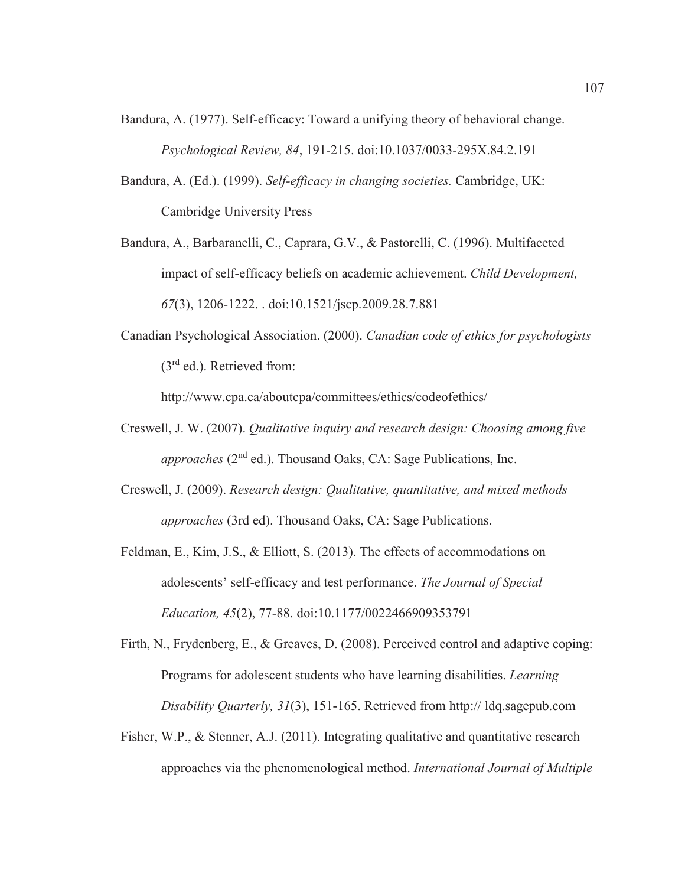- Bandura, A. (1977). Self-efficacy: Toward a unifying theory of behavioral change. *Psychological Review, 84*, 191-215. doi:10.1037/0033-295X.84.2.191
- Bandura, A. (Ed.). (1999). *Self-efficacy in changing societies.* Cambridge, UK: Cambridge University Press
- Bandura, A., Barbaranelli, C., Caprara, G.V., & Pastorelli, C. (1996). Multifaceted impact of self-efficacy beliefs on academic achievement. *Child Development, 67*(3), 1206-1222. . doi:10.1521/jscp.2009.28.7.881
- Canadian Psychological Association. (2000). *Canadian code of ethics for psychologists* (3rd ed.). Retrieved from:

http://www.cpa.ca/aboutcpa/committees/ethics/codeofethics/

- Creswell, J. W. (2007). *Qualitative inquiry and research design: Choosing among five approaches* (2<sup>nd</sup> ed.). Thousand Oaks, CA: Sage Publications, Inc.
- Creswell, J. (2009). *Research design: Qualitative, quantitative, and mixed methods approaches* (3rd ed). Thousand Oaks, CA: Sage Publications.
- Feldman, E., Kim, J.S., & Elliott, S. (2013). The effects of accommodations on adolescents' self-efficacy and test performance. *The Journal of Special Education, 45*(2), 77-88. doi:10.1177/0022466909353791
- Firth, N., Frydenberg, E., & Greaves, D. (2008). Perceived control and adaptive coping: Programs for adolescent students who have learning disabilities. *Learning Disability Quarterly, 31*(3), 151-165. Retrieved from http:// ldq.sagepub.com
- Fisher, W.P., & Stenner, A.J. (2011). Integrating qualitative and quantitative research approaches via the phenomenological method. *International Journal of Multiple*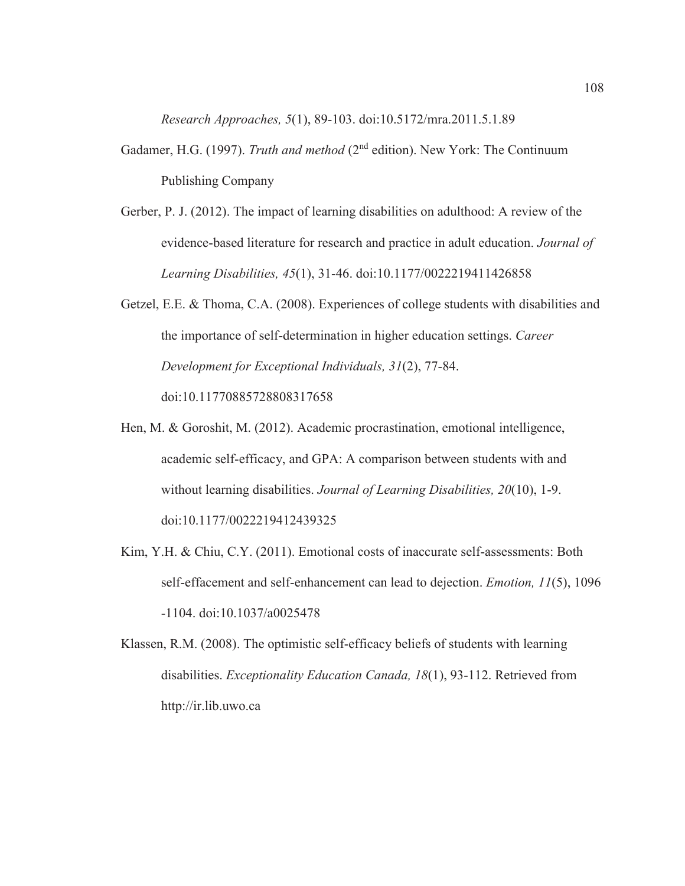*Research Approaches, 5*(1), 89-103. doi:10.5172/mra.2011.5.1.89

- Gadamer, H.G. (1997). *Truth and method* (2nd edition). New York: The Continuum Publishing Company
- Gerber, P. J. (2012). The impact of learning disabilities on adulthood: A review of the evidence-based literature for research and practice in adult education. *Journal of Learning Disabilities, 45*(1), 31-46. doi:10.1177/0022219411426858
- Getzel, E.E. & Thoma, C.A. (2008). Experiences of college students with disabilities and the importance of self-determination in higher education settings. *Career Development for Exceptional Individuals, 31*(2), 77-84. doi:10.11770885728808317658
- Hen, M. & Goroshit, M. (2012). Academic procrastination, emotional intelligence, academic self-efficacy, and GPA: A comparison between students with and without learning disabilities. *Journal of Learning Disabilities, 20*(10), 1-9. doi:10.1177/0022219412439325
- Kim, Y.H. & Chiu, C.Y. (2011). Emotional costs of inaccurate self-assessments: Both self-effacement and self-enhancement can lead to dejection. *Emotion, 11*(5), 1096 -1104. doi:10.1037/a0025478
- Klassen, R.M. (2008). The optimistic self-efficacy beliefs of students with learning disabilities. *Exceptionality Education Canada, 18*(1), 93-112. Retrieved from http://ir.lib.uwo.ca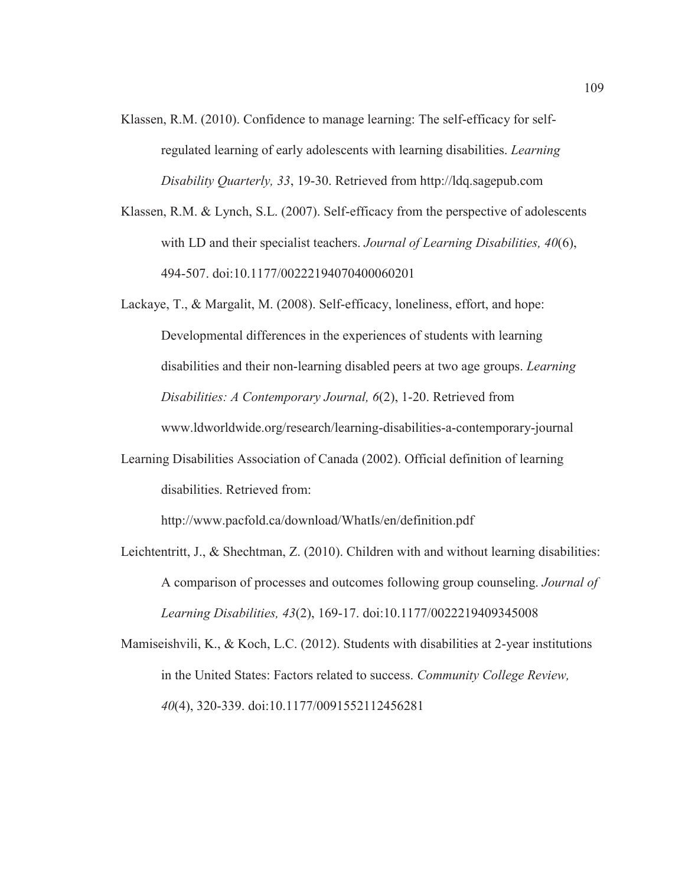- Klassen, R.M. (2010). Confidence to manage learning: The self-efficacy for selfregulated learning of early adolescents with learning disabilities. *Learning Disability Quarterly, 33*, 19-30. Retrieved from http://ldq.sagepub.com
- Klassen, R.M. & Lynch, S.L. (2007). Self-efficacy from the perspective of adolescents with LD and their specialist teachers. *Journal of Learning Disabilities, 40*(6), 494-507. doi:10.1177/00222194070400060201
- Lackaye, T., & Margalit, M. (2008). Self-efficacy, loneliness, effort, and hope: Developmental differences in the experiences of students with learning disabilities and their non-learning disabled peers at two age groups. *Learning Disabilities: A Contemporary Journal, 6*(2), 1-20. Retrieved from www.ldworldwide.org/research/learning-disabilities-a-contemporary-journal
- Learning Disabilities Association of Canada (2002). Official definition of learning disabilities. Retrieved from:

http://www.pacfold.ca/download/WhatIs/en/definition.pdf

- Leichtentritt, J., & Shechtman, Z. (2010). Children with and without learning disabilities: A comparison of processes and outcomes following group counseling. *Journal of Learning Disabilities, 43*(2), 169-17. doi:10.1177/0022219409345008
- Mamiseishvili, K., & Koch, L.C. (2012). Students with disabilities at 2-year institutions in the United States: Factors related to success. *Community College Review, 40*(4), 320-339. doi:10.1177/0091552112456281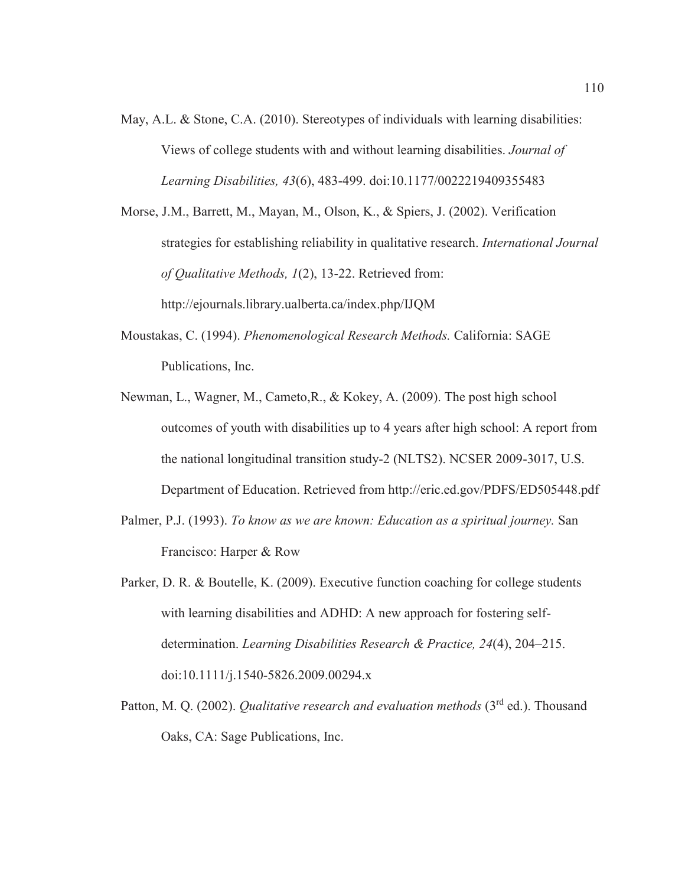May, A.L. & Stone, C.A. (2010). Stereotypes of individuals with learning disabilities: Views of college students with and without learning disabilities. *Journal of Learning Disabilities, 43*(6), 483-499. doi:10.1177/0022219409355483

Morse, J.M., Barrett, M., Mayan, M., Olson, K., & Spiers, J. (2002). Verification strategies for establishing reliability in qualitative research. *International Journal of Qualitative Methods, 1*(2), 13-22. Retrieved from: http://ejournals.library.ualberta.ca/index.php/IJQM

- Moustakas, C. (1994). *Phenomenological Research Methods.* California: SAGE Publications, Inc.
- Newman, L., Wagner, M., Cameto,R., & Kokey, A. (2009). The post high school outcomes of youth with disabilities up to 4 years after high school: A report from the national longitudinal transition study-2 (NLTS2). NCSER 2009-3017, U.S. Department of Education. Retrieved from http://eric.ed.gov/PDFS/ED505448.pdf
- Palmer, P.J. (1993). *To know as we are known: Education as a spiritual journey.* San Francisco: Harper & Row
- Parker, D. R. & Boutelle, K. (2009). Executive function coaching for college students with learning disabilities and ADHD: A new approach for fostering selfdetermination. *Learning Disabilities Research & Practice, 24*(4), 204–215. doi:10.1111/j.1540-5826.2009.00294.x
- Patton, M. Q. (2002). *Qualitative research and evaluation methods* (3<sup>rd</sup> ed.). Thousand Oaks, CA: Sage Publications, Inc.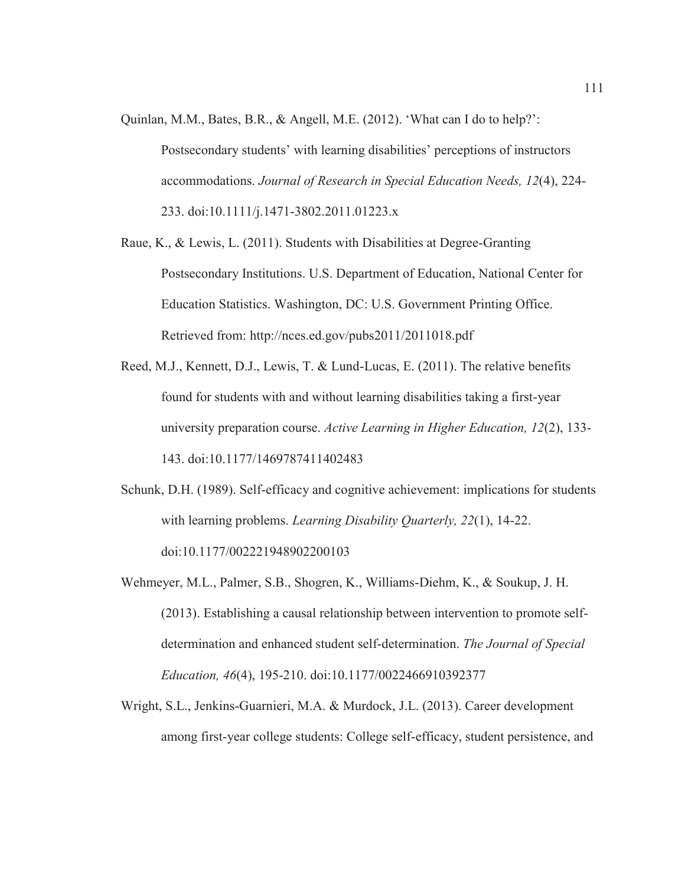- Quinlan, M.M., Bates, B.R., & Angell, M.E. (2012). 'What can I do to help?': Postsecondary students' with learning disabilities' perceptions of instructors accommodations. *Journal of Research in Special Education Needs, 12*(4), 224- 233. doi:10.1111/j.1471-3802.2011.01223.x
- Raue, K., & Lewis, L. (2011). Students with Disabilities at Degree-Granting Postsecondary Institutions. U.S. Department of Education, National Center for Education Statistics. Washington, DC: U.S. Government Printing Office. Retrieved from: http://nces.ed.gov/pubs2011/2011018.pdf
- Reed, M.J., Kennett, D.J., Lewis, T. & Lund-Lucas, E. (2011). The relative benefits found for students with and without learning disabilities taking a first-year university preparation course. *Active Learning in Higher Education, 12*(2), 133- 143. doi:10.1177/1469787411402483
- Schunk, D.H. (1989). Self-efficacy and cognitive achievement: implications for students with learning problems. *Learning Disability Quarterly, 22*(1), 14-22. doi:10.1177/002221948902200103
- Wehmeyer, M.L., Palmer, S.B., Shogren, K., Williams-Diehm, K., & Soukup, J. H. (2013). Establishing a causal relationship between intervention to promote selfdetermination and enhanced student self-determination. *The Journal of Special Education, 46*(4), 195-210. doi:10.1177/0022466910392377
- Wright, S.L., Jenkins-Guarnieri, M.A. & Murdock, J.L. (2013). Career development among first-year college students: College self-efficacy, student persistence, and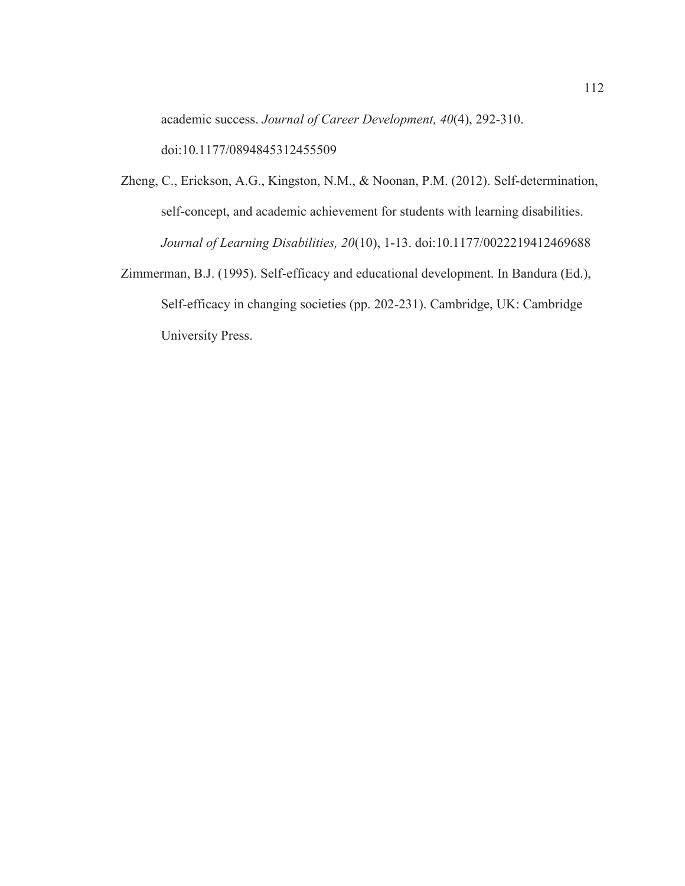academic success. *Journal of Career Development, 40*(4), 292-310. doi:10.1177/0894845312455509

- Zheng, C., Erickson, A.G., Kingston, N.M., & Noonan, P.M. (2012). Self-determination, self-concept, and academic achievement for students with learning disabilities. *Journal of Learning Disabilities, 20*(10), 1-13. doi:10.1177/0022219412469688
- Zimmerman, B.J. (1995). Self-efficacy and educational development. In Bandura (Ed.), Self-efficacy in changing societies (pp. 202-231). Cambridge, UK: Cambridge University Press.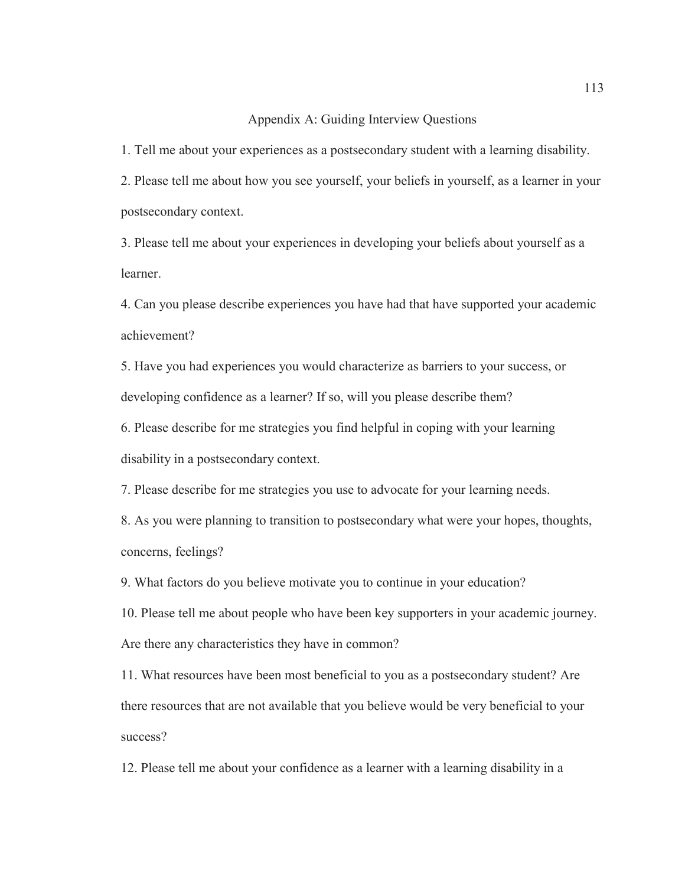## Appendix A: Guiding Interview Questions

1. Tell me about your experiences as a postsecondary student with a learning disability.

2. Please tell me about how you see yourself, your beliefs in yourself, as a learner in your postsecondary context.

3. Please tell me about your experiences in developing your beliefs about yourself as a learner.

4. Can you please describe experiences you have had that have supported your academic achievement?

5. Have you had experiences you would characterize as barriers to your success, or developing confidence as a learner? If so, will you please describe them?

6. Please describe for me strategies you find helpful in coping with your learning disability in a postsecondary context.

7. Please describe for me strategies you use to advocate for your learning needs.

8. As you were planning to transition to postsecondary what were your hopes, thoughts, concerns, feelings?

9. What factors do you believe motivate you to continue in your education?

10. Please tell me about people who have been key supporters in your academic journey. Are there any characteristics they have in common?

11. What resources have been most beneficial to you as a postsecondary student? Are there resources that are not available that you believe would be very beneficial to your success?

12. Please tell me about your confidence as a learner with a learning disability in a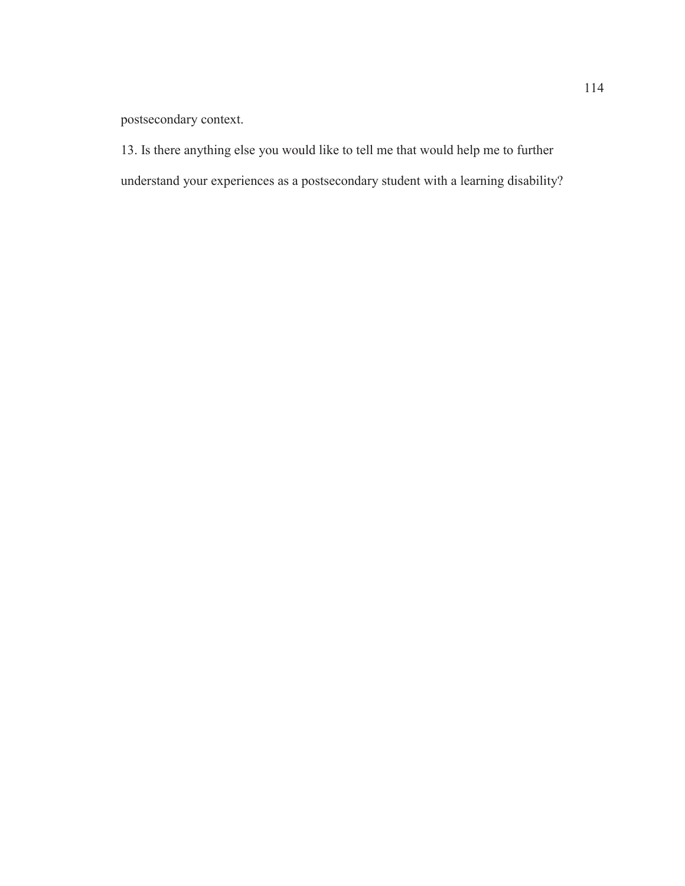postsecondary context.

13. Is there anything else you would like to tell me that would help me to further understand your experiences as a postsecondary student with a learning disability?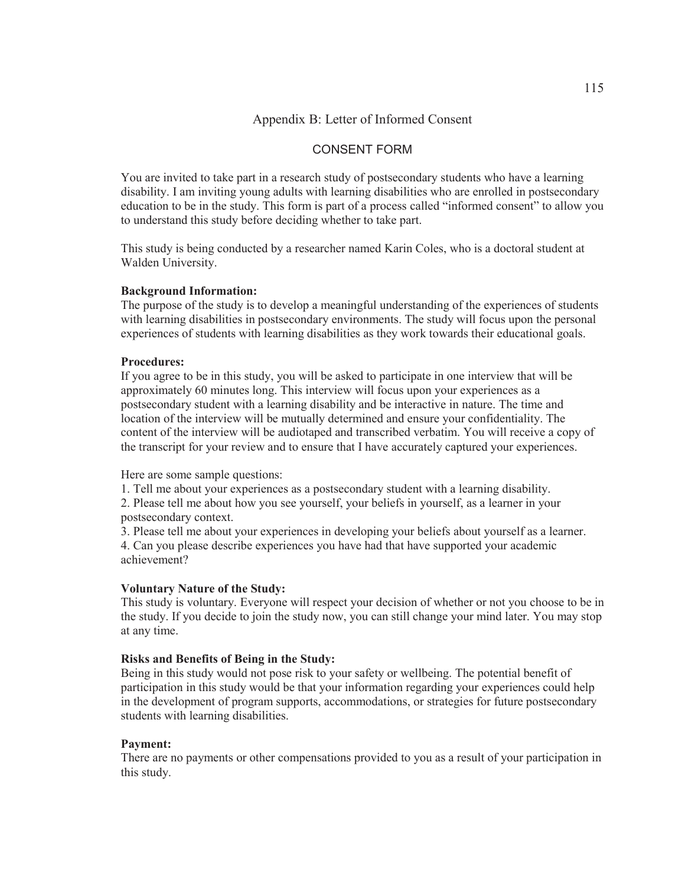## Appendix B: Letter of Informed Consent

## CONSENT FORM

You are invited to take part in a research study of postsecondary students who have a learning disability. I am inviting young adults with learning disabilities who are enrolled in postsecondary education to be in the study. This form is part of a process called "informed consent" to allow you to understand this study before deciding whether to take part.

This study is being conducted by a researcher named Karin Coles, who is a doctoral student at Walden University.

#### **Background Information:**

The purpose of the study is to develop a meaningful understanding of the experiences of students with learning disabilities in postsecondary environments. The study will focus upon the personal experiences of students with learning disabilities as they work towards their educational goals.

#### **Procedures:**

If you agree to be in this study, you will be asked to participate in one interview that will be approximately 60 minutes long. This interview will focus upon your experiences as a postsecondary student with a learning disability and be interactive in nature. The time and location of the interview will be mutually determined and ensure your confidentiality. The content of the interview will be audiotaped and transcribed verbatim. You will receive a copy of the transcript for your review and to ensure that I have accurately captured your experiences.

Here are some sample questions:

1. Tell me about your experiences as a postsecondary student with a learning disability. 2. Please tell me about how you see yourself, your beliefs in yourself, as a learner in your postsecondary context.

3. Please tell me about your experiences in developing your beliefs about yourself as a learner. 4. Can you please describe experiences you have had that have supported your academic achievement?

#### **Voluntary Nature of the Study:**

This study is voluntary. Everyone will respect your decision of whether or not you choose to be in the study. If you decide to join the study now, you can still change your mind later. You may stop at any time.

#### **Risks and Benefits of Being in the Study:**

Being in this study would not pose risk to your safety or wellbeing. The potential benefit of participation in this study would be that your information regarding your experiences could help in the development of program supports, accommodations, or strategies for future postsecondary students with learning disabilities.

## **Payment:**

There are no payments or other compensations provided to you as a result of your participation in this study.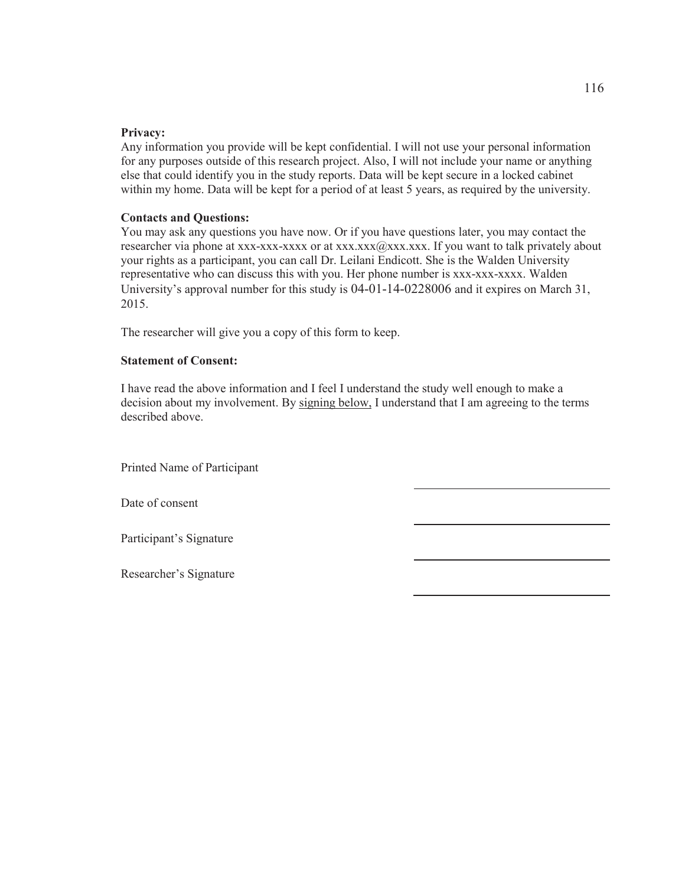### **Privacy:**

Any information you provide will be kept confidential. I will not use your personal information for any purposes outside of this research project. Also, I will not include your name or anything else that could identify you in the study reports. Data will be kept secure in a locked cabinet within my home. Data will be kept for a period of at least 5 years, as required by the university.

### **Contacts and Questions:**

You may ask any questions you have now. Or if you have questions later, you may contact the researcher via phone at xxx-xxx-xxxx or at xxx.xxx $(a)$ xxx.xxx. If you want to talk privately about your rights as a participant, you can call Dr. Leilani Endicott. She is the Walden University representative who can discuss this with you. Her phone number is xxx-xxx-xxxx. Walden University's approval number for this study is 04-01-14-0228006 and it expires on March 31, 2015.

The researcher will give you a copy of this form to keep.

## **Statement of Consent:**

I have read the above information and I feel I understand the study well enough to make a decision about my involvement. By signing below, I understand that I am agreeing to the terms described above.

Printed Name of Participant

Date of consent

Participant's Signature

Researcher's Signature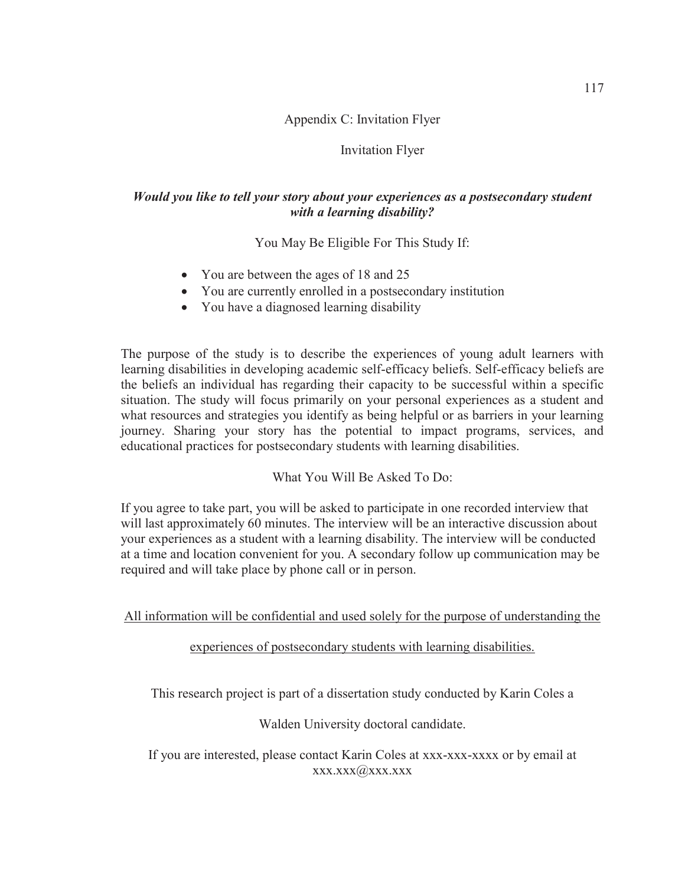# Appendix C: Invitation Flyer

## Invitation Flyer

# *Would you like to tell your story about your experiences as a postsecondary student with a learning disability?*

You May Be Eligible For This Study If:

- You are between the ages of 18 and 25
- You are currently enrolled in a postsecondary institution
- You have a diagnosed learning disability

The purpose of the study is to describe the experiences of young adult learners with learning disabilities in developing academic self-efficacy beliefs. Self-efficacy beliefs are the beliefs an individual has regarding their capacity to be successful within a specific situation. The study will focus primarily on your personal experiences as a student and what resources and strategies you identify as being helpful or as barriers in your learning journey. Sharing your story has the potential to impact programs, services, and educational practices for postsecondary students with learning disabilities.

What You Will Be Asked To Do:

If you agree to take part, you will be asked to participate in one recorded interview that will last approximately 60 minutes. The interview will be an interactive discussion about your experiences as a student with a learning disability. The interview will be conducted at a time and location convenient for you. A secondary follow up communication may be required and will take place by phone call or in person.

All information will be confidential and used solely for the purpose of understanding the

experiences of postsecondary students with learning disabilities.

This research project is part of a dissertation study conducted by Karin Coles a

Walden University doctoral candidate.

If you are interested, please contact Karin Coles at xxx-xxx-xxxx or by email at xxx.xxx@xxx.xxx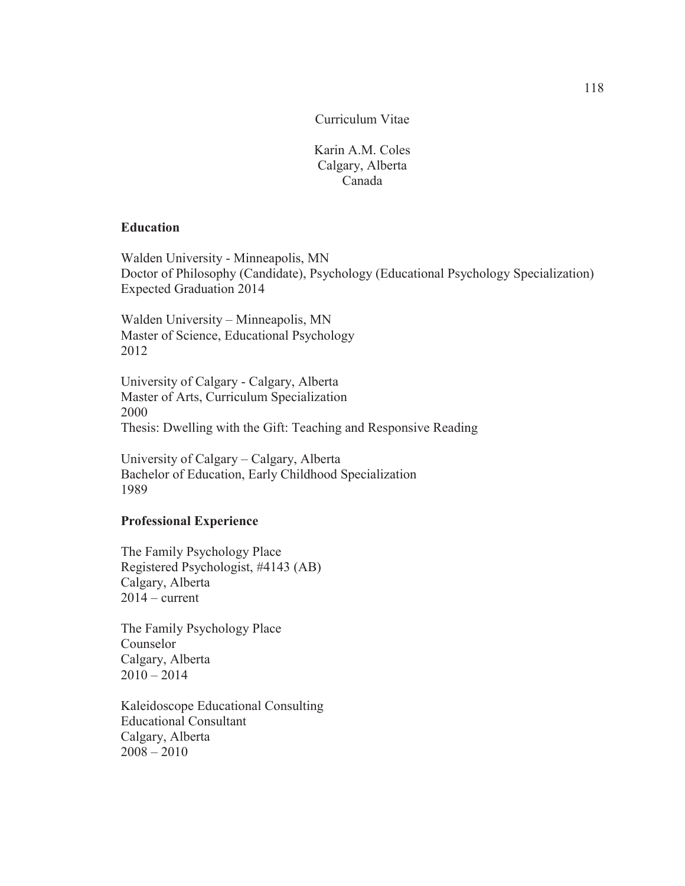Curriculum Vitae

Karin A.M. Coles Calgary, Alberta Canada

## **Education**

Walden University - Minneapolis, MN Doctor of Philosophy (Candidate), Psychology (Educational Psychology Specialization) Expected Graduation 2014

Walden University – Minneapolis, MN Master of Science, Educational Psychology 2012

University of Calgary - Calgary, Alberta Master of Arts, Curriculum Specialization 2000 Thesis: Dwelling with the Gift: Teaching and Responsive Reading

University of Calgary – Calgary, Alberta Bachelor of Education, Early Childhood Specialization 1989

## **Professional Experience**

The Family Psychology Place Registered Psychologist, #4143 (AB) Calgary, Alberta  $2014$  – current

The Family Psychology Place Counselor Calgary, Alberta  $2010 - 2014$ 

Kaleidoscope Educational Consulting Educational Consultant Calgary, Alberta  $2008 - 2010$